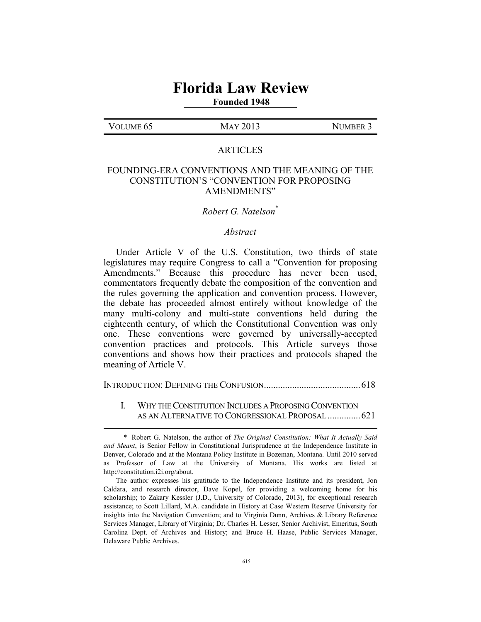# **Florida Law Review**

# **Founded 1948**

#### VOLUME 65 MAY 2013 NUMBER 3

 $\overline{a}$ 

#### ARTICLES

# FOUNDING-ERA CONVENTIONS AND THE MEANING OF THE CONSTITUTION'S "CONVENTION FOR PROPOSING AMENDMENTS"

# *Robert G. Natelson*\*

#### *Abstract*

Under Article V of the U.S. Constitution, two thirds of state legislatures may require Congress to call a "Convention for proposing Amendments." Because this procedure has never been used, commentators frequently debate the composition of the convention and the rules governing the application and convention process. However, the debate has proceeded almost entirely without knowledge of the many multi-colony and multi-state conventions held during the eighteenth century, of which the Constitutional Convention was only one. These conventions were governed by universally-accepted convention practices and protocols. This Article surveys those conventions and shows how their practices and protocols shaped the meaning of Article V.

INTRODUCTION: DEFINING THE CONFUSION......................................... 618

#### I. WHY THE CONSTITUTION INCLUDES A PROPOSING CONVENTION AS AN ALTERNATIVE TO CONGRESSIONAL PROPOSAL .............. 621

 <sup>\*</sup> Robert G. Natelson, the author of *The Original Constitution: What It Actually Said and Meant*, is Senior Fellow in Constitutional Jurisprudence at the Independence Institute in Denver, Colorado and at the Montana Policy Institute in Bozeman, Montana. Until 2010 served as Professor of Law at the University of Montana. His works are listed at http://constitution.i2i.org/about.

The author expresses his gratitude to the Independence Institute and its president, Jon Caldara, and research director, Dave Kopel, for providing a welcoming home for his scholarship; to Zakary Kessler (J.D., University of Colorado, 2013), for exceptional research assistance; to Scott Lillard, M.A. candidate in History at Case Western Reserve University for insights into the Navigation Convention; and to Virginia Dunn, Archives & Library Reference Services Manager, Library of Virginia; Dr. Charles H. Lesser, Senior Archivist, Emeritus, South Carolina Dept. of Archives and History; and Bruce H. Haase, Public Services Manager, Delaware Public Archives.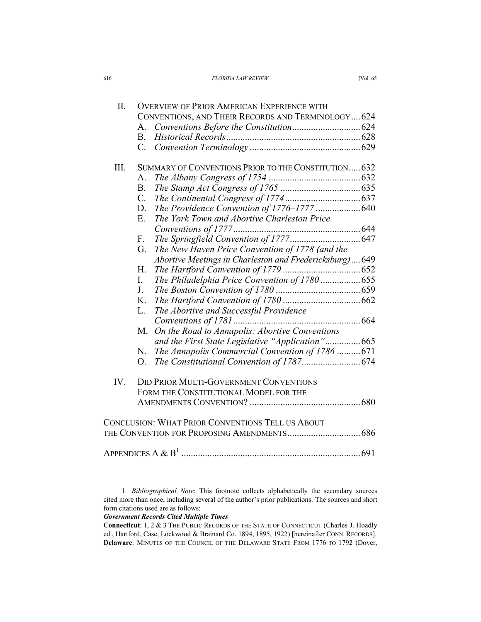| 616 | <b>FLORIDA LAW REVIEW</b>                                                       | <b>IVol. 65</b> |
|-----|---------------------------------------------------------------------------------|-----------------|
|     | the contract of the contract of the contract of the contract of the contract of |                 |

| Π.   | <b>OVERVIEW OF PRIOR AMERICAN EXPERIENCE WITH</b>       |  |
|------|---------------------------------------------------------|--|
|      | CONVENTIONS, AND THEIR RECORDS AND TERMINOLOGY 624      |  |
|      | A.                                                      |  |
|      | $B_{-}$                                                 |  |
|      | $C_{\cdot}$                                             |  |
| III. | SUMMARY OF CONVENTIONS PRIOR TO THE CONSTITUTION 632    |  |
|      | A.                                                      |  |
|      | B.                                                      |  |
|      | $\mathcal{C}$ .                                         |  |
|      | The Providence Convention of 1776-1777  640<br>D.       |  |
|      | E.<br>The York Town and Abortive Charleston Price       |  |
|      |                                                         |  |
|      | F.                                                      |  |
|      | The New Haven Price Convention of 1778 (and the<br>G.   |  |
|      | Abortive Meetings in Charleston and Fredericksburg)649  |  |
|      | H.                                                      |  |
|      | L<br>The Philadelphia Price Convention of 1780 655      |  |
|      | J.                                                      |  |
|      | K.                                                      |  |
|      | The Abortive and Successful Providence<br>L.            |  |
|      |                                                         |  |
|      | On the Road to Annapolis: Abortive Conventions<br>M.    |  |
|      | and the First State Legislative "Application"665        |  |
|      | The Annapolis Commercial Convention of 1786  671<br>N.  |  |
|      | O.                                                      |  |
|      |                                                         |  |
| IV.  | <b>DID PRIOR MULTI-GOVERNMENT CONVENTIONS</b>           |  |
|      | FORM THE CONSTITUTIONAL MODEL FOR THE                   |  |
|      |                                                         |  |
|      |                                                         |  |
|      | <b>CONCLUSION: WHAT PRIOR CONVENTIONS TELL US ABOUT</b> |  |
|      |                                                         |  |
|      |                                                         |  |
|      |                                                         |  |
|      |                                                         |  |

#### *Government Records Cited Multiple Times*

 <sup>1</sup>*. Bibliographical Note*: This footnote collects alphabetically the secondary sources cited more than once, including several of the author's prior publications. The sources and short form citations used are as follows:

**Connecticut**: 1, 2 & 3 THE PUBLIC RECORDS OF THE STATE OF CONNECTICUT (Charles J. Hoadly ed., Hartford, Case, Lockwood & Brainard Co. 1894, 1895, 1922) [hereinafter CONN. RECORDS]. **Delaware**: MINUTES OF THE COUNCIL OF THE DELAWARE STATE FROM 1776 TO 1792 (Dover,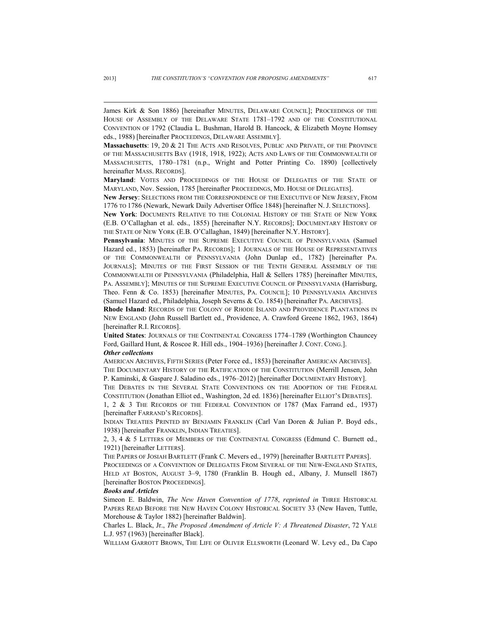James Kirk & Son 1886) [hereinafter MINUTES, DELAWARE COUNCIL]; PROCEEDINGS OF THE HOUSE OF ASSEMBLY OF THE DELAWARE STATE 1781–1792 AND OF THE CONSTITUTIONAL CONVENTION OF 1792 (Claudia L. Bushman, Harold B. Hancock, & Elizabeth Moyne Homsey eds., 1988) [hereinafter PROCEEDINGS, DELAWARE ASSEMBLY].

**Massachusetts**: 19, 20 & 21 THE ACTS AND RESOLVES, PUBLIC AND PRIVATE, OF THE PROVINCE OF THE MASSACHUSETTS BAY (1918, 1918, 1922); ACTS AND LAWS OF THE COMMONWEALTH OF MASSACHUSETTS, 1780–1781 (n.p., Wright and Potter Printing Co. 1890) [collectively hereinafter MASS. RECORDS].

**Maryland**: VOTES AND PROCEEDINGS OF THE HOUSE OF DELEGATES OF THE STATE OF MARYLAND, Nov. Session, 1785 [hereinafter PROCEEDINGS, MD. HOUSE OF DELEGATES].

**New Jersey**: SELECTIONS FROM THE CORRESPONDENCE OF THE EXECUTIVE OF NEW JERSEY, FROM 1776 TO 1786 (Newark, Newark Daily Advertiser Office 1848) [hereinafter N. J. SELECTIONS].

**New York**: DOCUMENTS RELATIVE TO THE COLONIAL HISTORY OF THE STATE OF NEW YORK (E.B. O'Callaghan et al. eds., 1855) [hereinafter N.Y. RECORDS]; DOCUMENTARY HISTORY OF THE STATE OF NEW YORK (E.B. O'Callaghan, 1849) [hereinafter N.Y. HISTORY].

Pennsylvania: MINUTES OF THE SUPREME EXECUTIVE COUNCIL OF PENNSYLVANIA (Samuel Hazard ed., 1853) [hereinafter PA. RECORDS]; 1 JOURNALS OF THE HOUSE OF REPRESENTATIVES OF THE COMMONWEALTH OF PENNSYLVANIA (John Dunlap ed., 1782) [hereinafter PA. JOURNALS]; MINUTES OF THE FIRST SESSION OF THE TENTH GENERAL ASSEMBLY OF THE COMMONWEALTH OF PENNSYLVANIA (Philadelphia, Hall & Sellers 1785) [hereinafter MINUTES, PA. ASSEMBLY]; MINUTES OF THE SUPREME EXECUTIVE COUNCIL OF PENNSYLVANIA (Harrisburg, Theo. Fenn & Co. 1853) [hereinafter MINUTES, PA. COUNCIL]; 10 PENNSYLVANIA ARCHIVES (Samuel Hazard ed., Philadelphia, Joseph Severns & Co. 1854) [hereinafter PA. ARCHIVES].

**Rhode Island**: RECORDS OF THE COLONY OF RHODE ISLAND AND PROVIDENCE PLANTATIONS IN NEW ENGLAND (John Russell Bartlett ed., Providence, A. Crawford Greene 1862, 1963, 1864) [hereinafter R.I. RECORDS].

**United States**: JOURNALS OF THE CONTINENTAL CONGRESS 1774–1789 (Worthington Chauncey Ford, Gaillard Hunt, & Roscoe R. Hill eds., 1904–1936) [hereinafter J. CONT. CONG.]. *Other collections* 

AMERICAN ARCHIVES, FIFTH SERIES (Peter Force ed., 1853) [hereinafter AMERICAN ARCHIVES]. THE DOCUMENTARY HISTORY OF THE RATIFICATION OF THE CONSTITUTION (Merrill Jensen, John P. Kaminski, & Gaspare J. Saladino eds., 1976–2012) [hereinafter DOCUMENTARY HISTORY].

THE DEBATES IN THE SEVERAL STATE CONVENTIONS ON THE ADOPTION OF THE FEDERAL CONSTITUTION (Jonathan Elliot ed., Washington, 2d ed. 1836) [hereinafter ELLIOT'S DEBATES].

1, 2 & 3 THE RECORDS OF THE FEDERAL CONVENTION OF 1787 (Max Farrand ed., 1937) [hereinafter FARRAND'S RECORDS].

INDIAN TREATIES PRINTED BY BENJAMIN FRANKLIN (Carl Van Doren & Julian P. Boyd eds., 1938) [hereinafter FRANKLIN, INDIAN TREATIES].

2, 3, 4 & 5 LETTERS OF MEMBERS OF THE CONTINENTAL CONGRESS (Edmund C. Burnett ed., 1921) [hereinafter LETTERS].

THE PAPERS OF JOSIAH BARTLETT (Frank C. Mevers ed., 1979) [hereinafter BARTLETT PAPERS]. PROCEEDINGS OF A CONVENTION OF DELEGATES FROM SEVERAL OF THE NEW-ENGLAND STATES, HELD AT BOSTON, AUGUST 3–9, 1780 (Franklin B. Hough ed., Albany, J. Munsell 1867) [hereinafter BOSTON PROCEEDINGS].

#### *Books and Articles*

Simeon E. Baldwin, *The New Haven Convention of 1778*, *reprinted in* THREE HISTORICAL PAPERS READ BEFORE THE NEW HAVEN COLONY HISTORICAL SOCIETY 33 (New Haven, Tuttle, Morehouse & Taylor 1882) [hereinafter Baldwin].

Charles L. Black, Jr., *The Proposed Amendment of Article V: A Threatened Disaster*, 72 YALE L.J. 957 (1963) [hereinafter Black].

WILLIAM GARROTT BROWN, THE LIFE OF OLIVER ELLSWORTH (Leonard W. Levy ed., Da Capo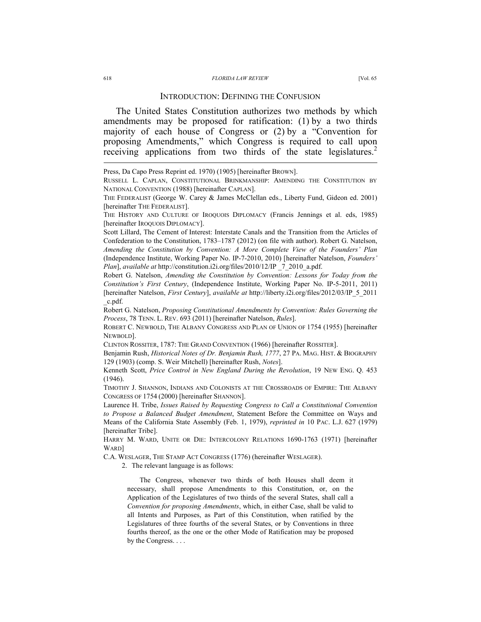The United States Constitution authorizes two methods by which amendments may be proposed for ratification: (1) by a two thirds majority of each house of Congress or (2) by a "Convention for proposing Amendments," which Congress is required to call upon receiving applications from two thirds of the state legislatures.<sup>2</sup>

Scott Lillard, The Cement of Interest: Interstate Canals and the Transition from the Articles of Confederation to the Constitution, 1783–1787 (2012) (on file with author). Robert G. Natelson, *Amending the Constitution by Convention: A More Complete View of the Founders' Plan*  (Independence Institute, Working Paper No. IP-7-2010, 2010) [hereinafter Natelson, *Founders' Plan*], *available at* http://constitution.i2i.org/files/2010/12/IP \_7\_2010\_a.pdf.

Robert G. Natelson, *Amending the Constitution by Convention: Lessons for Today from the Constitution's First Century*, (Independence Institute, Working Paper No. IP-5-2011, 2011) [hereinafter Natelson, *First Century*], *available at* http://liberty.i2i.org/files/2012/03/IP\_5\_2011 \_c.pdf.

Robert G. Natelson, *Proposing Constitutional Amendments by Convention: Rules Governing the Process*, 78 TENN. L. REV. 693 (2011) [hereinafter Natelson, *Rules*].

ROBERT C. NEWBOLD, THE ALBANY CONGRESS AND PLAN OF UNION OF 1754 (1955) [hereinafter NEWBOLD].

CLINTON ROSSITER, 1787: THE GRAND CONVENTION (1966) [hereinafter ROSSITER].

Benjamin Rush, *Historical Notes of Dr. Benjamin Rush, 1777*, 27 PA. MAG. HIST. & BIOGRAPHY 129 (1903) (comp. S. Weir Mitchell) [hereinafter Rush, *Notes*].

Kenneth Scott, *Price Control in New England During the Revolution*, 19 NEW ENG. Q. 453 (1946).

TIMOTHY J. SHANNON, INDIANS AND COLONISTS AT THE CROSSROADS OF EMPIRE: THE ALBANY CONGRESS OF 1754 (2000) [hereinafter SHANNON].

Laurence H. Tribe, *Issues Raised by Requesting Congress to Call a Constitutional Convention to Propose a Balanced Budget Amendment*, Statement Before the Committee on Ways and Means of the California State Assembly (Feb. 1, 1979), *reprinted in* 10 PAC. L.J. 627 (1979) [hereinafter Tribe].

HARRY M. WARD, UNITE OR DIE: INTERCOLONY RELATIONS 1690-1763 (1971) [hereinafter WARD]

C.A. WESLAGER, THE STAMP ACT CONGRESS (1776) (hereinafter WESLAGER).

2. The relevant language is as follows:

The Congress, whenever two thirds of both Houses shall deem it necessary, shall propose Amendments to this Constitution, or, on the Application of the Legislatures of two thirds of the several States, shall call a *Convention for proposing Amendments*, which, in either Case, shall be valid to all Intents and Purposes, as Part of this Constitution, when ratified by the Legislatures of three fourths of the several States, or by Conventions in three fourths thereof, as the one or the other Mode of Ratification may be proposed by the Congress. . . .

Press, Da Capo Press Reprint ed. 1970) (1905) [hereinafter BROWN].

RUSSELL L. CAPLAN, CONSTITUTIONAL BRINKMANSHIP: AMENDING THE CONSTITUTION BY NATIONAL CONVENTION (1988) [hereinafter CAPLAN].

THE FEDERALIST (George W. Carey & James McClellan eds., Liberty Fund, Gideon ed. 2001) [hereinafter THE FEDERALIST].

THE HISTORY AND CULTURE OF IROQUOIS DIPLOMACY (Francis Jennings et al. eds, 1985) [hereinafter IROQUOIS DIPLOMACY].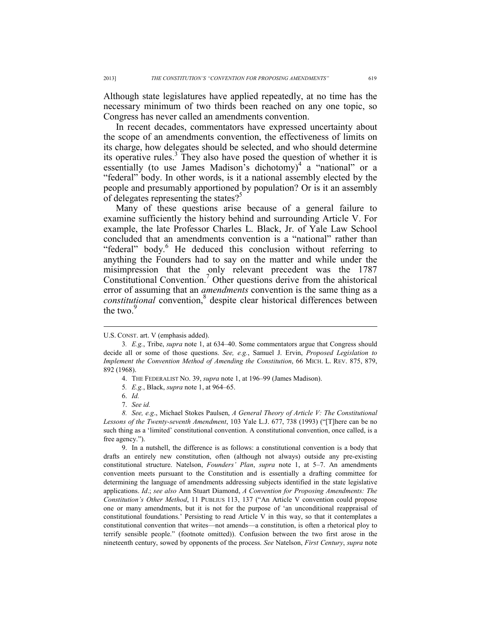Although state legislatures have applied repeatedly, at no time has the necessary minimum of two thirds been reached on any one topic, so Congress has never called an amendments convention.

In recent decades, commentators have expressed uncertainty about the scope of an amendments convention, the effectiveness of limits on its charge, how delegates should be selected, and who should determine its operative rules.<sup>3</sup> They also have posed the question of whether it is essentially (to use James Madison's dichotomy)<sup>4</sup> a "national" or a "federal" body. In other words, is it a national assembly elected by the people and presumably apportioned by population? Or is it an assembly of delegates representing the states?<sup>5</sup>

Many of these questions arise because of a general failure to examine sufficiently the history behind and surrounding Article V. For example, the late Professor Charles L. Black, Jr. of Yale Law School concluded that an amendments convention is a "national" rather than "federal" body.<sup>6</sup> He deduced this conclusion without referring to anything the Founders had to say on the matter and while under the misimpression that the only relevant precedent was the 1787 Constitutional Convention.<sup>7</sup> Other questions derive from the ahistorical error of assuming that an *amendments* convention is the same thing as a *constitutional* convention,<sup>8</sup> despite clear historical differences between the two. $9$ 

 $\overline{a}$ 

 9. In a nutshell, the difference is as follows: a constitutional convention is a body that drafts an entirely new constitution, often (although not always) outside any pre-existing constitutional structure. Natelson, *Founders' Plan*, *supra* note 1, at 5–7. An amendments convention meets pursuant to the Constitution and is essentially a drafting committee for determining the language of amendments addressing subjects identified in the state legislative applications. *Id*.; *see also* Ann Stuart Diamond, *A Convention for Proposing Amendments: The Constitution's Other Method*, 11 PUBLIUS 113, 137 ("An Article V convention could propose one or many amendments, but it is not for the purpose of 'an unconditional reappraisal of constitutional foundations.' Persisting to read Article V in this way, so that it contemplates a constitutional convention that writes—not amends—a constitution, is often a rhetorical ploy to terrify sensible people." (footnote omitted)). Confusion between the two first arose in the nineteenth century, sowed by opponents of the process. *See* Natelson, *First Century*, *supra* note

U.S. CONST. art. V (emphasis added).

<sup>3</sup>*. E.g.*, Tribe, *supra* note 1, at 634–40. Some commentators argue that Congress should decide all or some of those questions. *See, e.g.*, Samuel J. Ervin, *Proposed Legislation to Implement the Convention Method of Amending the Constitution*, 66 MICH. L. REV. 875, 879, 892 (1968).

 <sup>4.</sup> THE FEDERALIST NO. 39, *supra* note 1, at 196–99 (James Madison).

<sup>5</sup>*. E.g.*, Black, *supra* note 1, at 964–65.

 <sup>6.</sup> *Id.*

 <sup>7.</sup> *See id.*

 *<sup>8.</sup> See, e.g*., Michael Stokes Paulsen, *A General Theory of Article V: The Constitutional Lessons of the Twenty-seventh Amendment*, 103 Yale L.J. 677, 738 (1993) ("[T]here can be no such thing as a 'limited' constitutional convention. A constitutional convention, once called, is a free agency.").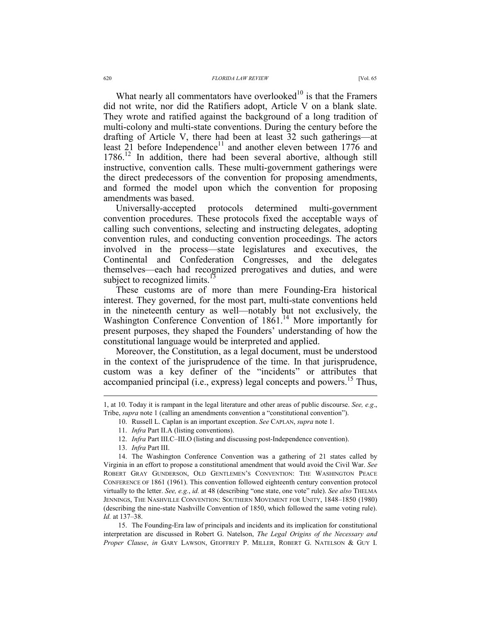What nearly all commentators have overlooked $10$  is that the Framers did not write, nor did the Ratifiers adopt, Article V on a blank slate. They wrote and ratified against the background of a long tradition of multi-colony and multi-state conventions. During the century before the drafting of Article V, there had been at least 32 such gatherings—at least  $2\tilde{1}$  before Independence<sup>11</sup> and another eleven between 1776 and 1786.<sup>12</sup> In addition, there had been several abortive, although still instructive, convention calls. These multi-government gatherings were the direct predecessors of the convention for proposing amendments, and formed the model upon which the convention for proposing amendments was based.

Universally-accepted protocols determined multi-government convention procedures. These protocols fixed the acceptable ways of calling such conventions, selecting and instructing delegates, adopting convention rules, and conducting convention proceedings. The actors involved in the process—state legislatures and executives, the Continental and Confederation Congresses, and the delegates themselves—each had recognized prerogatives and duties, and were subject to recognized limits.<sup>13</sup>

These customs are of more than mere Founding-Era historical interest. They governed, for the most part, multi-state conventions held in the nineteenth century as well—notably but not exclusively, the Washington Conference Convention of 1861.<sup>14</sup> More importantly for present purposes, they shaped the Founders' understanding of how the constitutional language would be interpreted and applied.

Moreover, the Constitution, as a legal document, must be understood in the context of the jurisprudence of the time. In that jurisprudence, custom was a key definer of the "incidents" or attributes that accompanied principal (i.e., express) legal concepts and powers.<sup>15</sup> Thus,

 $\overline{a}$ 

 15. The Founding-Era law of principals and incidents and its implication for constitutional interpretation are discussed in Robert G. Natelson, *The Legal Origins of the Necessary and Proper Clause*, *in* GARY LAWSON, GEOFFREY P. MILLER, ROBERT G. NATELSON & GUY I.

<sup>1,</sup> at 10. Today it is rampant in the legal literature and other areas of public discourse. *See, e.g*., Tribe, *supra* note 1 (calling an amendments convention a "constitutional convention").

 <sup>10.</sup> Russell L. Caplan is an important exception. *See* CAPLAN, *supra* note 1.

 <sup>11.</sup> *Infra* Part II.A (listing conventions).

 <sup>12.</sup> *Infra* Part III.C–III.O (listing and discussing post-Independence convention).

 <sup>13.</sup> *Infra* Part III.

 <sup>14.</sup> The Washington Conference Convention was a gathering of 21 states called by Virginia in an effort to propose a constitutional amendment that would avoid the Civil War. *See* ROBERT GRAY GUNDERSON, OLD GENTLEMEN'S CONVENTION: THE WASHINGTON PEACE CONFERENCE OF 1861 (1961). This convention followed eighteenth century convention protocol virtually to the letter. *See, e.g.*, *id.* at 48 (describing "one state, one vote" rule). *See also* THELMA JENNINGS, THE NASHVILLE CONVENTION: SOUTHERN MOVEMENT FOR UNITY, 1848–1850 (1980) (describing the nine-state Nashville Convention of 1850, which followed the same voting rule). *Id.* at 137–38.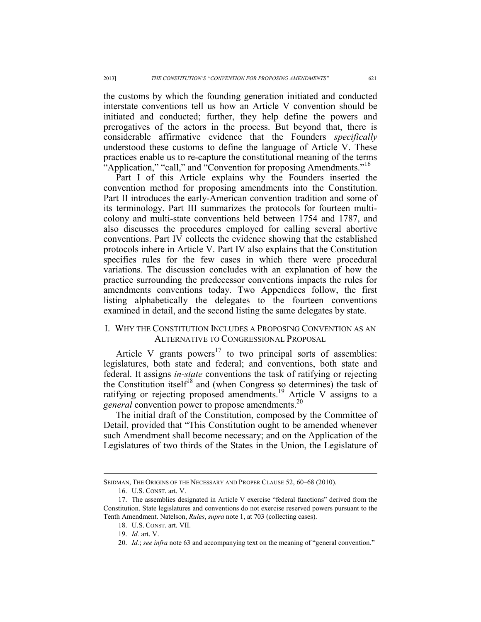the customs by which the founding generation initiated and conducted interstate conventions tell us how an Article V convention should be initiated and conducted; further, they help define the powers and prerogatives of the actors in the process. But beyond that, there is considerable affirmative evidence that the Founders *specifically* understood these customs to define the language of Article V. These practices enable us to re-capture the constitutional meaning of the terms "Application," "call," and "Convention for proposing Amendments."<sup>16</sup>

Part I of this Article explains why the Founders inserted the convention method for proposing amendments into the Constitution. Part II introduces the early-American convention tradition and some of its terminology. Part III summarizes the protocols for fourteen multicolony and multi-state conventions held between 1754 and 1787, and also discusses the procedures employed for calling several abortive conventions. Part IV collects the evidence showing that the established protocols inhere in Article V. Part IV also explains that the Constitution specifies rules for the few cases in which there were procedural variations. The discussion concludes with an explanation of how the practice surrounding the predecessor conventions impacts the rules for amendments conventions today. Two Appendices follow, the first listing alphabetically the delegates to the fourteen conventions examined in detail, and the second listing the same delegates by state.

# I. WHY THE CONSTITUTION INCLUDES A PROPOSING CONVENTION AS AN ALTERNATIVE TO CONGRESSIONAL PROPOSAL

Article V grants powers $17$  to two principal sorts of assemblies: legislatures, both state and federal; and conventions, both state and federal. It assigns *in-state* conventions the task of ratifying or rejecting the Constitution itself<sup>18</sup> and (when Congress so determines) the task of ratifying or rejecting proposed amendments.<sup>19</sup> Article V assigns to a *general* convention power to propose amendments.<sup>20</sup>

The initial draft of the Constitution, composed by the Committee of Detail, provided that "This Constitution ought to be amended whenever such Amendment shall become necessary; and on the Application of the Legislatures of two thirds of the States in the Union, the Legislature of

SEIDMAN, THE ORIGINS OF THE NECESSARY AND PROPER CLAUSE 52, 60–68 (2010).

 <sup>16.</sup> U.S. CONST. art. V.

 <sup>17.</sup> The assemblies designated in Article V exercise "federal functions" derived from the Constitution. State legislatures and conventions do not exercise reserved powers pursuant to the Tenth Amendment. Natelson, *Rules*, *supra* note 1, at 703 (collecting cases).

 <sup>18.</sup> U.S. CONST. art. VII.

 <sup>19.</sup> *Id.* art. V.

<sup>20.</sup> *Id.*; *see infra* note 63 and accompanying text on the meaning of "general convention."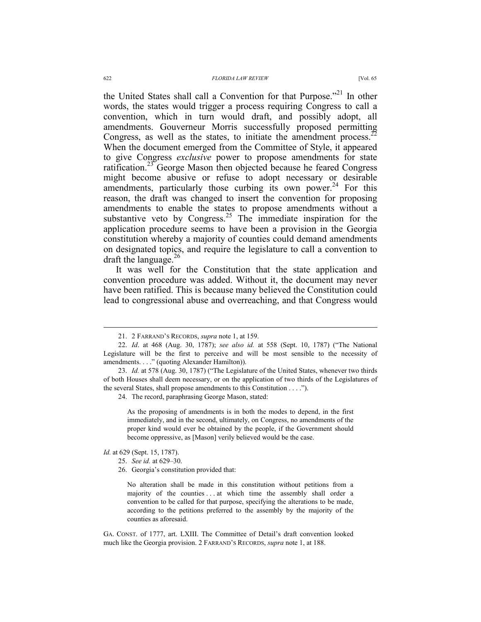the United States shall call a Convention for that Purpose."<sup>21</sup> In other words, the states would trigger a process requiring Congress to call a convention, which in turn would draft, and possibly adopt, all amendments. Gouverneur Morris successfully proposed permitting Congress, as well as the states, to initiate the amendment process.<sup>22</sup> When the document emerged from the Committee of Style, it appeared to give Congress *exclusive* power to propose amendments for state

ratification.<sup>23</sup> George Mason then objected because he feared Congress might become abusive or refuse to adopt necessary or desirable amendments, particularly those curbing its own power.<sup>24</sup> For this reason, the draft was changed to insert the convention for proposing amendments to enable the states to propose amendments without a substantive veto by Congress.<sup>25</sup> The immediate inspiration for the application procedure seems to have been a provision in the Georgia constitution whereby a majority of counties could demand amendments on designated topics, and require the legislature to call a convention to draft the language.<sup>26</sup>

It was well for the Constitution that the state application and convention procedure was added. Without it, the document may never have been ratified. This is because many believed the Constitution could lead to congressional abuse and overreaching, and that Congress would

24. The record, paraphrasing George Mason, stated:

As the proposing of amendments is in both the modes to depend, in the first immediately, and in the second, ultimately, on Congress, no amendments of the proper kind would ever be obtained by the people, if the Government should become oppressive, as [Mason] verily believed would be the case.

*Id.* at 629 (Sept. 15, 1787).

25. *See id.* at 629–30.

No alteration shall be made in this constitution without petitions from a majority of the counties . . . at which time the assembly shall order a convention to be called for that purpose, specifying the alterations to be made, according to the petitions preferred to the assembly by the majority of the counties as aforesaid.

GA. CONST. of 1777, art. LXIII. The Committee of Detail's draft convention looked much like the Georgia provision. 2 FARRAND'S RECORDS, *supra* note 1, at 188.

 <sup>21. 2</sup> FARRAND'S RECORDS, *supra* note 1, at 159.

 <sup>22.</sup> *Id*. at 468 (Aug. 30, 1787); *see also id.* at 558 (Sept. 10, 1787) ("The National Legislature will be the first to perceive and will be most sensible to the necessity of amendments. . . ." (quoting Alexander Hamilton)).

 <sup>23.</sup> *Id.* at 578 (Aug. 30, 1787) ("The Legislature of the United States, whenever two thirds of both Houses shall deem necessary, or on the application of two thirds of the Legislatures of the several States, shall propose amendments to this Constitution . . . .").

 <sup>26.</sup> Georgia's constitution provided that: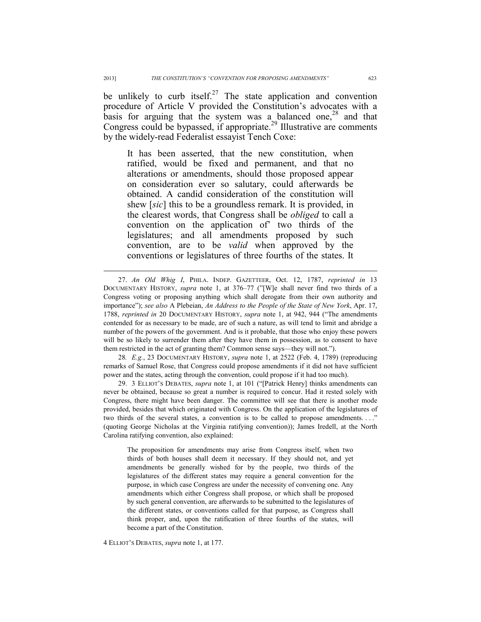be unlikely to curb itself.<sup>27</sup> The state application and convention procedure of Article V provided the Constitution's advocates with a basis for arguing that the system was a balanced one,<sup>28</sup> and that Congress could be bypassed, if appropriate.<sup>29</sup> Illustrative are comments by the widely-read Federalist essayist Tench Coxe:

It has been asserted, that the new constitution, when ratified, would be fixed and permanent, and that no alterations or amendments, should those proposed appear on consideration ever so salutary, could afterwards be obtained. A candid consideration of the constitution will shew [*sic*] this to be a groundless remark. It is provided, in the clearest words, that Congress shall be *obliged* to call a convention on the application of' two thirds of the legislatures; and all amendments proposed by such convention, are to be *valid* when approved by the conventions or legislatures of three fourths of the states. It

28*. E.g.*, 23 DOCUMENTARY HISTORY, *supra* note 1, at 2522 (Feb. 4, 1789) (reproducing remarks of Samuel Rose, that Congress could propose amendments if it did not have sufficient power and the states, acting through the convention, could propose if it had too much).

 29. 3 ELLIOT'S DEBATES, *supra* note 1, at 101 ("[Patrick Henry] thinks amendments can never be obtained, because so great a number is required to concur. Had it rested solely with Congress, there might have been danger. The committee will see that there is another mode provided, besides that which originated with Congress. On the application of the legislatures of two thirds of the several states, a convention is to be called to propose amendments. . . ." (quoting George Nicholas at the Virginia ratifying convention)); James Iredell, at the North Carolina ratifying convention, also explained:

The proposition for amendments may arise from Congress itself, when two thirds of both houses shall deem it necessary. If they should not, and yet amendments be generally wished for by the people, two thirds of the legislatures of the different states may require a general convention for the purpose, in which case Congress are under the necessity of convening one. Any amendments which either Congress shall propose, or which shall be proposed by such general convention, are afterwards to be submitted to the legislatures of the different states, or conventions called for that purpose, as Congress shall think proper, and, upon the ratification of three fourths of the states, will become a part of the Constitution.

4 ELLIOT'S DEBATES, *supra* note 1, at 177.

 <sup>27.</sup> *An Old Whig I*, PHILA. INDEP. GAZETTEER, Oct. 12, 1787, *reprinted in* 13 DOCUMENTARY HISTORY, *supra* note 1, at 376–77 ("[W]e shall never find two thirds of a Congress voting or proposing anything which shall derogate from their own authority and importance"); *see also* A Plebeian, *An Address to the People of the State of New York*, Apr. 17, 1788, *reprinted in* 20 DOCUMENTARY HISTORY, *supra* note 1, at 942, 944 ("The amendments contended for as necessary to be made, are of such a nature, as will tend to limit and abridge a number of the powers of the government. And is it probable, that those who enjoy these powers will be so likely to surrender them after they have them in possession, as to consent to have them restricted in the act of granting them? Common sense says—they will not.").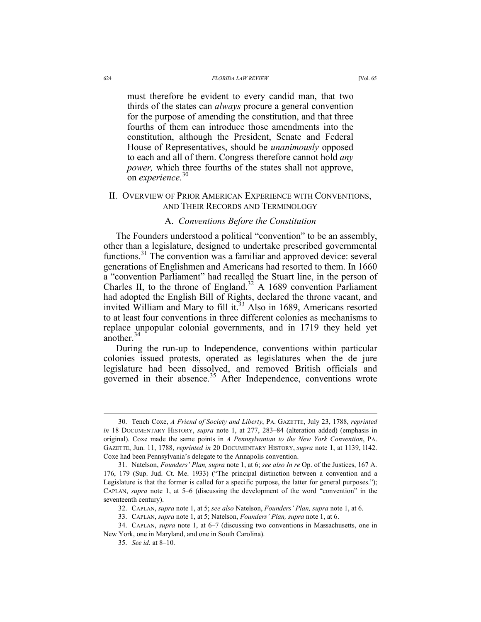#### 624 *FLORIDA LAW REVIEW* [Vol. 65

must therefore be evident to every candid man, that two thirds of the states can *always* procure a general convention for the purpose of amending the constitution, and that three fourths of them can introduce those amendments into the constitution, although the President, Senate and Federal House of Representatives, should be *unanimously* opposed to each and all of them. Congress therefore cannot hold *any power*, which three fourths of the states shall not approve, on *experience.*<sup>30</sup>

#### II. OVERVIEW OF PRIOR AMERICAN EXPERIENCE WITH CONVENTIONS, AND THEIR RECORDS AND TERMINOLOGY

### A. *Conventions Before the Constitution*

The Founders understood a political "convention" to be an assembly, other than a legislature, designed to undertake prescribed governmental functions.31 The convention was a familiar and approved device: several generations of Englishmen and Americans had resorted to them. In 1660 a "convention Parliament" had recalled the Stuart line, in the person of Charles II, to the throne of England.<sup>32</sup> A 1689 convention Parliament had adopted the English Bill of Rights, declared the throne vacant, and invited William and Mary to fill it.<sup>33</sup> Also in 1689, Americans resorted to at least four conventions in three different colonies as mechanisms to replace unpopular colonial governments, and in 1719 they held yet another.<sup>34</sup>

During the run-up to Independence, conventions within particular colonies issued protests, operated as legislatures when the de jure legislature had been dissolved, and removed British officials and governed in their absence.<sup>35</sup> After Independence, conventions wrote

 <sup>30.</sup> Tench Coxe, *A Friend of Society and Liberty*, PA. GAZETTE, July 23, 1788, *reprinted in* 18 DOCUMENTARY HISTORY, *supra* note 1, at 277, 283–84 (alteration added) (emphasis in original). Coxe made the same points in *A Pennsylvanian to the New York Convention*, PA. GAZETTE, Jun. 11, 1788, *reprinted in* 20 DOCUMENTARY HISTORY, *supra* note 1, at 1139, l142. Coxe had been Pennsylvania's delegate to the Annapolis convention.

 <sup>31.</sup> Natelson, *Founders' Plan, supra* note 1, at 6; *see also In re* Op. of the Justices, 167 A. 176, 179 (Sup. Jud. Ct. Me. 1933) ("The principal distinction between a convention and a Legislature is that the former is called for a specific purpose, the latter for general purposes."); CAPLAN, *supra* note 1, at 5–6 (discussing the development of the word "convention" in the seventeenth century).

 <sup>32.</sup> CAPLAN, *supra* note 1, at 5; *see also* Natelson, *Founders' Plan, supra* note 1, at 6.

 <sup>33.</sup> CAPLAN, *supra* note 1, at 5; Natelson, *Founders' Plan, supra* note 1, at 6.

 <sup>34.</sup> CAPLAN, *supra* note 1, at 6–7 (discussing two conventions in Massachusetts, one in New York, one in Maryland, and one in South Carolina).

 <sup>35.</sup> *See id.* at 8–10.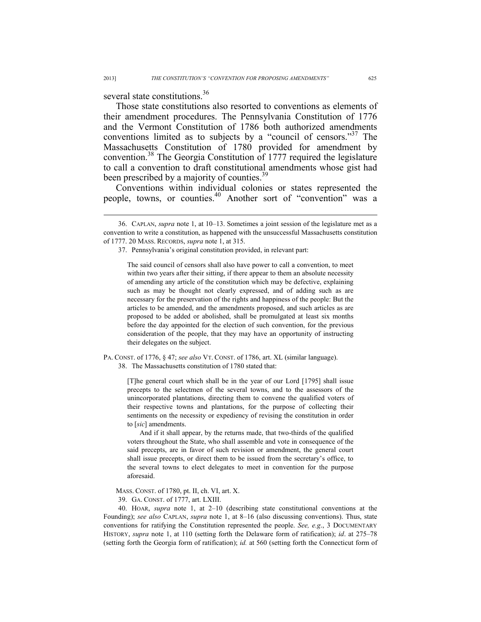several state constitutions.<sup>36</sup>

 $\overline{a}$ 

Those state constitutions also resorted to conventions as elements of their amendment procedures. The Pennsylvania Constitution of 1776 and the Vermont Constitution of 1786 both authorized amendments conventions limited as to subjects by a "council of censors."<sup>37</sup> The Massachusetts Constitution of 1780 provided for amendment by convention.38 The Georgia Constitution of 1777 required the legislature to call a convention to draft constitutional amendments whose gist had been prescribed by a majority of counties.<sup>39</sup>

Conventions within individual colonies or states represented the people, towns, or counties.<sup>40</sup> Another sort of "convention" was a

PA. CONST. of 1776, § 47; *see also* VT. CONST. of 1786, art. XL (similar language).

38. The Massachusetts constitution of 1780 stated that:

[T]he general court which shall be in the year of our Lord [1795] shall issue precepts to the selectmen of the several towns, and to the assessors of the unincorporated plantations, directing them to convene the qualified voters of their respective towns and plantations, for the purpose of collecting their sentiments on the necessity or expediency of revising the constitution in order to [*sic*] amendments.

And if it shall appear, by the returns made, that two-thirds of the qualified voters throughout the State, who shall assemble and vote in consequence of the said precepts, are in favor of such revision or amendment, the general court shall issue precepts, or direct them to be issued from the secretary's office, to the several towns to elect delegates to meet in convention for the purpose aforesaid.

39. GA. CONST. of 1777, art. LXIII.

 40. HOAR, *supra* note 1, at 2–10 (describing state constitutional conventions at the Founding); *see also* CAPLAN, *supra* note 1, at 8–16 (also discussing conventions). Thus, state conventions for ratifying the Constitution represented the people. *See, e.g*., 3 DOCUMENTARY HISTORY, *supra* note 1, at 110 (setting forth the Delaware form of ratification); *id*. at 275–78 (setting forth the Georgia form of ratification); *id.* at 560 (setting forth the Connecticut form of

 <sup>36.</sup> CAPLAN, *supra* note 1, at 10–13. Sometimes a joint session of the legislature met as a convention to write a constitution, as happened with the unsuccessful Massachusetts constitution of 1777. 20 MASS. RECORDS, *supra* note 1, at 315.

 <sup>37.</sup> Pennsylvania's original constitution provided, in relevant part:

The said council of censors shall also have power to call a convention, to meet within two years after their sitting, if there appear to them an absolute necessity of amending any article of the constitution which may be defective, explaining such as may be thought not clearly expressed, and of adding such as are necessary for the preservation of the rights and happiness of the people: But the articles to be amended, and the amendments proposed, and such articles as are proposed to be added or abolished, shall be promulgated at least six months before the day appointed for the election of such convention, for the previous consideration of the people, that they may have an opportunity of instructing their delegates on the subject.

MASS. CONST. of 1780, pt. II, ch. VI, art. X.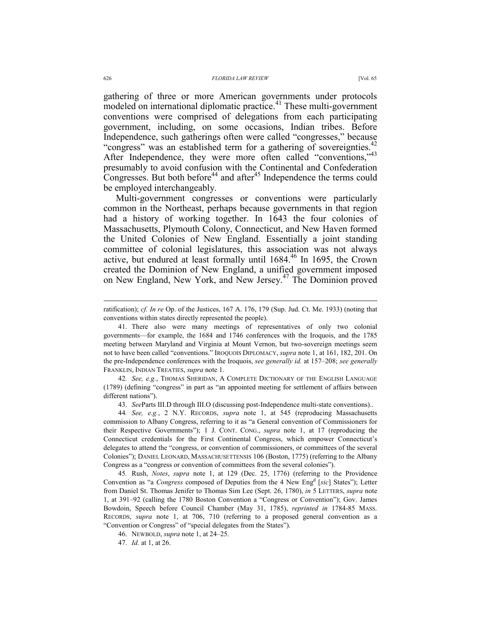gathering of three or more American governments under protocols modeled on international diplomatic practice.<sup>41</sup> These multi-government conventions were comprised of delegations from each participating government, including, on some occasions, Indian tribes. Before Independence, such gatherings often were called "congresses," because "congress" was an established term for a gathering of sovereignties.<sup>42</sup> After Independence, they were more often called "conventions,"43 presumably to avoid confusion with the Continental and Confederation Congresses. But both before<sup>44</sup> and after<sup>45</sup> Independence the terms could be employed interchangeably.

Multi-government congresses or conventions were particularly common in the Northeast, perhaps because governments in that region had a history of working together. In 1643 the four colonies of Massachusetts, Plymouth Colony, Connecticut, and New Haven formed the United Colonies of New England. Essentially a joint standing committee of colonial legislatures, this association was not always active, but endured at least formally until 1684.<sup>46</sup> In 1695, the Crown created the Dominion of New England, a unified government imposed on New England, New York, and New Jersey.47 The Dominion proved

42*. See, e.g.*, THOMAS SHERIDAN, A COMPLETE DICTIONARY OF THE ENGLISH LANGUAGE (1789) (defining "congress" in part as "an appointed meeting for settlement of affairs between different nations").

43. *See*Parts III.D through III.O (discussing post-Independence multi-state conventions)..

45*.* Rush, *Notes*, *supra* note 1, at 129 (Dec. 25, 1776) (referring to the Providence Convention as "a *Congress* composed of Deputies from the 4 New Eng<sup>d</sup> [sic] States"); Letter from Daniel St. Thomas Jenifer to Thomas Sim Lee (Sept. 26, 1780), *in* 5 LETTERS, *supra* note 1, at 391–92 (calling the 1780 Boston Convention a "Congress or Convention"); Gov. James Bowdoin, Speech before Council Chamber (May 31, 1785), *reprinted in* 1784-85 MASS. RECORDS, *supra* note 1, at 706, 710 (referring to a proposed general convention as a "Convention or Congress" of "special delegates from the States").

46. NEWBOLD, *supra* note 1, at 24–25.

47. *Id.* at 1, at 26.

ratification); *cf. In re* Op. of the Justices, 167 A. 176, 179 (Sup. Jud. Ct. Me. 1933) (noting that conventions within states directly represented the people).

 <sup>41.</sup> There also were many meetings of representatives of only two colonial governments—for example, the 1684 and 1746 conferences with the Iroquois, and the 1785 meeting between Maryland and Virginia at Mount Vernon, but two-sovereign meetings seem not to have been called "conventions." IROQUOIS DIPLOMACY, *supra* note 1, at 161, 182, 201. On the pre-Independence conferences with the Iroquois, *see generally id.* at 157–208; *see generally* FRANKLIN, INDIAN TREATIES, *supra* note 1.

<sup>44</sup>*. See, e.g.*, 2 N.Y. RECORDS, *supra* note 1, at 545 (reproducing Massachusetts commission to Albany Congress, referring to it as "a General convention of Commissioners for their Respective Governments"); 1 J. CONT. CONG., *supra* note 1, at 17 (reproducing the Connecticut credentials for the First Continental Congress, which empower Connecticut's delegates to attend the "congress, or convention of commissioners, or committees of the several Colonies"); DANIEL LEONARD, MASSACHUSETTENSIS 106 (Boston, 1775) (referring to the Albany Congress as a "congress or convention of committees from the several colonies").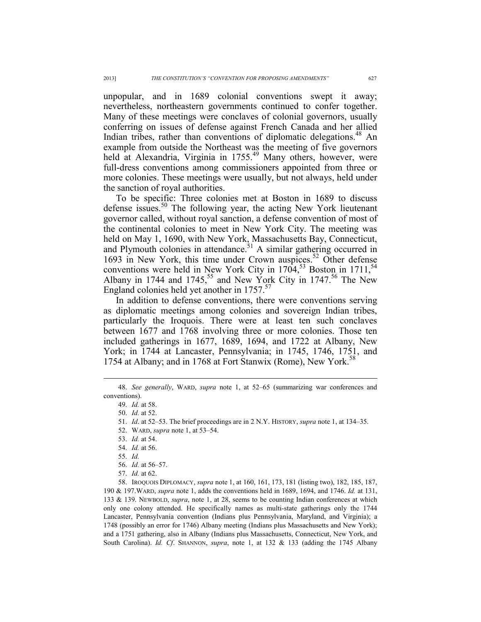unpopular, and in 1689 colonial conventions swept it away; nevertheless, northeastern governments continued to confer together. Many of these meetings were conclaves of colonial governors, usually conferring on issues of defense against French Canada and her allied Indian tribes, rather than conventions of diplomatic delegations.<sup>48</sup> An example from outside the Northeast was the meeting of five governors held at Alexandria, Virginia in 1755.<sup>49</sup> Many others, however, were full-dress conventions among commissioners appointed from three or more colonies. These meetings were usually, but not always, held under the sanction of royal authorities.

To be specific: Three colonies met at Boston in 1689 to discuss defense issues.<sup>50</sup> The following year, the acting New York lieutenant governor called, without royal sanction, a defense convention of most of the continental colonies to meet in New York City. The meeting was held on May 1, 1690, with New York, Massachusetts Bay, Connecticut, and Plymouth colonies in attendance.<sup> $51$ </sup> A similar gathering occurred in 1693 in New York, this time under Crown auspices.<sup>52</sup> Other defense conventions were held in New York City in  $1704$ ,<sup>53</sup> Boston in  $1711$ ,<sup>54</sup> Albany in 1744 and 1745,<sup>55</sup> and New York City in 1747.<sup>56</sup> The New England colonies held yet another in  $1757$ <sup>57</sup>

In addition to defense conventions, there were conventions serving as diplomatic meetings among colonies and sovereign Indian tribes, particularly the Iroquois. There were at least ten such conclaves between 1677 and 1768 involving three or more colonies. Those ten included gatherings in 1677, 1689, 1694, and 1722 at Albany, New York; in 1744 at Lancaster, Pennsylvania; in 1745, 1746, 1751, and 1754 at Albany; and in 1768 at Fort Stanwix (Rome), New York.<sup>38</sup>

 $\overline{a}$ 

53. *Id.* at 54.

 58. IROQUOIS DIPLOMACY, *supra* note 1, at 160, 161, 173, 181 (listing two), 182, 185, 187, 190 & 197.WARD, *supra* note 1, adds the conventions held in 1689, 1694, and 1746. *Id.* at 131, 133 & 139. NEWBOLD, *supra*, note 1, at 28, seems to be counting Indian conferences at which only one colony attended. He specifically names as multi-state gatherings only the 1744 Lancaster, Pennsylvania convention (Indians plus Pennsylvania, Maryland, and Virginia); a 1748 (possibly an error for 1746) Albany meeting (Indians plus Massachusetts and New York); and a 1751 gathering, also in Albany (Indians plus Massachusetts, Connecticut, New York, and South Carolina). *Id. Cf*. SHANNON, *supra*, note 1, at 132 & 133 (adding the 1745 Albany

 <sup>48.</sup> *See generally*, WARD, *supra* note 1, at 52–65 (summarizing war conferences and conventions).

 <sup>49.</sup> *Id.* at 58.

 <sup>50.</sup> *Id.* at 52.

 <sup>51.</sup> *Id*. at 52–53. The brief proceedings are in 2 N.Y. HISTORY, *supra* note 1, at 134–35.

 <sup>52.</sup> WARD, *supra* note 1, at 53–54.

 <sup>54.</sup> *Id.* at 56.

 <sup>55.</sup> *Id.* 

 <sup>56.</sup> *Id.* at 56–57.

 <sup>57.</sup> *Id.* at 62.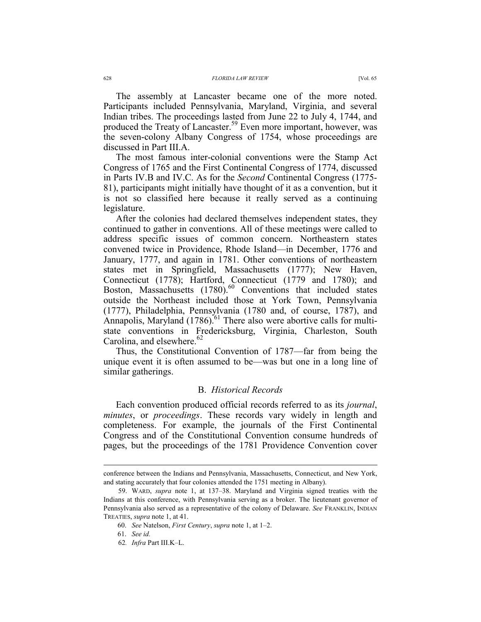The assembly at Lancaster became one of the more noted. Participants included Pennsylvania, Maryland, Virginia, and several Indian tribes. The proceedings lasted from June 22 to July 4, 1744, and produced the Treaty of Lancaster.<sup>59</sup> Even more important, however, was the seven-colony Albany Congress of 1754, whose proceedings are discussed in Part III.A.

The most famous inter-colonial conventions were the Stamp Act Congress of 1765 and the First Continental Congress of 1774, discussed in Parts IV.B and IV.C. As for the *Second* Continental Congress (1775- 81), participants might initially have thought of it as a convention, but it is not so classified here because it really served as a continuing legislature.

After the colonies had declared themselves independent states, they continued to gather in conventions. All of these meetings were called to address specific issues of common concern. Northeastern states convened twice in Providence, Rhode Island—in December, 1776 and January, 1777, and again in 1781. Other conventions of northeastern states met in Springfield, Massachusetts (1777); New Haven, Connecticut (1778); Hartford, Connecticut (1779 and 1780); and Boston, Massachusetts (1780).<sup>60</sup> Conventions that included states outside the Northeast included those at York Town, Pennsylvania (1777), Philadelphia, Pennsylvania (1780 and, of course, 1787), and Annapolis, Maryland  $(1786)$ .<sup>61</sup> There also were abortive calls for multistate conventions in Fredericksburg, Virginia, Charleston, South Carolina, and elsewhere. $62$ 

Thus, the Constitutional Convention of 1787—far from being the unique event it is often assumed to be—was but one in a long line of similar gatherings.

#### B. *Historical Records*

Each convention produced official records referred to as its *journal*, *minutes*, or *proceedings*. These records vary widely in length and completeness. For example, the journals of the First Continental Congress and of the Constitutional Convention consume hundreds of pages, but the proceedings of the 1781 Providence Convention cover

conference between the Indians and Pennsylvania, Massachusetts, Connecticut, and New York, and stating accurately that four colonies attended the 1751 meeting in Albany).

 <sup>59.</sup> WARD, *supra* note 1, at 137–38. Maryland and Virginia signed treaties with the Indians at this conference, with Pennsylvania serving as a broker. The lieutenant governor of Pennsylvania also served as a representative of the colony of Delaware. *See* FRANKLIN, INDIAN TREATIES, *supra* note 1, at 41.

<sup>60.</sup> *See* Natelson, *First Century*, *supra* note 1, at 1–2.

 <sup>61.</sup> *See id.*

<sup>62</sup>*. Infra* Part III.K–L.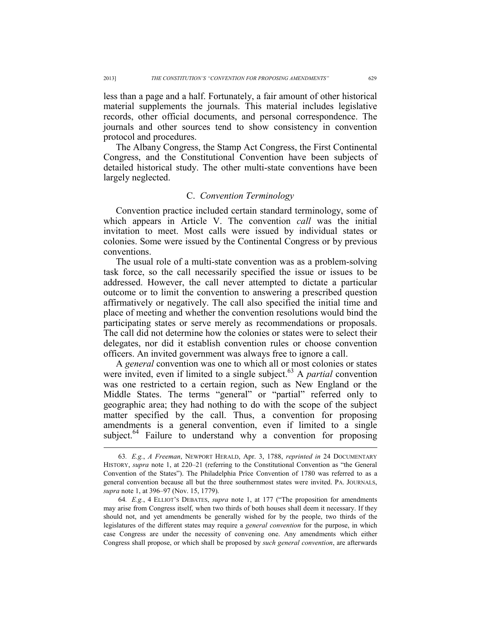less than a page and a half. Fortunately, a fair amount of other historical material supplements the journals. This material includes legislative records, other official documents, and personal correspondence. The journals and other sources tend to show consistency in convention protocol and procedures.

The Albany Congress, the Stamp Act Congress, the First Continental Congress, and the Constitutional Convention have been subjects of detailed historical study. The other multi-state conventions have been largely neglected.

### C. *Convention Terminology*

Convention practice included certain standard terminology, some of which appears in Article V. The convention *call* was the initial invitation to meet. Most calls were issued by individual states or colonies. Some were issued by the Continental Congress or by previous conventions.

The usual role of a multi-state convention was as a problem-solving task force, so the call necessarily specified the issue or issues to be addressed. However, the call never attempted to dictate a particular outcome or to limit the convention to answering a prescribed question affirmatively or negatively. The call also specified the initial time and place of meeting and whether the convention resolutions would bind the participating states or serve merely as recommendations or proposals. The call did not determine how the colonies or states were to select their delegates, nor did it establish convention rules or choose convention officers. An invited government was always free to ignore a call.

A *general* convention was one to which all or most colonies or states were invited, even if limited to a single subject.<sup>63</sup> A *partial* convention was one restricted to a certain region, such as New England or the Middle States. The terms "general" or "partial" referred only to geographic area; they had nothing to do with the scope of the subject matter specified by the call. Thus, a convention for proposing amendments is a general convention, even if limited to a single subject. $64$  Failure to understand why a convention for proposing

 <sup>63</sup>*. E.g.*, *A Freeman*, NEWPORT HERALD, Apr. 3, 1788, *reprinted in* 24 DOCUMENTARY HISTORY, *supra* note 1, at 220–21 (referring to the Constitutional Convention as "the General Convention of the States"). The Philadelphia Price Convention of 1780 was referred to as a general convention because all but the three southernmost states were invited. PA. JOURNALS, *supra* note 1, at 396–97 (Nov. 15, 1779).

<sup>64</sup>*. E.g.*, 4 ELLIOT'S DEBATES, *supra* note 1, at 177 ("The proposition for amendments may arise from Congress itself, when two thirds of both houses shall deem it necessary. If they should not, and yet amendments be generally wished for by the people, two thirds of the legislatures of the different states may require a *general convention* for the purpose, in which case Congress are under the necessity of convening one. Any amendments which either Congress shall propose, or which shall be proposed by *such general convention*, are afterwards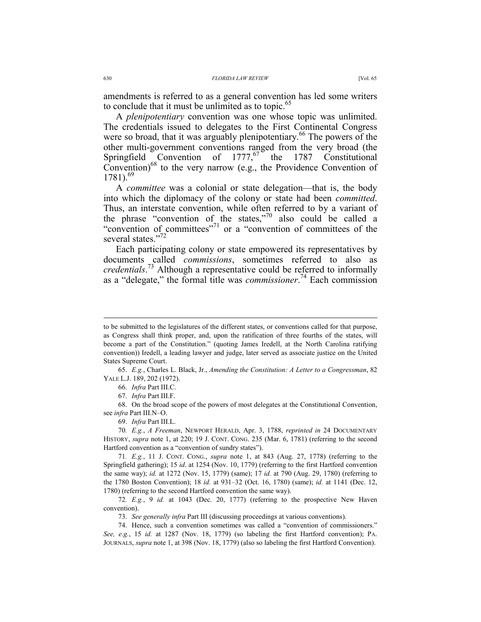amendments is referred to as a general convention has led some writers to conclude that it must be unlimited as to topic.<sup>65</sup>

A *plenipotentiary* convention was one whose topic was unlimited. The credentials issued to delegates to the First Continental Congress were so broad, that it was arguably plenipotentiary.<sup>66</sup> The powers of the other multi-government conventions ranged from the very broad (the Springfield Convention of  $1777<sup>67</sup>$  the 1787 Constitutional Convention) $^{68}$  to the very narrow (e.g., the Providence Convention of  $1781$ .<sup>69</sup>

A *committee* was a colonial or state delegation—that is, the body into which the diplomacy of the colony or state had been *committed*. Thus, an interstate convention, while often referred to by a variant of the phrase "convention of the states,"<sup>70</sup> also could be called a "convention of committees"<sup>71</sup> or a "convention of committees of the several states."<sup>72</sup>

Each participating colony or state empowered its representatives by documents called *commissions*, sometimes referred to also as *credentials*. 73 Although a representative could be referred to informally as a "delegate," the formal title was *commissioner*. 74 Each commission

69. *Infra* Part III.L.

to be submitted to the legislatures of the different states, or conventions called for that purpose, as Congress shall think proper, and, upon the ratification of three fourths of the states, will become a part of the Constitution." (quoting James Iredell, at the North Carolina ratifying convention)) Iredell, a leading lawyer and judge, later served as associate justice on the United States Supreme Court.

 <sup>65.</sup> *E.g.*, Charles L. Black, Jr., *Amending the Constitution: A Letter to a Congressman*, 82 YALE L.J. 189, 202 (1972).

 <sup>66.</sup> *Infra* Part III.C.

 <sup>67.</sup> *Infra* Part III.F.

 <sup>68.</sup> On the broad scope of the powers of most delegates at the Constitutional Convention, see *infra* Part III.N–O.

<sup>70</sup>*. E.g.*, *A Freeman*, NEWPORT HERALD, Apr. 3, 1788, *reprinted in* 24 DOCUMENTARY HISTORY, *supra* note 1, at 220; 19 J. CONT. CONG. 235 (Mar. 6, 1781) (referring to the second Hartford convention as a "convention of sundry states").

<sup>71</sup>*. E.g.*, 11 J. CONT. CONG., *supra* note 1, at 843 (Aug. 27, 1778) (referring to the Springfield gathering); 15 *id*. at 1254 (Nov. 10, 1779) (referring to the first Hartford convention the same way); *id.* at 1272 (Nov. 15, 1779) (same); 17 *id.* at 790 (Aug. 29, 1780) (referring to the 1780 Boston Convention); 18 *id.* at 931–32 (Oct. 16, 1780) (same); *id.* at 1141 (Dec. 12, 1780) (referring to the second Hartford convention the same way).

<sup>72</sup>*. E.g.*, 9 *id.* at 1043 (Dec. 20, 1777) (referring to the prospective New Haven convention).

 <sup>73.</sup> *See generally infra* Part III (discussing proceedings at various conventions).

 <sup>74.</sup> Hence, such a convention sometimes was called a "convention of commissioners." *See, e.g.*, 15 *id.* at 1287 (Nov. 18, 1779) (so labeling the first Hartford convention); PA. JOURNALS, *supra* note 1, at 398 (Nov. 18, 1779) (also so labeling the first Hartford Convention).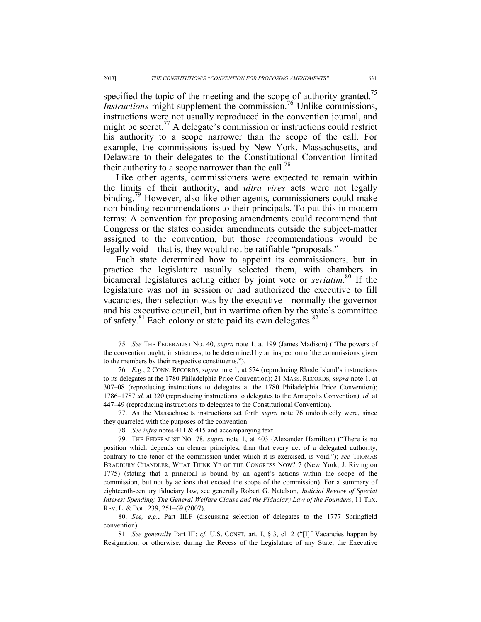specified the topic of the meeting and the scope of authority granted.<sup>75</sup> *Instructions* might supplement the commission.<sup>76</sup> Unlike commissions, instructions were not usually reproduced in the convention journal, and might be secret.<sup>77</sup> A delegate's commission or instructions could restrict his authority to a scope narrower than the scope of the call. For example, the commissions issued by New York, Massachusetts, and Delaware to their delegates to the Constitutional Convention limited their authority to a scope narrower than the call.<sup>78</sup>

Like other agents, commissioners were expected to remain within the limits of their authority, and *ultra vires* acts were not legally binding.<sup>79</sup> However, also like other agents, commissioners could make non-binding recommendations to their principals. To put this in modern terms: A convention for proposing amendments could recommend that Congress or the states consider amendments outside the subject-matter assigned to the convention, but those recommendations would be legally void—that is, they would not be ratifiable "proposals."

Each state determined how to appoint its commissioners, but in practice the legislature usually selected them, with chambers in bicameral legislatures acting either by joint vote or *seriatim*. 80 If the legislature was not in session or had authorized the executive to fill vacancies, then selection was by the executive—normally the governor and his executive council, but in wartime often by the state's committee of safety.<sup>81</sup> Each colony or state paid its own delegates.<sup>82</sup>

 77. As the Massachusetts instructions set forth *supra* note 76 undoubtedly were, since they quarreled with the purposes of the convention.

 80. *See, e.g.*, Part III.F (discussing selection of delegates to the 1777 Springfield convention).

81*. See generally* Part III; *cf.* U.S. CONST. art. I, § 3, cl. 2 ("[I]f Vacancies happen by Resignation, or otherwise, during the Recess of the Legislature of any State, the Executive

 <sup>75</sup>*. See* THE FEDERALIST NO. 40, *supra* note 1, at 199 (James Madison) ("The powers of the convention ought, in strictness, to be determined by an inspection of the commissions given to the members by their respective constituents.").

<sup>76</sup>*. E.g.*, 2 CONN. RECORDS, *supra* note 1, at 574 (reproducing Rhode Island's instructions to its delegates at the 1780 Philadelphia Price Convention); 21 MASS. RECORDS, *supra* note 1, at 307–08 (reproducing instructions to delegates at the 1780 Philadelphia Price Convention); 1786–1787 *id.* at 320 (reproducing instructions to delegates to the Annapolis Convention); *id.* at 447–49 (reproducing instructions to delegates to the Constitutional Convention).

 <sup>78.</sup> *See infra* notes 411 & 415 and accompanying text.

 <sup>79.</sup> THE FEDERALIST NO. 78, *supra* note 1, at 403 (Alexander Hamilton) ("There is no position which depends on clearer principles, than that every act of a delegated authority, contrary to the tenor of the commission under which it is exercised, is void."); *see* THOMAS BRADBURY CHANDLER, WHAT THINK YE OF THE CONGRESS NOW? 7 (New York, J. Rivington 1775) (stating that a principal is bound by an agent's actions within the scope of the commission, but not by actions that exceed the scope of the commission). For a summary of eighteenth-century fiduciary law, see generally Robert G. Natelson, *Judicial Review of Special Interest Spending: The General Welfare Clause and the Fiduciary Law of the Founders*, 11 TEX. REV. L. & POL. 239, 251–69 (2007).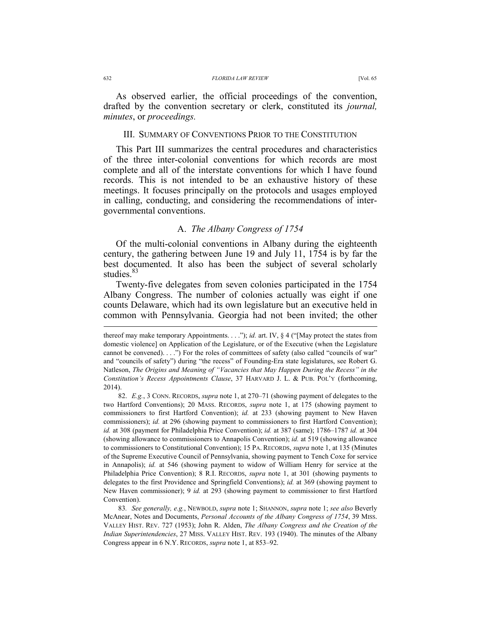#### 632 *FLORIDA LAW REVIEW* [Vol. 65

As observed earlier, the official proceedings of the convention, drafted by the convention secretary or clerk, constituted its *journal, minutes*, or *proceedings.*

#### III. SUMMARY OF CONVENTIONS PRIOR TO THE CONSTITUTION

This Part III summarizes the central procedures and characteristics of the three inter-colonial conventions for which records are most complete and all of the interstate conventions for which I have found records. This is not intended to be an exhaustive history of these meetings. It focuses principally on the protocols and usages employed in calling, conducting, and considering the recommendations of intergovernmental conventions.

#### A. *The Albany Congress of 1754*

Of the multi-colonial conventions in Albany during the eighteenth century, the gathering between June 19 and July 11, 1754 is by far the best documented. It also has been the subject of several scholarly studies.<sup>83</sup>

Twenty-five delegates from seven colonies participated in the 1754 Albany Congress. The number of colonies actually was eight if one counts Delaware, which had its own legislature but an executive held in common with Pennsylvania. Georgia had not been invited; the other

thereof may make temporary Appointments. . . ."); *id.* art. IV, § 4 ("[May protect the states from domestic violence] on Application of the Legislature, or of the Executive (when the Legislature cannot be convened). . . .") For the roles of committees of safety (also called "councils of war" and "councils of safety") during "the recess" of Founding-Era state legislatures, see Robert G. Natleson, *The Origins and Meaning of "Vacancies that May Happen During the Recess" in the Constitution's Recess Appointments Clause*, 37 HARVARD J. L. & PUB. POL'Y (forthcoming, 2014).

 <sup>82.</sup> *E.g.*, 3 CONN. RECORDS, *supra* note 1, at 270–71 (showing payment of delegates to the two Hartford Conventions); 20 MASS. RECORDS, *supra* note 1, at 175 (showing payment to commissioners to first Hartford Convention); *id.* at 233 (showing payment to New Haven commissioners); *id.* at 296 (showing payment to commissioners to first Hartford Convention); *id.* at 308 (payment for Philadelphia Price Convention); *id.* at 387 (same); 1786–1787 *id.* at 304 (showing allowance to commissioners to Annapolis Convention); *id.* at 519 (showing allowance to commissioners to Constitutional Convention); 15 PA. RECORDS, *supra* note 1, at 135 (Minutes of the Supreme Executive Council of Pennsylvania, showing payment to Tench Coxe for service in Annapolis); *id.* at 546 (showing payment to widow of William Henry for service at the Philadelphia Price Convention); 8 R.I. RECORDS, *supra* note 1, at 301 (showing payments to delegates to the first Providence and Springfield Conventions); *id.* at 369 (showing payment to New Haven commissioner); 9 *id.* at 293 (showing payment to commissioner to first Hartford Convention).

<sup>83</sup>*. See generally, e.g.*, NEWBOLD, *supra* note 1; SHANNON, *supra* note 1; *see also* Beverly McAnear, Notes and Documents, *Personal Accounts of the Albany Congress of 1754*, 39 MISS. VALLEY HIST. REV. 727 (1953); John R. Alden, *The Albany Congress and the Creation of the Indian Superintendencies*, 27 MISS. VALLEY HIST. REV. 193 (1940). The minutes of the Albany Congress appear in 6 N.Y. RECORDS, *supra* note 1, at 853–92.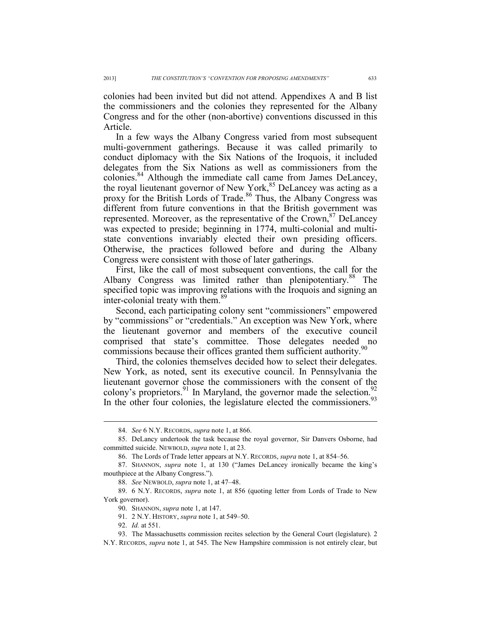colonies had been invited but did not attend. Appendixes A and B list the commissioners and the colonies they represented for the Albany Congress and for the other (non-abortive) conventions discussed in this Article.

In a few ways the Albany Congress varied from most subsequent multi-government gatherings. Because it was called primarily to conduct diplomacy with the Six Nations of the Iroquois, it included delegates from the Six Nations as well as commissioners from the colonies.84 Although the immediate call came from James DeLancey, the royal lieutenant governor of New York,<sup>85</sup> DeLancey was acting as a proxy for the British Lords of Trade.<sup>86</sup> Thus, the Albany Congress was different from future conventions in that the British government was represented. Moreover, as the representative of the Crown,  $8<sup>7</sup>$  DeLancey was expected to preside; beginning in 1774, multi-colonial and multistate conventions invariably elected their own presiding officers. Otherwise, the practices followed before and during the Albany Congress were consistent with those of later gatherings.

First, like the call of most subsequent conventions, the call for the Albany Congress was limited rather than plenipotentiary.<sup>88</sup> The specified topic was improving relations with the Iroquois and signing an inter-colonial treaty with them.<sup>89</sup>

Second, each participating colony sent "commissioners" empowered by "commissions" or "credentials." An exception was New York, where the lieutenant governor and members of the executive council comprised that state's committee. Those delegates needed no commissions because their offices granted them sufficient authority.<sup>90</sup>

Third, the colonies themselves decided how to select their delegates. New York, as noted, sent its executive council. In Pennsylvania the lieutenant governor chose the commissioners with the consent of the colony's proprietors. <sup>91</sup> In Maryland, the governor made the selection. <sup>92</sup> In the other four colonies, the legislature elected the commissioners. $93$ 

91. 2 N.Y. HISTORY, *supra* note 1, at 549–50.

 <sup>84.</sup> *See* 6 N.Y. RECORDS, *supra* note 1, at 866.

 <sup>85.</sup> DeLancy undertook the task because the royal governor, Sir Danvers Osborne, had committed suicide. NEWBOLD, *supra* note 1, at 23.

 <sup>86.</sup> The Lords of Trade letter appears at N.Y. RECORDS, *supra* note 1, at 854–56.

 <sup>87.</sup> SHANNON, *supra* note 1, at 130 ("James DeLancey ironically became the king's mouthpiece at the Albany Congress.").

 <sup>88.</sup> *See* NEWBOLD, *supra* note 1, at 47–48.

 <sup>89. 6</sup> N.Y. RECORDS, *supra* note 1, at 856 (quoting letter from Lords of Trade to New York governor).

 <sup>90.</sup> SHANNON, *supra* note 1, at 147.

 <sup>92.</sup> *Id.* at 551.

 <sup>93.</sup> The Massachusetts commission recites selection by the General Court (legislature). 2 N.Y. RECORDS, *supra* note 1, at 545. The New Hampshire commission is not entirely clear, but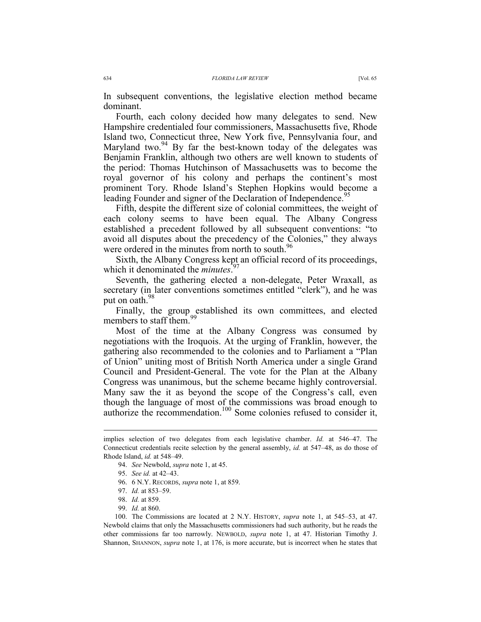In subsequent conventions, the legislative election method became dominant.

Fourth, each colony decided how many delegates to send. New Hampshire credentialed four commissioners, Massachusetts five, Rhode Island two, Connecticut three, New York five, Pennsylvania four, and Maryland two.<sup>94</sup> By far the best-known today of the delegates was Benjamin Franklin, although two others are well known to students of the period: Thomas Hutchinson of Massachusetts was to become the royal governor of his colony and perhaps the continent's most prominent Tory. Rhode Island's Stephen Hopkins would become a leading Founder and signer of the Declaration of Independence.<sup>95</sup>

Fifth, despite the different size of colonial committees, the weight of each colony seems to have been equal. The Albany Congress established a precedent followed by all subsequent conventions: "to avoid all disputes about the precedency of the Colonies," they always were ordered in the minutes from north to south.<sup>96</sup>

Sixth, the Albany Congress kept an official record of its proceedings, which it denominated the *minutes*. 97

Seventh, the gathering elected a non-delegate, Peter Wraxall, as secretary (in later conventions sometimes entitled "clerk"), and he was put on oath.<sup>98</sup>

Finally, the group established its own committees, and elected members to staff them.<sup>9</sup>

Most of the time at the Albany Congress was consumed by negotiations with the Iroquois. At the urging of Franklin, however, the gathering also recommended to the colonies and to Parliament a "Plan of Union" uniting most of British North America under a single Grand Council and President-General. The vote for the Plan at the Albany Congress was unanimous, but the scheme became highly controversial. Many saw the it as beyond the scope of the Congress's call, even though the language of most of the commissions was broad enough to authorize the recommendation.<sup>100</sup> Some colonies refused to consider it,

 $\overline{a}$ 

99. *Id.* at 860.

implies selection of two delegates from each legislative chamber. *Id.* at 546–47. The Connecticut credentials recite selection by the general assembly, *id.* at 547–48, as do those of Rhode Island, *id.* at 548–49.

 <sup>94.</sup> *See* Newbold, *supra* note 1, at 45.

 <sup>95.</sup> *See id.* at 42–43.

 <sup>96. 6</sup> N.Y. RECORDS, *supra* note 1, at 859.

 <sup>97.</sup> *Id.* at 853–59.

 <sup>98.</sup> *Id.* at 859.

 <sup>100.</sup> The Commissions are located at 2 N.Y. HISTORY, *supra* note 1, at 545–53, at 47. Newbold claims that only the Massachusetts commissioners had such authority, but he reads the other commissions far too narrowly. NEWBOLD, *supra* note 1, at 47. Historian Timothy J. Shannon, SHANNON, *supra* note 1, at 176, is more accurate, but is incorrect when he states that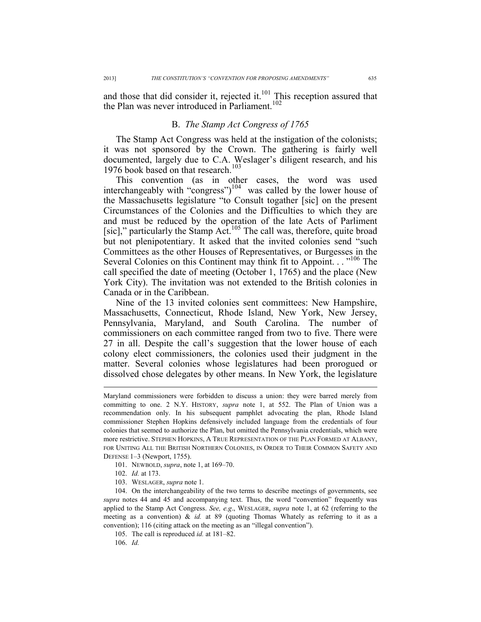and those that did consider it, rejected it. $101$  This reception assured that the Plan was never introduced in Parliament.<sup>102</sup>

#### B. *The Stamp Act Congress of 1765*

The Stamp Act Congress was held at the instigation of the colonists; it was not sponsored by the Crown. The gathering is fairly well documented, largely due to C.A. Weslager's diligent research, and his 1976 book based on that research.<sup>103</sup>

This convention (as in other cases, the word was used interchangeably with "congress")104 was called by the lower house of the Massachusetts legislature "to Consult togather [sic] on the present Circumstances of the Colonies and the Difficulties to which they are and must be reduced by the operation of the late Acts of Parliment [sic]," particularly the Stamp Act.<sup>105</sup> The call was, therefore, quite broad but not plenipotentiary. It asked that the invited colonies send "such Committees as the other Houses of Representatives, or Burgesses in the Several Colonies on this Continent may think fit to Appoint. . . "<sup>106</sup> The call specified the date of meeting (October 1, 1765) and the place (New York City). The invitation was not extended to the British colonies in Canada or in the Caribbean.

Nine of the 13 invited colonies sent committees: New Hampshire, Massachusetts, Connecticut, Rhode Island, New York, New Jersey, Pennsylvania, Maryland, and South Carolina. The number of commissioners on each committee ranged from two to five. There were 27 in all. Despite the call's suggestion that the lower house of each colony elect commissioners, the colonies used their judgment in the matter. Several colonies whose legislatures had been prorogued or dissolved chose delegates by other means. In New York, the legislature

- 101. NEWBOLD, *supra*, note 1, at 169–70.
- 102. *Id.* at 173.

 $\overline{a}$ 

103. WESLAGER, *supra* note 1.

 104. On the interchangeability of the two terms to describe meetings of governments, see *supra* notes 44 and 45 and accompanying text. Thus, the word "convention" frequently was applied to the Stamp Act Congress. *See, e.g*., WESLAGER, *supra* note 1, at 62 (referring to the meeting as a convention) & *id.* at 89 (quoting Thomas Whately as referring to it as a convention); 116 (citing attack on the meeting as an "illegal convention").

105. The call is reproduced *id.* at 181–82.

106. *Id.*

Maryland commissioners were forbidden to discuss a union: they were barred merely from committing to one. 2 N.Y. HISTORY, *supra* note 1, at 552. The Plan of Union was a recommendation only. In his subsequent pamphlet advocating the plan, Rhode Island commissioner Stephen Hopkins defensively included language from the credentials of four colonies that seemed to authorize the Plan, but omitted the Pennsylvania credentials, which were more restrictive. STEPHEN HOPKINS, A TRUE REPRESENTATION OF THE PLAN FORMED AT ALBANY, FOR UNITING ALL THE BRITISH NORTHERN COLONIES, IN ORDER TO THEIR COMMON SAFETY AND DEFENSE 1–3 (Newport, 1755).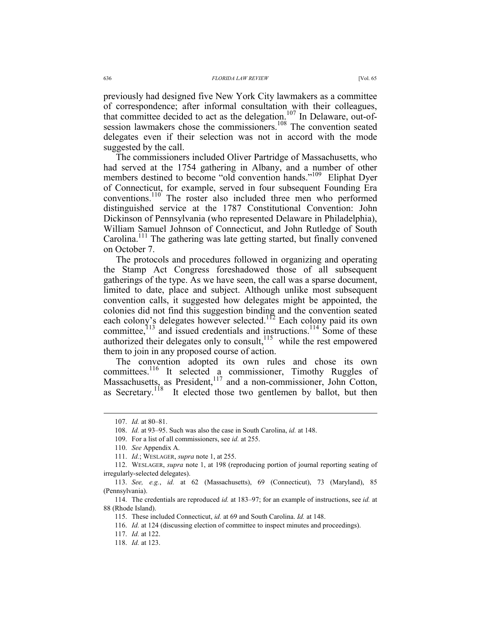previously had designed five New York City lawmakers as a committee of correspondence; after informal consultation with their colleagues, that committee decided to act as the delegation.107 In Delaware, out-ofsession lawmakers chose the commissioners.<sup>108</sup> The convention seated delegates even if their selection was not in accord with the mode suggested by the call.

The commissioners included Oliver Partridge of Massachusetts, who had served at the 1754 gathering in Albany, and a number of other members destined to become "old convention hands."<sup>109</sup> Eliphat Dyer of Connecticut, for example, served in four subsequent Founding Era conventions.110 The roster also included three men who performed distinguished service at the 1787 Constitutional Convention: John Dickinson of Pennsylvania (who represented Delaware in Philadelphia), William Samuel Johnson of Connecticut, and John Rutledge of South Carolina.<sup>111</sup> The gathering was late getting started, but finally convened on October 7.

The protocols and procedures followed in organizing and operating the Stamp Act Congress foreshadowed those of all subsequent gatherings of the type. As we have seen, the call was a sparse document, limited to date, place and subject. Although unlike most subsequent convention calls, it suggested how delegates might be appointed, the colonies did not find this suggestion binding and the convention seated each colony's delegates however selected.<sup>112</sup> Each colony paid its own committee,<sup>113</sup> and issued credentials and instructions.<sup>114</sup> Some of these authorized their delegates only to consult,  $115$  while the rest empowered them to join in any proposed course of action.

The convention adopted its own rules and chose its own committees.<sup>116</sup> It selected a commissioner, Timothy Ruggles of Massachusetts, as President,<sup>117</sup> and a non-commissioner, John Cotton, as Secretary.<sup>118</sup> It elected those two gentlemen by ballot, but then

 <sup>107.</sup> *Id.* at 80–81.

 <sup>108.</sup> *Id.* at 93–95. Such was also the case in South Carolina, *id.* at 148.

 <sup>109.</sup> For a list of all commissioners, see *id.* at 255.

 <sup>110.</sup> *See* Appendix A.

 <sup>111.</sup> *Id.*; WESLAGER, *supra* note 1, at 255.

 <sup>112.</sup> WESLAGER, *supra* note 1, at 198 (reproducing portion of journal reporting seating of irregularly-selected delegates).

 <sup>113.</sup> *See, e.g.*, *id.* at 62 (Massachusetts), 69 (Connecticut), 73 (Maryland), 85 (Pennsylvania).

 <sup>114.</sup> The credentials are reproduced *id.* at 183–97; for an example of instructions, see *id.* at 88 (Rhode Island).

 <sup>115.</sup> These included Connecticut, *id.* at 69 and South Carolina. *Id.* at 148.

 <sup>116.</sup> *Id.* at 124 (discussing election of committee to inspect minutes and proceedings).

 <sup>117.</sup> *Id.* at 122.

 <sup>118.</sup> *Id.* at 123.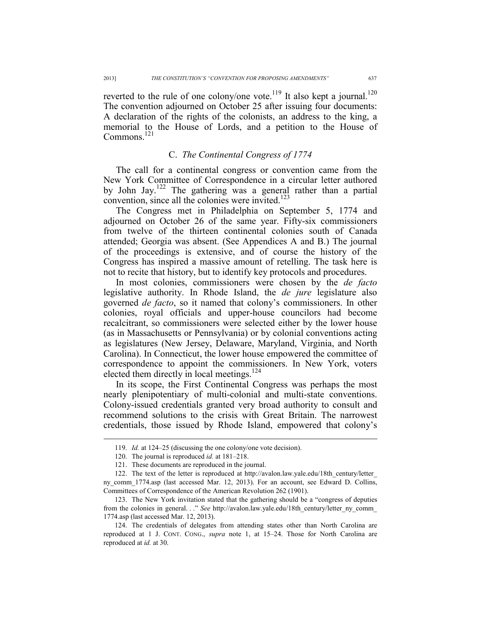reverted to the rule of one colony/one vote.<sup>119</sup> It also kept a journal.<sup>120</sup> The convention adjourned on October 25 after issuing four documents: A declaration of the rights of the colonists, an address to the king, a memorial to the House of Lords, and a petition to the House of Commons.<sup>121</sup>

### C. *The Continental Congress of 1774*

The call for a continental congress or convention came from the New York Committee of Correspondence in a circular letter authored by John Jay.<sup>122</sup> The gathering was a general rather than a partial convention, since all the colonies were invited.<sup>123</sup>

The Congress met in Philadelphia on September 5, 1774 and adjourned on October 26 of the same year. Fifty-six commissioners from twelve of the thirteen continental colonies south of Canada attended; Georgia was absent. (See Appendices A and B.) The journal of the proceedings is extensive, and of course the history of the Congress has inspired a massive amount of retelling. The task here is not to recite that history, but to identify key protocols and procedures.

In most colonies, commissioners were chosen by the *de facto* legislative authority. In Rhode Island, the *de jure* legislature also governed *de facto*, so it named that colony's commissioners. In other colonies, royal officials and upper-house councilors had become recalcitrant, so commissioners were selected either by the lower house (as in Massachusetts or Pennsylvania) or by colonial conventions acting as legislatures (New Jersey, Delaware, Maryland, Virginia, and North Carolina). In Connecticut, the lower house empowered the committee of correspondence to appoint the commissioners. In New York, voters elected them directly in local meetings.<sup>124</sup>

In its scope, the First Continental Congress was perhaps the most nearly plenipotentiary of multi-colonial and multi-state conventions. Colony-issued credentials granted very broad authority to consult and recommend solutions to the crisis with Great Britain. The narrowest credentials, those issued by Rhode Island, empowered that colony's

 <sup>119.</sup> *Id.* at 124–25 (discussing the one colony/one vote decision).

 <sup>120.</sup> The journal is reproduced *id.* at 181–218.

 <sup>121.</sup> These documents are reproduced in the journal.

 <sup>122.</sup> The text of the letter is reproduced at http://avalon.law.yale.edu/18th\_century/letter\_

ny comm 1774.asp (last accessed Mar. 12, 2013). For an account, see Edward D. Collins, Committees of Correspondence of the American Revolution 262 (1901).

 <sup>123.</sup> The New York invitation stated that the gathering should be a "congress of deputies from the colonies in general. . ." *See* http://avalon.law.yale.edu/18th century/letter ny comm 1774.asp (last accessed Mar. 12, 2013).

 <sup>124.</sup> The credentials of delegates from attending states other than North Carolina are reproduced at 1 J. CONT. CONG., *supra* note 1, at 15–24. Those for North Carolina are reproduced at *id.* at 30.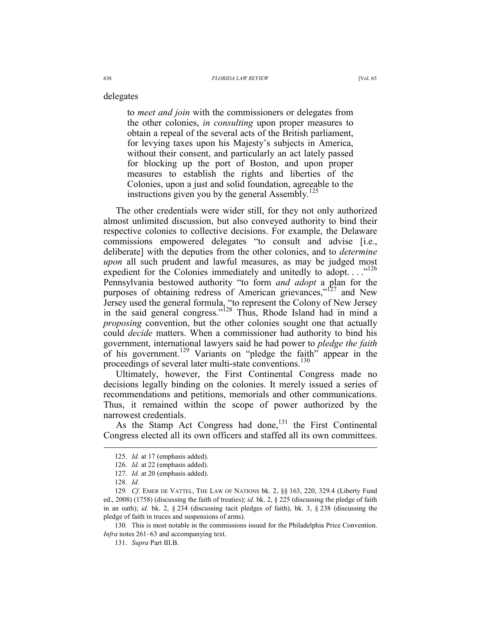delegates

to *meet and join* with the commissioners or delegates from the other colonies, *in consulting* upon proper measures to obtain a repeal of the several acts of the British parliament, for levying taxes upon his Majesty's subjects in America, without their consent, and particularly an act lately passed for blocking up the port of Boston, and upon proper measures to establish the rights and liberties of the Colonies, upon a just and solid foundation, agreeable to the instructions given you by the general Assembly.<sup>125</sup>

The other credentials were wider still, for they not only authorized almost unlimited discussion, but also conveyed authority to bind their respective colonies to collective decisions. For example, the Delaware commissions empowered delegates "to consult and advise [i.e., deliberate] with the deputies from the other colonies, and to *determine upon* all such prudent and lawful measures, as may be judged most expedient for the Colonies immediately and unitedly to adopt.  $\ldots$ <sup>126</sup> Pennsylvania bestowed authority "to form *and adopt* a plan for the purposes of obtaining redress of American grievances,"<sup>127</sup> and New Jersey used the general formula, "to represent the Colony of New Jersey in the said general congress."<sup>128</sup> Thus, Rhode Island had in mind a *proposing* convention, but the other colonies sought one that actually could *decide* matters. When a commissioner had authority to bind his government, international lawyers said he had power to *pledge the faith* of his government.129 Variants on "pledge the faith" appear in the proceedings of several later multi-state conventions.<sup>130</sup>

Ultimately, however, the First Continental Congress made no decisions legally binding on the colonies. It merely issued a series of recommendations and petitions, memorials and other communications. Thus, it remained within the scope of power authorized by the narrowest credentials.

As the Stamp Act Congress had done,  $131$  the First Continental Congress elected all its own officers and staffed all its own committees.

 <sup>125.</sup> *Id.* at 17 (emphasis added).

 <sup>126.</sup> *Id.* at 22 (emphasis added).

 <sup>127.</sup> *Id.* at 20 (emphasis added).

 <sup>128.</sup> *Id.*

<sup>129</sup>*. Cf.* EMER DE VATTEL, THE LAW OF NATIONS bk. 2, §§ 163, 220, 329.4 (Liberty Fund ed., 2008) (1758) (discussing the faith of treaties); *id.* bk. 2, § 225 (discussing the pledge of faith in an oath); *id.* bk. 2, § 234 (discussing tacit pledges of faith), bk. 3, § 238 (discussing the pledge of faith in truces and suspensions of arms).

<sup>130</sup>*.* This is most notable in the commissions issued for the Philadelphia Price Convention. *Infra* notes 261–63 and accompanying text.

 <sup>131.</sup> *Supra* Part III.B.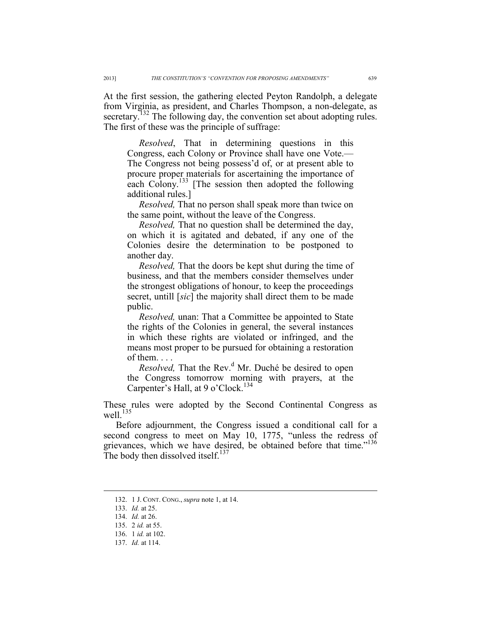At the first session, the gathering elected Peyton Randolph, a delegate from Virginia, as president, and Charles Thompson, a non-delegate, as secretary.<sup>132</sup> The following day, the convention set about adopting rules. The first of these was the principle of suffrage:

 *Resolved*, That in determining questions in this Congress, each Colony or Province shall have one Vote.— The Congress not being possess'd of, or at present able to procure proper materials for ascertaining the importance of each Colony.<sup>133</sup> [The session then adopted the following additional rules.]

 *Resolved,* That no person shall speak more than twice on the same point, without the leave of the Congress.

 *Resolved,* That no question shall be determined the day, on which it is agitated and debated, if any one of the Colonies desire the determination to be postponed to another day.

 *Resolved,* That the doors be kept shut during the time of business, and that the members consider themselves under the strongest obligations of honour, to keep the proceedings secret, untill [*sic*] the majority shall direct them to be made public.

 *Resolved,* unan: That a Committee be appointed to State the rights of the Colonies in general, the several instances in which these rights are violated or infringed, and the means most proper to be pursued for obtaining a restoration of them. . . .

*Resolved*, That the Rev.<sup>d</sup> Mr. Duché be desired to open the Congress tomorrow morning with prayers, at the Carpenter's Hall, at 9 o'Clock.<sup>134</sup>

These rules were adopted by the Second Continental Congress as well.<sup>135</sup>

Before adjournment, the Congress issued a conditional call for a second congress to meet on May 10, 1775, "unless the redress of grievances, which we have desired, be obtained before that time."<sup>136</sup> The body then dissolved itself. $137$ 

 <sup>132. 1</sup> J. CONT. CONG., *supra* note 1, at 14.

 <sup>133.</sup> *Id.* at 25.

 <sup>134.</sup> *Id.* at 26.

 <sup>135. 2</sup> *id.* at 55.

 <sup>136. 1</sup> *id.* at 102.

 <sup>137.</sup> *Id.* at 114.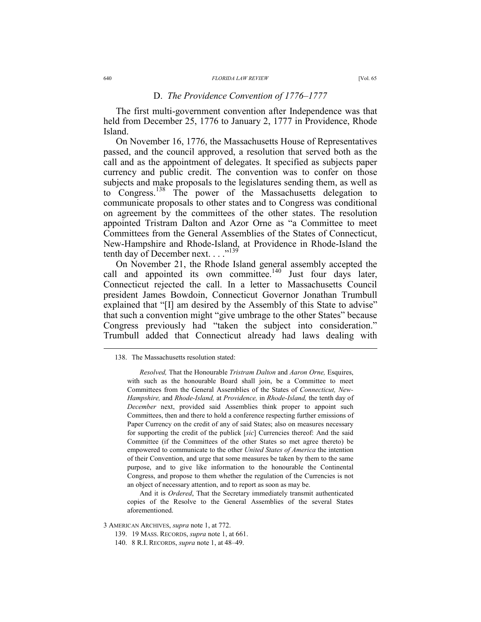#### D. *The Providence Convention of 1776–1777*

The first multi-government convention after Independence was that held from December 25, 1776 to January 2, 1777 in Providence, Rhode Island.

On November 16, 1776, the Massachusetts House of Representatives passed, and the council approved, a resolution that served both as the call and as the appointment of delegates. It specified as subjects paper currency and public credit. The convention was to confer on those subjects and make proposals to the legislatures sending them, as well as to Congress.138 The power of the Massachusetts delegation to communicate proposals to other states and to Congress was conditional on agreement by the committees of the other states. The resolution appointed Tristram Dalton and Azor Orne as "a Committee to meet Committees from the General Assemblies of the States of Connecticut, New-Hampshire and Rhode-Island, at Providence in Rhode-Island the tenth day of December next. . . ."139

On November 21, the Rhode Island general assembly accepted the call and appointed its own committee.<sup>140</sup> Just four days later, Connecticut rejected the call. In a letter to Massachusetts Council president James Bowdoin, Connecticut Governor Jonathan Trumbull explained that "[I] am desired by the Assembly of this State to advise" that such a convention might "give umbrage to the other States" because Congress previously had "taken the subject into consideration." Trumbull added that Connecticut already had laws dealing with

And it is *Ordered*, That the Secretary immediately transmit authenticated copies of the Resolve to the General Assemblies of the several States aforementioned.

3 AMERICAN ARCHIVES, *supra* note 1, at 772.

139. 19 MASS. RECORDS, *supra* note 1, at 661.

140. 8 R.I. RECORDS, *supra* note 1, at 48–49.

 <sup>138.</sup> The Massachusetts resolution stated:

*Resolved,* That the Honourable *Tristram Dalton* and *Aaron Orne,* Esquires, with such as the honourable Board shall join, be a Committee to meet Committees from the General Assemblies of the States of *Connecticut, New-Hampshire,* and *Rhode-Island,* at *Providence,* in *Rhode-Island,* the tenth day of *December* next, provided said Assemblies think proper to appoint such Committees, then and there to hold a conference respecting further emissions of Paper Currency on the credit of any of said States; also on measures necessary for supporting the credit of the publick [*sic*] Currencies thereof: And the said Committee (if the Committees of the other States so met agree thereto) be empowered to communicate to the other *United States of America* the intention of their Convention, and urge that some measures be taken by them to the same purpose, and to give like information to the honourable the Continental Congress, and propose to them whether the regulation of the Currencies is not an object of necessary attention, and to report as soon as may be.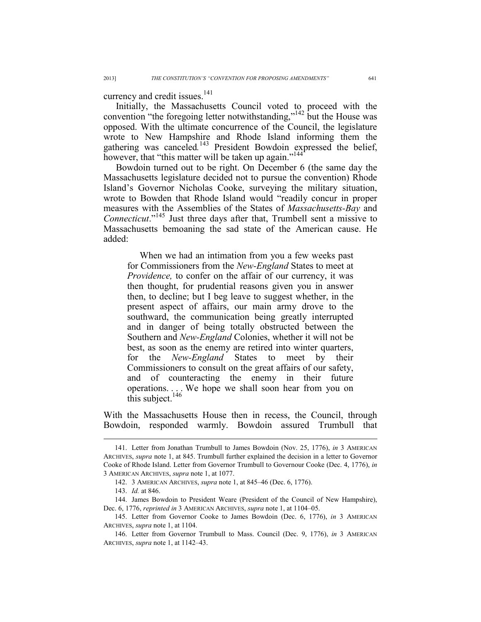currency and credit issues.<sup>141</sup>

Initially, the Massachusetts Council voted to proceed with the convention "the foregoing letter notwithstanding,"<sup>142</sup> but the House was opposed. With the ultimate concurrence of the Council, the legislature wrote to New Hampshire and Rhode Island informing them the gathering was canceled.<sup>143</sup> President Bowdoin expressed the belief, however, that "this matter will be taken up again."<sup>144</sup>

Bowdoin turned out to be right. On December 6 (the same day the Massachusetts legislature decided not to pursue the convention) Rhode Island's Governor Nicholas Cooke, surveying the military situation, wrote to Bowden that Rhode Island would "readily concur in proper measures with the Assemblies of the States of *Massachusetts-Bay* and *Connecticut*."145 Just three days after that, Trumbell sent a missive to Massachusetts bemoaning the sad state of the American cause. He added:

When we had an intimation from you a few weeks past for Commissioners from the *New-England* States to meet at *Providence*, to confer on the affair of our currency, it was then thought, for prudential reasons given you in answer then, to decline; but I beg leave to suggest whether, in the present aspect of affairs, our main army drove to the southward, the communication being greatly interrupted and in danger of being totally obstructed between the Southern and *New-England* Colonies, whether it will not be best, as soon as the enemy are retired into winter quarters, for the *New-England* States to meet by their Commissioners to consult on the great affairs of our safety, and of counteracting the enemy in their future operations. . . . We hope we shall soon hear from you on this subject. $146$ 

With the Massachusetts House then in recess, the Council, through Bowdoin, responded warmly. Bowdoin assured Trumbull that

 <sup>141.</sup> Letter from Jonathan Trumbull to James Bowdoin (Nov. 25, 1776), *in* 3 AMERICAN ARCHIVES, *supra* note 1, at 845. Trumbull further explained the decision in a letter to Governor Cooke of Rhode Island. Letter from Governor Trumbull to Governour Cooke (Dec. 4, 1776), *in* 3 AMERICAN ARCHIVES, *supra* note 1, at 1077.

 <sup>142. 3</sup> AMERICAN ARCHIVES, *supra* note 1, at 845–46 (Dec. 6, 1776).

 <sup>143.</sup> *Id.* at 846.

 <sup>144.</sup> James Bowdoin to President Weare (President of the Council of New Hampshire), Dec. 6, 1776, *reprinted in* 3 AMERICAN ARCHIVES, *supra* note 1, at 1104–05.

 <sup>145.</sup> Letter from Governor Cooke to James Bowdoin (Dec. 6, 1776), *in* 3 AMERICAN ARCHIVES, *supra* note 1, at 1104.

 <sup>146.</sup> Letter from Governor Trumbull to Mass. Council (Dec. 9, 1776), *in* 3 AMERICAN ARCHIVES, *supra* note 1, at 1142–43.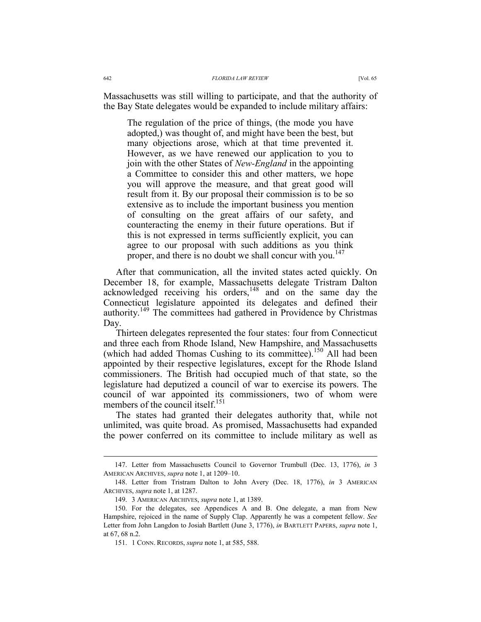Massachusetts was still willing to participate, and that the authority of the Bay State delegates would be expanded to include military affairs:

The regulation of the price of things, (the mode you have adopted,) was thought of, and might have been the best, but many objections arose, which at that time prevented it. However, as we have renewed our application to you to join with the other States of *New-England* in the appointing a Committee to consider this and other matters, we hope you will approve the measure, and that great good will result from it. By our proposal their commission is to be so extensive as to include the important business you mention of consulting on the great affairs of our safety, and counteracting the enemy in their future operations. But if this is not expressed in terms sufficiently explicit, you can agree to our proposal with such additions as you think proper, and there is no doubt we shall concur with you.<sup>147</sup>

After that communication, all the invited states acted quickly. On December 18, for example, Massachusetts delegate Tristram Dalton acknowledged receiving his orders,  $148$  and on the same day the Connecticut legislature appointed its delegates and defined their authority.149 The committees had gathered in Providence by Christmas Day.

Thirteen delegates represented the four states: four from Connecticut and three each from Rhode Island, New Hampshire, and Massachusetts (which had added Thomas Cushing to its committee).<sup>150</sup> All had been appointed by their respective legislatures, except for the Rhode Island commissioners. The British had occupied much of that state, so the legislature had deputized a council of war to exercise its powers. The council of war appointed its commissioners, two of whom were members of the council itself.<sup>151</sup>

The states had granted their delegates authority that, while not unlimited, was quite broad. As promised, Massachusetts had expanded the power conferred on its committee to include military as well as

 <sup>147.</sup> Letter from Massachusetts Council to Governor Trumbull (Dec. 13, 1776), *in* 3 AMERICAN ARCHIVES, *supra* note 1, at 1209–10.

 <sup>148.</sup> Letter from Tristram Dalton to John Avery (Dec. 18, 1776), *in* 3 AMERICAN ARCHIVES, *supra* note 1, at 1287.

 <sup>149. 3</sup> AMERICAN ARCHIVES, *supra* note 1, at 1389.

 <sup>150.</sup> For the delegates, see Appendices A and B. One delegate, a man from New Hampshire, rejoiced in the name of Supply Clap. Apparently he was a competent fellow. *See*  Letter from John Langdon to Josiah Bartlett (June 3, 1776), *in* BARTLETT PAPERS, *supra* note 1, at 67, 68 n.2.

 <sup>151. 1</sup> CONN. RECORDS, *supra* note 1, at 585, 588.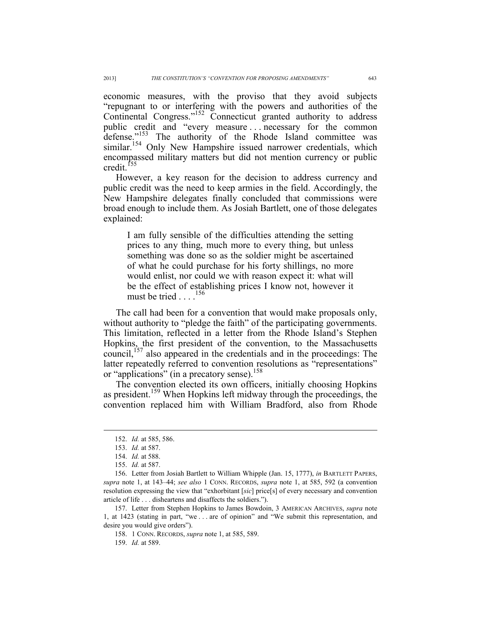economic measures, with the proviso that they avoid subjects "repugnant to or interfering with the powers and authorities of the Continental Congress."152 Connecticut granted authority to address public credit and "every measure . . . necessary for the common defense."<sup>153</sup> The authority of the Rhode Island committee was similar.<sup>154</sup> Only New Hampshire issued narrower credentials, which encompassed military matters but did not mention currency or public credit.<sup>155</sup>

However, a key reason for the decision to address currency and public credit was the need to keep armies in the field. Accordingly, the New Hampshire delegates finally concluded that commissions were broad enough to include them. As Josiah Bartlett, one of those delegates explained:

I am fully sensible of the difficulties attending the setting prices to any thing, much more to every thing, but unless something was done so as the soldier might be ascertained of what he could purchase for his forty shillings, no more would enlist, nor could we with reason expect it: what will be the effect of establishing prices I know not, however it must be tried . . . .<sup>156</sup>

The call had been for a convention that would make proposals only, without authority to "pledge the faith" of the participating governments. This limitation, reflected in a letter from the Rhode Island's Stephen Hopkins, the first president of the convention, to the Massachusetts council,<sup>157</sup> also appeared in the credentials and in the proceedings: The latter repeatedly referred to convention resolutions as "representations" or "applications" (in a precatory sense).<sup>158</sup>

The convention elected its own officers, initially choosing Hopkins as president.<sup>159</sup> When Hopkins left midway through the proceedings, the convention replaced him with William Bradford, also from Rhode

 <sup>152.</sup> *Id.* at 585, 586.

 <sup>153.</sup> *Id.* at 587.

 <sup>154.</sup> *Id.* at 588.

 <sup>155.</sup> *Id.* at 587.

 <sup>156.</sup> Letter from Josiah Bartlett to William Whipple (Jan. 15, 1777), *in* BARTLETT PAPERS, *supra* note 1, at 143–44; *see also* 1 CONN. RECORDS, *supra* note 1, at 585, 592 (a convention resolution expressing the view that "exhorbitant [*sic*] price[s] of every necessary and convention article of life . . . disheartens and disaffects the soldiers.").

 <sup>157.</sup> Letter from Stephen Hopkins to James Bowdoin, 3 AMERICAN ARCHIVES, *supra* note 1, at 1423 (stating in part, "we . . . are of opinion" and "We submit this representation, and desire you would give orders").

 <sup>158. 1</sup> CONN. RECORDS, *supra* note 1, at 585, 589.

 <sup>159.</sup> *Id.* at 589.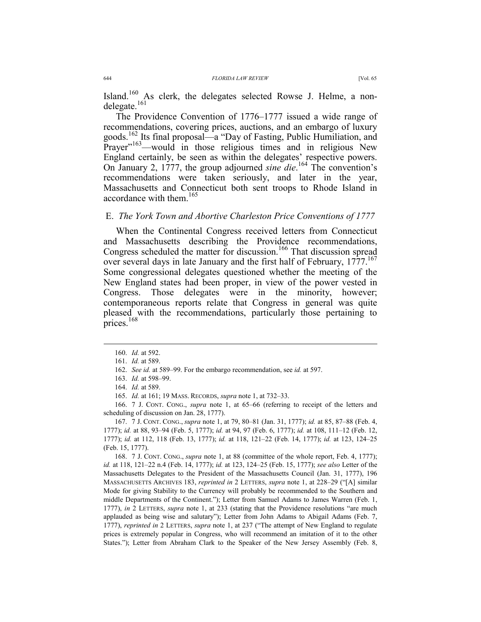Island.<sup>160</sup> As clerk, the delegates selected Rowse J. Helme, a nondelegate.<sup>161</sup>

The Providence Convention of 1776–1777 issued a wide range of recommendations, covering prices, auctions, and an embargo of luxury goods.162 Its final proposal—a "Day of Fasting, Public Humiliation, and Prayer"<sup>163</sup>—would in those religious times and in religious New England certainly, be seen as within the delegates' respective powers. On January 2, 1777, the group adjourned *sine die*. 164 The convention's recommendations were taken seriously, and later in the year, Massachusetts and Connecticut both sent troops to Rhode Island in accordance with them.165

### E. *The York Town and Abortive Charleston Price Conventions of 1777*

When the Continental Congress received letters from Connecticut and Massachusetts describing the Providence recommendations, Congress scheduled the matter for discussion.<sup>166</sup> That discussion spread over several days in late January and the first half of February, 1777.<sup>167</sup> Some congressional delegates questioned whether the meeting of the New England states had been proper, in view of the power vested in Congress. Those delegates were in the minority, however; contemporaneous reports relate that Congress in general was quite pleased with the recommendations, particularly those pertaining to prices.<sup>168</sup>

 $\overline{a}$ 

 166. 7 J. CONT. CONG., *supra* note 1, at 65–66 (referring to receipt of the letters and scheduling of discussion on Jan. 28, 1777).

 167. 7 J. CONT. CONG., *supra* note 1, at 79, 80–81 (Jan. 31, 1777); *id.* at 85, 87–88 (Feb. 4, 1777); *id.* at 88, 93–94 (Feb. 5, 1777); *id.* at 94, 97 (Feb. 6, 1777); *id.* at 108, 111–12 (Feb. 12, 1777); *id.* at 112, 118 (Feb. 13, 1777); *id.* at 118, 121–22 (Feb. 14, 1777); *id.* at 123, 124–25 (Feb. 15, 1777).

 168. 7 J. CONT. CONG., *supra* note 1, at 88 (committee of the whole report, Feb. 4, 1777); *id.* at 118, 121–22 n.4 (Feb. 14, 1777); *id.* at 123, 124–25 (Feb. 15, 1777); *see also* Letter of the Massachusetts Delegates to the President of the Massachusetts Council (Jan. 31, 1777), 196 MASSACHUSETTS ARCHIVES 183, *reprinted in* 2 LETTERS, *supra* note 1, at 228–29 ("[A] similar Mode for giving Stability to the Currency will probably be recommended to the Southern and middle Departments of the Continent."); Letter from Samuel Adams to James Warren (Feb. 1, 1777), *in* 2 LETTERS, *supra* note 1, at 233 (stating that the Providence resolutions "are much applauded as being wise and salutary"); Letter from John Adams to Abigail Adams (Feb. 7, 1777), *reprinted in* 2 LETTERS, *supra* note 1, at 237 ("The attempt of New England to regulate prices is extremely popular in Congress, who will recommend an imitation of it to the other States."); Letter from Abraham Clark to the Speaker of the New Jersey Assembly (Feb. 8,

 <sup>160.</sup> *Id.* at 592.

 <sup>161.</sup> *Id.* at 589.

 <sup>162.</sup> *See id.* at 589–99. For the embargo recommendation, see *id.* at 597.

 <sup>163.</sup> *Id.* at 598–99.

 <sup>164.</sup> *Id.* at 589.

 <sup>165.</sup> *Id.* at 161; 19 MASS. RECORDS, *supra* note 1, at 732–33.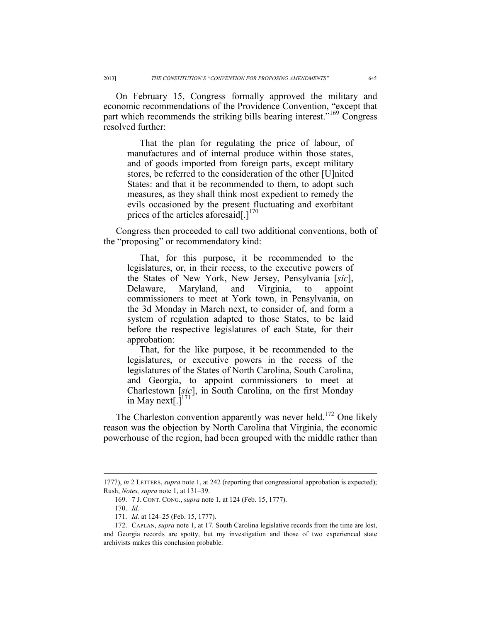On February 15, Congress formally approved the military and economic recommendations of the Providence Convention, "except that part which recommends the striking bills bearing interest.<sup>"169</sup> Congress resolved further:

That the plan for regulating the price of labour, of manufactures and of internal produce within those states, and of goods imported from foreign parts, except military stores, be referred to the consideration of the other [U]nited States: and that it be recommended to them, to adopt such measures, as they shall think most expedient to remedy the evils occasioned by the present fluctuating and exorbitant prices of the articles aforesaid[.] $170$ 

Congress then proceeded to call two additional conventions, both of the "proposing" or recommendatory kind:

That, for this purpose, it be recommended to the legislatures, or, in their recess, to the executive powers of the States of New York, New Jersey, Pensylvania [*sic*], Delaware, Maryland, and Virginia, to appoint commissioners to meet at York town, in Pensylvania, on the 3d Monday in March next, to consider of, and form a system of regulation adapted to those States, to be laid before the respective legislatures of each State, for their approbation:

That, for the like purpose, it be recommended to the legislatures, or executive powers in the recess of the legislatures of the States of North Carolina, South Carolina, and Georgia, to appoint commissioners to meet at Charlestown [*sic*], in South Carolina, on the first Monday in May next[ $.\bar{]}^{171}$ 

The Charleston convention apparently was never held.<sup>172</sup> One likely reason was the objection by North Carolina that Virginia, the economic powerhouse of the region, had been grouped with the middle rather than

<sup>1777),</sup> *in* 2 LETTERS, *supra* note 1, at 242 (reporting that congressional approbation is expected); Rush, *Notes, supra* note 1, at 131–39.

 <sup>169. 7</sup> J. CONT. CONG., *supra* note 1, at 124 (Feb. 15, 1777).

 <sup>170.</sup> *Id.*

 <sup>171.</sup> *Id.* at 124–25 (Feb. 15, 1777).

 <sup>172.</sup> CAPLAN, *supra* note 1, at 17. South Carolina legislative records from the time are lost, and Georgia records are spotty, but my investigation and those of two experienced state archivists makes this conclusion probable.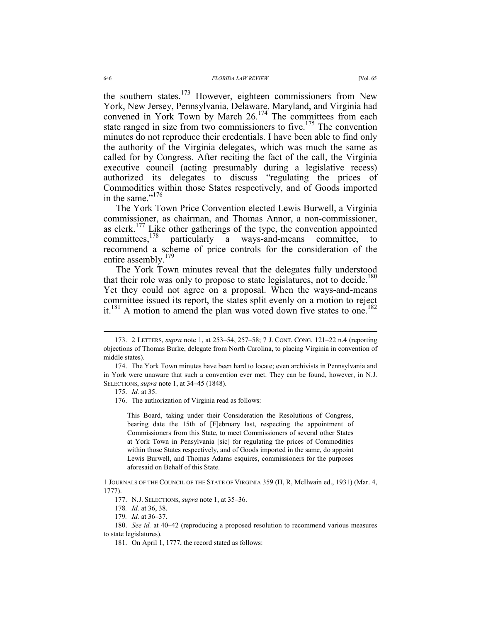the southern states.<sup>173</sup> However, eighteen commissioners from New York, New Jersey, Pennsylvania, Delaware, Maryland, and Virginia had convened in York Town by March 26.<sup>174</sup> The committees from each state ranged in size from two commissioners to five.<sup>175</sup> The convention minutes do not reproduce their credentials. I have been able to find only the authority of the Virginia delegates, which was much the same as called for by Congress. After reciting the fact of the call, the Virginia executive council (acting presumably during a legislative recess) authorized its delegates to discuss "regulating the prices of Commodities within those States respectively, and of Goods imported in the same."<sup>176</sup>

The York Town Price Convention elected Lewis Burwell, a Virginia commissioner, as chairman, and Thomas Annor, a non-commissioner, as clerk.<sup>177</sup> Like other gatherings of the type, the convention appointed committees.<sup>178</sup> particularly a wavs-and-means committee. to particularly a ways-and-means committee, to recommend a scheme of price controls for the consideration of the entire assembly.<sup>179</sup>

The York Town minutes reveal that the delegates fully understood that their role was only to propose to state legislatures, not to decide.<sup>180</sup> Yet they could not agree on a proposal. When the ways-and-means committee issued its report, the states split evenly on a motion to reject it.<sup>181</sup> A motion to amend the plan was voted down five states to one.<sup>182</sup>

 $\overline{a}$ 

This Board, taking under their Consideration the Resolutions of Congress, bearing date the 15th of [F]ebruary last, respecting the appointment of Commissioners from this State, to meet Commissioners of several other States at York Town in Pensylvania [sic] for regulating the prices of Commodities within those States respectively, and of Goods imported in the same, do appoint Lewis Burwell, and Thomas Adams esquires, commissioners for the purposes aforesaid on Behalf of this State.

 <sup>173. 2</sup> LETTERS, *supra* note 1, at 253–54, 257–58; 7 J. CONT. CONG. 121–22 n.4 (reporting objections of Thomas Burke, delegate from North Carolina, to placing Virginia in convention of middle states).

 <sup>174.</sup> The York Town minutes have been hard to locate; even archivists in Pennsylvania and in York were unaware that such a convention ever met. They can be found, however, in N.J. SELECTIONS, *supra* note 1, at 34–45 (1848).

 <sup>175.</sup> *Id.* at 35.

 <sup>176.</sup> The authorization of Virginia read as follows:

<sup>1</sup> JOURNALS OF THE COUNCIL OF THE STATE OF VIRGINIA 359 (H, R, McIlwain ed., 1931) (Mar. 4, 1777).

 <sup>177.</sup> N.J. SELECTIONS, *supra* note 1, at 35–36.

<sup>178</sup>*. Id.* at 36, 38.

<sup>179</sup>*. Id.* at 36–37.

 <sup>180.</sup> *See id.* at 40–42 (reproducing a proposed resolution to recommend various measures to state legislatures).

 <sup>181.</sup> On April 1, 1777, the record stated as follows: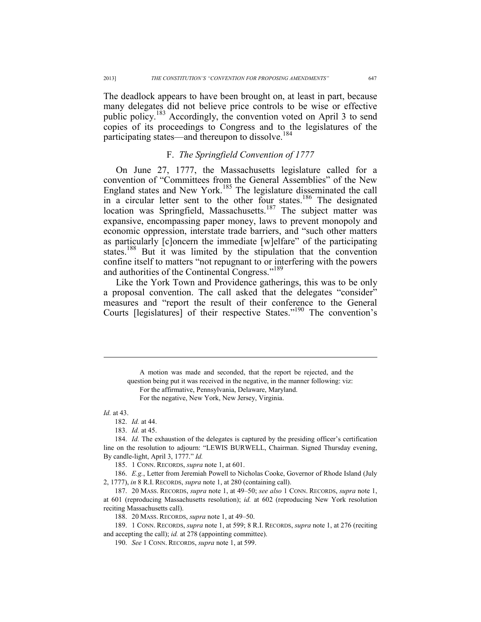The deadlock appears to have been brought on, at least in part, because many delegates did not believe price controls to be wise or effective public policy.183 Accordingly, the convention voted on April 3 to send copies of its proceedings to Congress and to the legislatures of the participating states—and thereupon to dissolve.<sup>184</sup>

### F. *The Springfield Convention of 1777*

On June 27, 1777, the Massachusetts legislature called for a convention of "Committees from the General Assemblies" of the New England states and New York.<sup>185</sup> The legislature disseminated the call in a circular letter sent to the other four states.<sup>186</sup> The designated location was Springfield, Massachusetts.<sup>187</sup> The subject matter was expansive, encompassing paper money, laws to prevent monopoly and economic oppression, interstate trade barriers, and "such other matters as particularly [c]oncern the immediate [w]elfare" of the participating states.188 But it was limited by the stipulation that the convention confine itself to matters "not repugnant to or interfering with the powers and authorities of the Continental Congress."<sup>189</sup>

Like the York Town and Providence gatherings, this was to be only a proposal convention. The call asked that the delegates "consider" measures and "report the result of their conference to the General Courts [legislatures] of their respective States."190 The convention's

#### *Id.* at 43.

 $\overline{a}$ 

182. *Id.* at 44.

183. *Id.* at 45.

 184. *Id.* The exhaustion of the delegates is captured by the presiding officer's certification line on the resolution to adjourn: "LEWIS BURWELL, Chairman. Signed Thursday evening, By candle-light, April 3, 1777." *Id.*

185. 1 CONN. RECORDS, *supra* note 1, at 601.

 186. *E.g.*, Letter from Jeremiah Powell to Nicholas Cooke, Governor of Rhode Island (July 2, 1777), *in* 8 R.I. RECORDS, *supra* note 1, at 280 (containing call).

 187. 20 MASS. RECORDS, *supra* note 1, at 49–50; *see also* 1 CONN. RECORDS, *supra* note 1, at 601 (reproducing Massachusetts resolution); *id.* at 602 (reproducing New York resolution reciting Massachusetts call).

188. 20 MASS. RECORDS, *supra* note 1, at 49–50.

 189. 1 CONN. RECORDS, *supra* note 1, at 599; 8 R.I. RECORDS, *supra* note 1, at 276 (reciting and accepting the call); *id.* at 278 (appointing committee).

190. *See* 1 CONN. RECORDS, *supra* note 1, at 599.

A motion was made and seconded, that the report be rejected, and the question being put it was received in the negative, in the manner following: viz: For the affirmative, Pennsylvania, Delaware, Maryland. For the negative, New York, New Jersey, Virginia.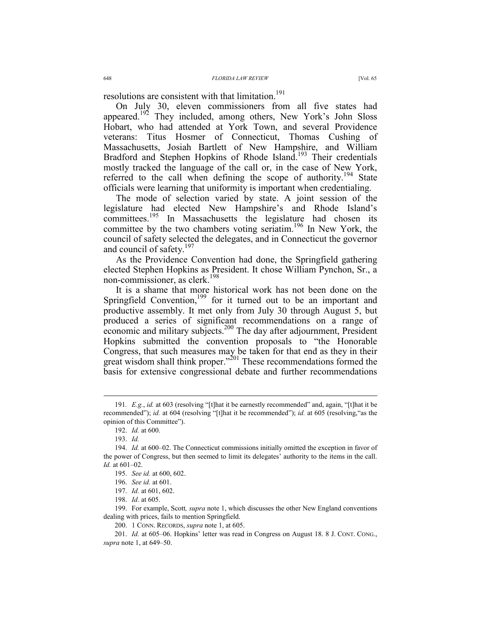resolutions are consistent with that limitation.<sup>191</sup>

On July 30, eleven commissioners from all five states had appeared.<sup>192</sup> They included, among others, New York's John Sloss Hobart, who had attended at York Town, and several Providence veterans: Titus Hosmer of Connecticut, Thomas Cushing of Massachusetts, Josiah Bartlett of New Hampshire, and William Bradford and Stephen Hopkins of Rhode Island.<sup>193</sup> Their credentials mostly tracked the language of the call or, in the case of New York, referred to the call when defining the scope of authority.<sup>194</sup> State officials were learning that uniformity is important when credentialing.

The mode of selection varied by state. A joint session of the legislature had elected New Hampshire's and Rhode Island's committees.<sup>195</sup> In Massachusetts the legislature had chosen its committee by the two chambers voting seriatim.<sup>196</sup> In New York, the council of safety selected the delegates, and in Connecticut the governor and council of safety.<sup>197</sup>

As the Providence Convention had done, the Springfield gathering elected Stephen Hopkins as President. It chose William Pynchon, Sr., a non-commissioner, as clerk.198

It is a shame that more historical work has not been done on the Springfield Convention,<sup>199</sup> for it turned out to be an important and productive assembly. It met only from July 30 through August 5, but produced a series of significant recommendations on a range of economic and military subjects.<sup>200</sup> The day after adjournment, President Hopkins submitted the convention proposals to "the Honorable Congress, that such measures may be taken for that end as they in their great wisdom shall think proper."<sup>201</sup> These recommendations formed the basis for extensive congressional debate and further recommendations

 199. For example, Scott*, supra* note 1, which discusses the other New England conventions dealing with prices, fails to mention Springfield.

200. 1 CONN. RECORDS, *supra* note 1, at 605.

 <sup>191</sup>*. E.g.*, *id.* at 603 (resolving "[t]hat it be earnestly recommended" and, again, "[t]hat it be recommended"); *id.* at 604 (resolving "[t]hat it be recommended"); *id.* at 605 (resolving,"as the opinion of this Committee").

 <sup>192.</sup> *Id.* at 600.

 <sup>193.</sup> *Id.* 

 <sup>194.</sup> *Id.* at 600–02. The Connecticut commissions initially omitted the exception in favor of the power of Congress, but then seemed to limit its delegates' authority to the items in the call. *Id.* at 601–02.

 <sup>195.</sup> *See id.* at 600, 602.

 <sup>196.</sup> *See id.* at 601.

 <sup>197.</sup> *Id.* at 601, 602.

 <sup>198.</sup> *Id.* at 605.

 <sup>201.</sup> *Id.* at 605–06. Hopkins' letter was read in Congress on August 18. 8 J. CONT. CONG., *supra* note 1, at 649–50.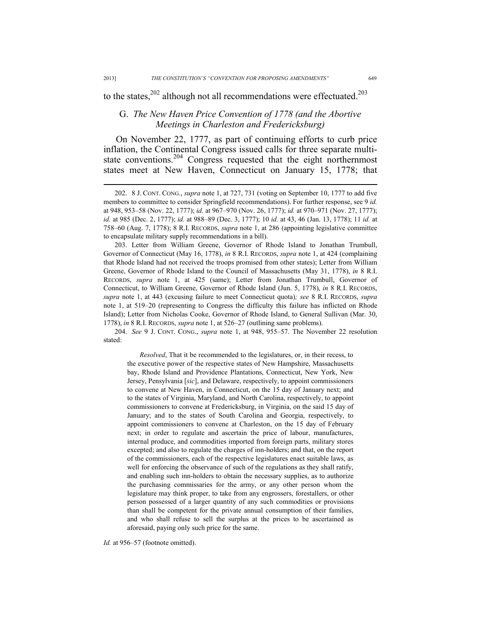$\overline{a}$ 

to the states, $202$  although not all recommendations were effectuated.<sup>203</sup>

# G. *The New Haven Price Convention of 1778 (and the Abortive Meetings in Charleston and Fredericksburg)*

On November 22, 1777, as part of continuing efforts to curb price inflation, the Continental Congress issued calls for three separate multistate conventions.<sup>204</sup> Congress requested that the eight northernmost states meet at New Haven, Connecticut on January 15, 1778; that

 203. Letter from William Greene, Governor of Rhode Island to Jonathan Trumbull, Governor of Connecticut (May 16, 1778), *in* 8 R.I. RECORDS, *supra* note 1, at 424 (complaining that Rhode Island had not received the troops promised from other states); Letter from William Greene, Governor of Rhode Island to the Council of Massachusetts (May 31, 1778), *in* 8 R.I. RECORDS, *supra* note 1, at 425 (same); Letter from Jonathan Trumbull, Governor of Connecticut, to William Greene, Governor of Rhode Island (Jun. 5, 1778), *in* 8 R.I. RECORDS, *supra* note 1, at 443 (excusing failure to meet Connecticut quota)*; see* 8 R.I. RECORDS, *supra* note 1, at 519–20 (representing to Congress the difficulty this failure has inflicted on Rhode Island); Letter from Nicholas Cooke, Governor of Rhode Island, to General Sullivan (Mar. 30, 1778), *in* 8 R.I. RECORDS, *supra* note 1, at 526–27 (outlining same problems).

 204. *See* 9 J. CONT. CONG., *supra* note 1, at 948, 955–57. The November 22 resolution stated:

*Resolved*, That it be recommended to the legislatures, or, in their recess, to the executive power of the respective states of New Hampshire, Massachusetts bay, Rhode Island and Providence Plantations, Connecticut, New York, New Jersey, Pensylvania [*sic*], and Delaware, respectively, to appoint commissioners to convene at New Haven, in Connecticut, on the 15 day of January next; and to the states of Virginia, Maryland, and North Carolina, respectively, to appoint commissioners to convene at Fredericksburg, in Virginia, on the said 15 day of January; and to the states of South Carolina and Georgia, respectively, to appoint commissioners to convene at Charleston, on the 15 day of February next; in order to regulate and ascertain the price of labour, manufactures, internal produce, and commodities imported from foreign parts, military stores excepted; and also to regulate the charges of inn-holders; and that, on the report of the commissioners, each of the respective legislatures enact suitable laws, as well for enforcing the observance of such of the regulations as they shall ratify, and enabling such inn-holders to obtain the necessary supplies, as to authorize the purchasing commissaries for the army, or any other person whom the legislature may think proper, to take from any engrossers, forestallers, or other person possessed of a larger quantity of any such commodities or provisions than shall be competent for the private annual consumption of their families, and who shall refuse to sell the surplus at the prices to be ascertained as aforesaid, paying only such price for the same.

Id. at 956–57 (footnote omitted).

 <sup>202. 8</sup> J. CONT. CONG., *supra* note 1, at 727, 731 (voting on September 10, 1777 to add five members to committee to consider Springfield recommendations). For further response, see 9 *id.* at 948, 953–58 (Nov. 22, 1777); *id.* at 967–970 (Nov. 26, 1777); *id.* at 970–971 (Nov. 27, 1777); *id.* at 985 (Dec. 2, 1777); *id.* at 988–89 (Dec. 3, 1777); 10 *id.* at 43, 46 (Jan. 13, 1778); 11 *id.* at 758–60 (Aug. 7, 1778); 8 R.I. RECORDS, *supra* note 1, at 286 (appointing legislative committee to encapsulate military supply recommendations in a bill).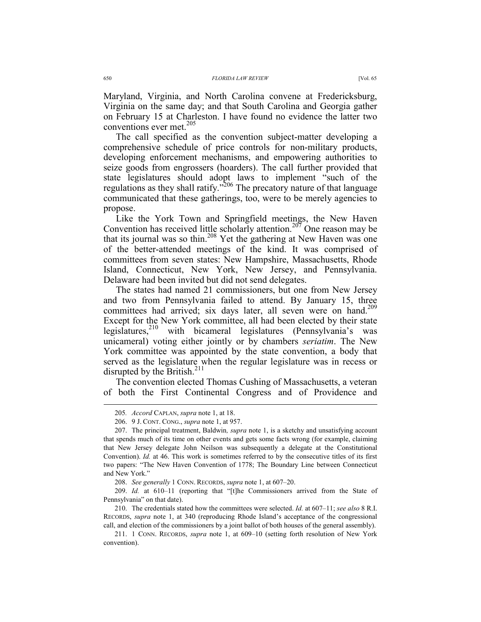Maryland, Virginia, and North Carolina convene at Fredericksburg, Virginia on the same day; and that South Carolina and Georgia gather on February 15 at Charleston. I have found no evidence the latter two conventions ever met.<sup>205</sup>

The call specified as the convention subject-matter developing a comprehensive schedule of price controls for non-military products, developing enforcement mechanisms, and empowering authorities to seize goods from engrossers (hoarders). The call further provided that state legislatures should adopt laws to implement "such of the regulations as they shall ratify."<sup>206</sup> The precatory nature of that language communicated that these gatherings, too, were to be merely agencies to propose.

Like the York Town and Springfield meetings, the New Haven Convention has received little scholarly attention.207 One reason may be that its journal was so thin.208 Yet the gathering at New Haven was one of the better-attended meetings of the kind. It was comprised of committees from seven states: New Hampshire, Massachusetts, Rhode Island, Connecticut, New York, New Jersey, and Pennsylvania. Delaware had been invited but did not send delegates.

The states had named 21 commissioners, but one from New Jersey and two from Pennsylvania failed to attend. By January 15, three committees had arrived; six days later, all seven were on hand.<sup>209</sup> Except for the New York committee, all had been elected by their state legislatures, $210$  with bicameral legislatures (Pennsylvania's was unicameral) voting either jointly or by chambers *seriatim*. The New York committee was appointed by the state convention, a body that served as the legislature when the regular legislature was in recess or disrupted by the British.<sup>211</sup>

The convention elected Thomas Cushing of Massachusetts, a veteran of both the First Continental Congress and of Providence and

 <sup>205</sup>*. Accord* CAPLAN, *supra* note 1, at 18.

 <sup>206. 9</sup> J. CONT. CONG., *supra* note 1, at 957.

 <sup>207.</sup> The principal treatment, Baldwin*, supra* note 1, is a sketchy and unsatisfying account that spends much of its time on other events and gets some facts wrong (for example, claiming that New Jersey delegate John Neilson was subsequently a delegate at the Constitutional Convention). *Id.* at 46. This work is sometimes referred to by the consecutive titles of its first two papers: "The New Haven Convention of 1778; The Boundary Line between Connecticut and New York."

 <sup>208.</sup> *See generally* 1 CONN. RECORDS, *supra* note 1, at 607–20.

 <sup>209.</sup> *Id.* at 610–11 (reporting that "[t]he Commissioners arrived from the State of Pennsylvania" on that date).

 <sup>210.</sup> The credentials stated how the committees were selected. *Id.* at 607–11; *see also* 8 R.I. RECORDS, *supra* note 1, at 340 (reproducing Rhode Island's acceptance of the congressional call, and election of the commissioners by a joint ballot of both houses of the general assembly).

 <sup>211. 1</sup> CONN. RECORDS, *supra* note 1, at 609–10 (setting forth resolution of New York convention).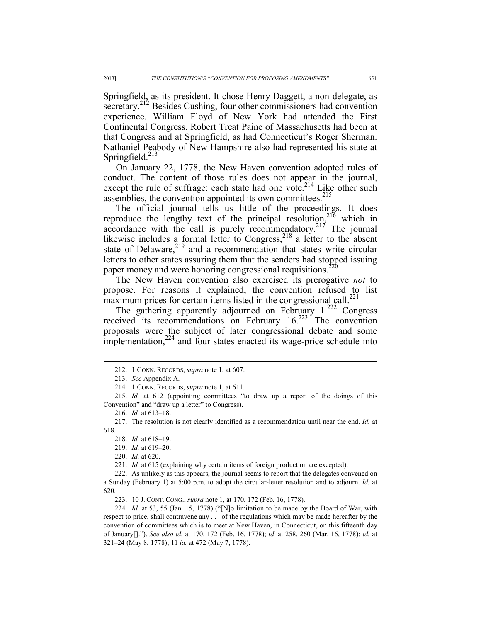Springfield, as its president. It chose Henry Daggett, a non-delegate, as secretary.<sup>212</sup> Besides Cushing, four other commissioners had convention experience. William Floyd of New York had attended the First Continental Congress. Robert Treat Paine of Massachusetts had been at that Congress and at Springfield, as had Connecticut's Roger Sherman. Nathaniel Peabody of New Hampshire also had represented his state at Springfield. $^{213}$ 

On January 22, 1778, the New Haven convention adopted rules of conduct. The content of those rules does not appear in the journal, except the rule of suffrage: each state had one vote.<sup>214</sup> Like other such assemblies, the convention appointed its own committees.<sup>215</sup>

The official journal tells us little of the proceedings. It does reproduce the lengthy text of the principal resolution,  $2^{16}$  which in accordance with the call is purely recommendatory.<sup>217</sup> The journal likewise includes a formal letter to Congress,<sup>218</sup> a letter to the absent state of Delaware, $2^{19}$  and a recommendation that states write circular letters to other states assuring them that the senders had stopped issuing paper money and were honoring congressional requisitions.<sup>220</sup>

The New Haven convention also exercised its prerogative *not* to propose. For reasons it explained, the convention refused to list maximum prices for certain items listed in the congressional call.<sup>221</sup>

The gathering apparently adjourned on February  $1.^{222}$  Congress received its recommendations on February  $16.223$  The convention proposals were the subject of later congressional debate and some implementation, $2^{24}$  and four states enacted its wage-price schedule into

 $\overline{a}$ 

218. *Id.* at 618–19.

219. *Id.* at 619–20.

220. *Id.* at 620.

221. *Id.* at 615 (explaining why certain items of foreign production are excepted).

 222. As unlikely as this appears, the journal seems to report that the delegates convened on a Sunday (February 1) at 5:00 p.m. to adopt the circular-letter resolution and to adjourn. *Id.* at 620.

223. 10 J. CONT. CONG., *supra* note 1, at 170, 172 (Feb. 16, 1778).

 224. *Id.* at 53, 55 (Jan. 15, 1778) ("[N]o limitation to be made by the Board of War, with respect to price, shall contravene any . . . of the regulations which may be made hereafter by the convention of committees which is to meet at New Haven, in Connecticut, on this fifteenth day of January[]."). *See also id.* at 170, 172 (Feb. 16, 1778); *id*. at 258, 260 (Mar. 16, 1778); *id.* at 321–24 (May 8, 1778); 11 *id.* at 472 (May 7, 1778).

 <sup>212. 1</sup> CONN. RECORDS, *supra* note 1, at 607.

 <sup>213.</sup> *See* Appendix A.

 <sup>214. 1</sup> CONN. RECORDS, *supra* note 1, at 611.

 <sup>215.</sup> *Id.* at 612 (appointing committees "to draw up a report of the doings of this Convention" and "draw up a letter" to Congress).

 <sup>216.</sup> *Id.* at 613–18.

 <sup>217.</sup> The resolution is not clearly identified as a recommendation until near the end. *Id.* at 618.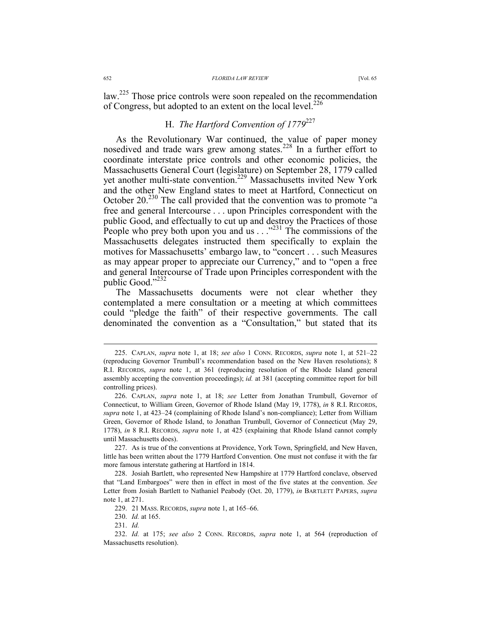#### 652 *FLORIDA LAW REVIEW* [Vol. 65

law.225 Those price controls were soon repealed on the recommendation of Congress, but adopted to an extent on the local level.<sup>226</sup>

# H. *The Hartford Convention of 1779*<sup>227</sup>

As the Revolutionary War continued, the value of paper money nosedived and trade wars grew among states.<sup>228</sup> In a further effort to coordinate interstate price controls and other economic policies, the Massachusetts General Court (legislature) on September 28, 1779 called yet another multi-state convention.<sup>229</sup> Massachusetts invited New York and the other New England states to meet at Hartford, Connecticut on October 20.<sup>230</sup> The call provided that the convention was to promote "a free and general Intercourse . . . upon Principles correspondent with the public Good, and effectually to cut up and destroy the Practices of those People who prey both upon you and us  $\ldots$ <sup>231</sup> The commissions of the Massachusetts delegates instructed them specifically to explain the motives for Massachusetts' embargo law, to "concert . . . such Measures as may appear proper to appreciate our Currency," and to "open a free and general Intercourse of Trade upon Principles correspondent with the public Good."<sup>232</sup>

The Massachusetts documents were not clear whether they contemplated a mere consultation or a meeting at which committees could "pledge the faith" of their respective governments. The call denominated the convention as a "Consultation," but stated that its

 <sup>225.</sup> CAPLAN, *supra* note 1, at 18; *see also* 1 CONN. RECORDS, *supra* note 1, at 521–22 (reproducing Governor Trumbull's recommendation based on the New Haven resolutions); 8 R.I. RECORDS, *supra* note 1, at 361 (reproducing resolution of the Rhode Island general assembly accepting the convention proceedings); *id.* at 381 (accepting committee report for bill controlling prices).

 <sup>226.</sup> CAPLAN, *supra* note 1, at 18; *see* Letter from Jonathan Trumbull, Governor of Connecticut, to William Green, Governor of Rhode Island (May 19, 1778), *in* 8 R.I. RECORDS, *supra* note 1, at 423–24 (complaining of Rhode Island's non-compliance); Letter from William Green, Governor of Rhode Island, to Jonathan Trumbull, Governor of Connecticut (May 29, 1778), *in* 8 R.I. RECORDS, *supra* note 1, at 425 (explaining that Rhode Island cannot comply until Massachusetts does).

 <sup>227.</sup> As is true of the conventions at Providence, York Town, Springfield, and New Haven, little has been written about the 1779 Hartford Convention. One must not confuse it with the far more famous interstate gathering at Hartford in 1814.

 <sup>228.</sup> Josiah Bartlett, who represented New Hampshire at 1779 Hartford conclave, observed that "Land Embargoes" were then in effect in most of the five states at the convention. *See* Letter from Josiah Bartlett to Nathaniel Peabody (Oct. 20, 1779), *in* BARTLETT PAPERS, *supra*  note 1, at 271.

 <sup>229. 21</sup> MASS. RECORDS, *supra* note 1, at 165–66.

 <sup>230.</sup> *Id.* at 165.

 <sup>231.</sup> *Id.*

 <sup>232.</sup> *Id.* at 175; *see also* 2 CONN. RECORDS, *supra* note 1, at 564 (reproduction of Massachusetts resolution).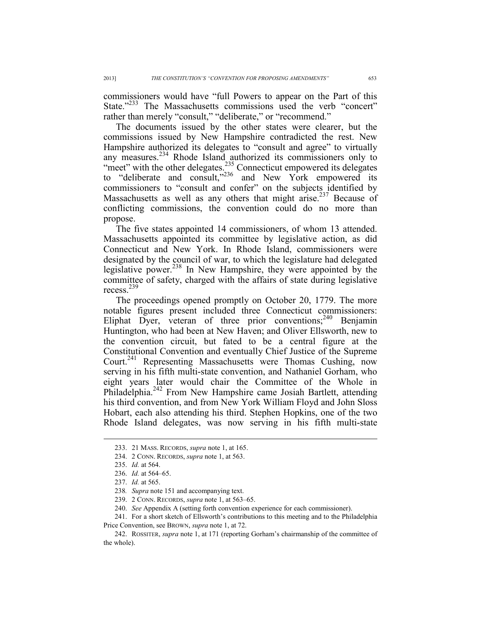commissioners would have "full Powers to appear on the Part of this State."<sup>233</sup> The Massachusetts commissions used the verb "concert" rather than merely "consult," "deliberate," or "recommend."

The documents issued by the other states were clearer, but the commissions issued by New Hampshire contradicted the rest. New Hampshire authorized its delegates to "consult and agree" to virtually any measures.<sup>234</sup> Rhode Island authorized its commissioners only to "meet" with the other delegates.<sup>235</sup> Connecticut empowered its delegates to "deliberate and consult,"<sup>236</sup> and New York empowered its commissioners to "consult and confer" on the subjects identified by Massachusetts as well as any others that might arise.<sup>237</sup> Because of conflicting commissions, the convention could do no more than propose.

The five states appointed 14 commissioners, of whom 13 attended. Massachusetts appointed its committee by legislative action, as did Connecticut and New York. In Rhode Island, commissioners were designated by the council of war, to which the legislature had delegated legislative power.238 In New Hampshire, they were appointed by the committee of safety, charged with the affairs of state during legislative recess.<sup>239</sup>

The proceedings opened promptly on October 20, 1779. The more notable figures present included three Connecticut commissioners: Eliphat Dyer, veteran of three prior conventions;<sup>240</sup> Benjamin Huntington, who had been at New Haven; and Oliver Ellsworth, new to the convention circuit, but fated to be a central figure at the Constitutional Convention and eventually Chief Justice of the Supreme Court.<sup>241</sup> Representing Massachusetts were Thomas Cushing, now serving in his fifth multi-state convention, and Nathaniel Gorham, who eight years later would chair the Committee of the Whole in Philadelphia.<sup>242</sup> From New Hampshire came Josiah Bartlett, attending his third convention, and from New York William Floyd and John Sloss Hobart, each also attending his third. Stephen Hopkins, one of the two Rhode Island delegates, was now serving in his fifth multi-state

 <sup>233. 21</sup> MASS. RECORDS, *supra* note 1, at 165.

 <sup>234. 2</sup> CONN. RECORDS, *supra* note 1, at 563.

 <sup>235.</sup> *Id.* at 564.

 <sup>236.</sup> *Id.* at 564–65.

 <sup>237.</sup> *Id.* at 565.

<sup>238</sup>*. Supra* note 151 and accompanying text.

 <sup>239. 2</sup> CONN. RECORDS, *supra* note 1, at 563–65.

 <sup>240.</sup> *See* Appendix A (setting forth convention experience for each commissioner).

 <sup>241.</sup> For a short sketch of Ellsworth's contributions to this meeting and to the Philadelphia Price Convention, see BROWN, *supra* note 1, at 72.

 <sup>242.</sup> ROSSITER, *supra* note 1, at 171 (reporting Gorham's chairmanship of the committee of the whole).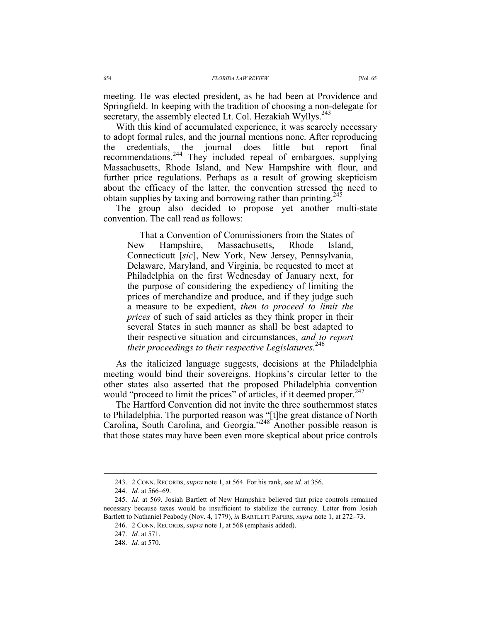meeting. He was elected president, as he had been at Providence and Springfield. In keeping with the tradition of choosing a non-delegate for secretary, the assembly elected Lt. Col. Hezakiah Wyllys.<sup>243</sup>

With this kind of accumulated experience, it was scarcely necessary to adopt formal rules, and the journal mentions none. After reproducing the credentials, the journal does little but report final recommendations.244 They included repeal of embargoes, supplying Massachusetts, Rhode Island, and New Hampshire with flour, and further price regulations. Perhaps as a result of growing skepticism about the efficacy of the latter, the convention stressed the need to obtain supplies by taxing and borrowing rather than printing.<sup>245</sup>

The group also decided to propose yet another multi-state convention. The call read as follows:

That a Convention of Commissioners from the States of New Hampshire, Massachusetts, Rhode Island, Connecticutt [*sic*], New York, New Jersey, Pennsylvania, Delaware, Maryland, and Virginia, be requested to meet at Philadelphia on the first Wednesday of January next, for the purpose of considering the expediency of limiting the prices of merchandize and produce, and if they judge such a measure to be expedient, *then to proceed to limit the prices* of such of said articles as they think proper in their several States in such manner as shall be best adapted to their respective situation and circumstances, *and to report their proceedings to their respective Legislatures.*<sup>246</sup>

As the italicized language suggests, decisions at the Philadelphia meeting would bind their sovereigns. Hopkins's circular letter to the other states also asserted that the proposed Philadelphia convention would "proceed to limit the prices" of articles, if it deemed proper.  $247$ 

The Hartford Convention did not invite the three southernmost states to Philadelphia. The purported reason was "[t]he great distance of North Carolina, South Carolina, and Georgia."<sup>248</sup> Another possible reason is that those states may have been even more skeptical about price controls

 <sup>243. 2</sup> CONN. RECORDS, *supra* note 1, at 564. For his rank, see *id.* at 356.

 <sup>244.</sup> *Id.* at 566–69.

 <sup>245.</sup> *Id.* at 569. Josiah Bartlett of New Hampshire believed that price controls remained necessary because taxes would be insufficient to stabilize the currency. Letter from Josiah Bartlett to Nathaniel Peabody (Nov. 4, 1779), *in* BARTLETT PAPERS, *supra* note 1, at 272–73.

 <sup>246. 2</sup> CONN. RECORDS, *supra* note 1, at 568 (emphasis added).

 <sup>247.</sup> *Id.* at 571.

 <sup>248.</sup> *Id.* at 570.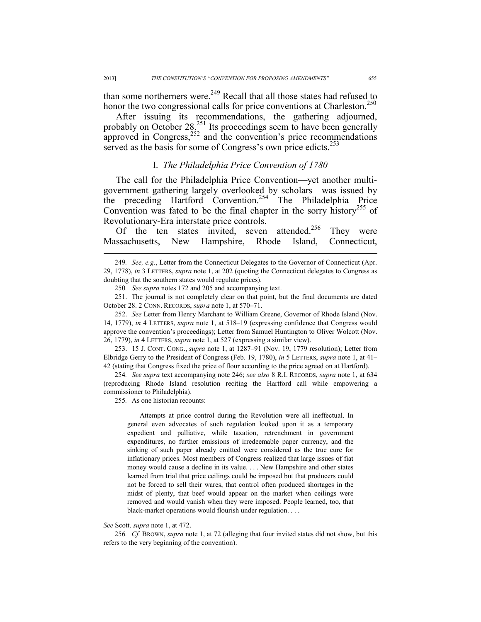than some northerners were.<sup>249</sup> Recall that all those states had refused to honor the two congressional calls for price conventions at Charleston.<sup>250</sup>

After issuing its recommendations, the gathering adjourned, probably on October 28. $^{251}$  Its proceedings seem to have been generally approved in Congress, $252$  and the convention's price recommendations served as the basis for some of Congress's own price edicts.<sup>253</sup>

## I. *The Philadelphia Price Convention of 1780*

The call for the Philadelphia Price Convention—yet another multigovernment gathering largely overlooked by scholars—was issued by the preceding Hartford Convention.<sup>254</sup> The Philadelphia Price Convention was fated to be the final chapter in the sorry history<sup>255</sup> of Revolutionary-Era interstate price controls.

Of the ten states invited, seven attended.<sup>256</sup> They were Massachusetts, New Hampshire, Rhode Island, Connecticut,

 253. 15 J. CONT. CONG., *supra* note 1, at 1287–91 (Nov. 19, 1779 resolution); Letter from Elbridge Gerry to the President of Congress (Feb. 19, 1780), *in* 5 LETTERS, *supra* note 1, at 41– 42 (stating that Congress fixed the price of flour according to the price agreed on at Hartford).

254*. See supra* text accompanying note 246; *see also* 8 R.I. RECORDS, *supra* note 1, at 634 (reproducing Rhode Island resolution reciting the Hartford call while empowering a commissioner to Philadelphia).

255*.* As one historian recounts:

Attempts at price control during the Revolution were all ineffectual. In general even advocates of such regulation looked upon it as a temporary expedient and palliative, while taxation, retrenchment in government expenditures, no further emissions of irredeemable paper currency, and the sinking of such paper already emitted were considered as the true cure for inflationary prices. Most members of Congress realized that large issues of fiat money would cause a decline in its value. . . . New Hampshire and other states learned from trial that price ceilings could be imposed but that producers could not be forced to sell their wares, that control often produced shortages in the midst of plenty, that beef would appear on the market when ceilings were removed and would vanish when they were imposed. People learned, too, that black-market operations would flourish under regulation. . . .

### *See* Scott*, supra* note 1, at 472.

256*. Cf.* BROWN, *supra* note 1, at 72 (alleging that four invited states did not show, but this refers to the very beginning of the convention).

 <sup>249</sup>*. See, e.g.*, Letter from the Connecticut Delegates to the Governor of Connecticut (Apr. 29, 1778), *in* 3 LETTERS, *supra* note 1, at 202 (quoting the Connecticut delegates to Congress as doubting that the southern states would regulate prices).

<sup>250</sup>*. See supra* notes 172 and 205 and accompanying text.

 <sup>251.</sup> The journal is not completely clear on that point, but the final documents are dated October 28. 2 CONN. RECORDS, *supra* note 1, at 570–71.

 <sup>252.</sup> *See* Letter from Henry Marchant to William Greene, Governor of Rhode Island (Nov. 14, 1779), *in* 4 LETTERS, *supra* note 1, at 518–19 (expressing confidence that Congress would approve the convention's proceedings); Letter from Samuel Huntington to Oliver Wolcott (Nov. 26, 1779), *in* 4 LETTERS, *supra* note 1, at 527 (expressing a similar view).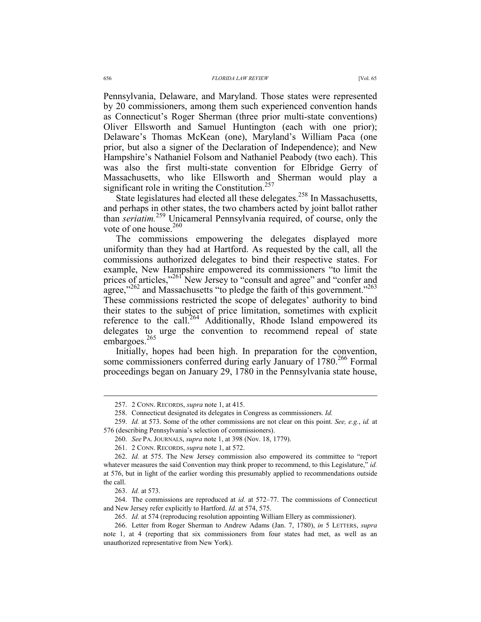Pennsylvania, Delaware, and Maryland. Those states were represented by 20 commissioners, among them such experienced convention hands as Connecticut's Roger Sherman (three prior multi-state conventions) Oliver Ellsworth and Samuel Huntington (each with one prior); Delaware's Thomas McKean (one), Maryland's William Paca (one prior, but also a signer of the Declaration of Independence); and New Hampshire's Nathaniel Folsom and Nathaniel Peabody (two each). This was also the first multi-state convention for Elbridge Gerry of Massachusetts, who like Ellsworth and Sherman would play a significant role in writing the Constitution.<sup>257</sup>

State legislatures had elected all these delegates.<sup>258</sup> In Massachusetts, and perhaps in other states, the two chambers acted by joint ballot rather than *seriatim.*259 Unicameral Pennsylvania required, of course, only the vote of one house. $260$ 

The commissions empowering the delegates displayed more uniformity than they had at Hartford. As requested by the call, all the commissions authorized delegates to bind their respective states. For example, New Hampshire empowered its commissioners "to limit the prices of articles,"<sup>261</sup> New Jersey to "consult and agree" and "confer and agree,"<sup>262</sup> and Massachusetts "to pledge the faith of this government."<sup>263</sup> These commissions restricted the scope of delegates' authority to bind their states to the subject of price limitation, sometimes with explicit reference to the call.<sup>264</sup> Additionally, Rhode Island empowered its delegates to urge the convention to recommend repeal of state embargoes.<sup>265</sup>

Initially, hopes had been high. In preparation for the convention, some commissioners conferred during early January of 1780.<sup>266</sup> Formal proceedings began on January 29, 1780 in the Pennsylvania state house,

260. *See* PA. JOURNALS, *supra* note 1, at 398 (Nov. 18, 1779).

 $\overline{a}$ 

 264. The commissions are reproduced at *id.* at 572–77. The commissions of Connecticut and New Jersey refer explicitly to Hartford. *Id.* at 574, 575.

 <sup>257. 2</sup> CONN. RECORDS, *supra* note 1, at 415.

 <sup>258.</sup> Connecticut designated its delegates in Congress as commissioners. *Id.*

 <sup>259.</sup> *Id.* at 573. Some of the other commissions are not clear on this point. *See, e.g.*, *id.* at 576 (describing Pennsylvania's selection of commissioners).

 <sup>261. 2</sup> CONN. RECORDS, *supra* note 1, at 572.

 <sup>262.</sup> *Id.* at 575. The New Jersey commission also empowered its committee to "report whatever measures the said Convention may think proper to recommend, to this Legislature," *id.* at 576, but in light of the earlier wording this presumably applied to recommendations outside the call.

 <sup>263.</sup> *Id.* at 573.

 <sup>265.</sup> *Id.* at 574 (reproducing resolution appointing William Ellery as commissioner).

 <sup>266.</sup> Letter from Roger Sherman to Andrew Adams (Jan. 7, 1780), *in* 5 LETTERS, *supra* note 1, at 4 (reporting that six commissioners from four states had met, as well as an unauthorized representative from New York).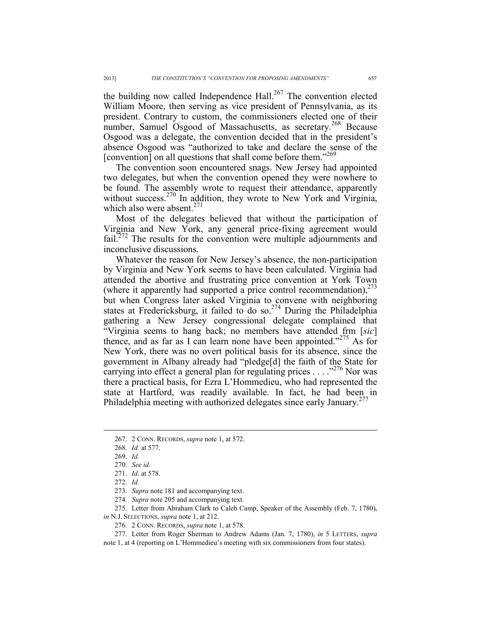the building now called Independence Hall. $267$  The convention elected William Moore, then serving as vice president of Pennsylvania, as its president. Contrary to custom, the commissioners elected one of their number, Samuel Osgood of Massachusetts, as secretary.<sup>268</sup> Because Osgood was a delegate, the convention decided that in the president's absence Osgood was "authorized to take and declare the sense of the [convention] on all questions that shall come before them."<sup>269</sup>

The convention soon encountered snags. New Jersey had appointed two delegates, but when the convention opened they were nowhere to be found. The assembly wrote to request their attendance, apparently without success.<sup>270</sup> In addition, they wrote to New York and Virginia, which also were absent.<sup>271</sup>

Most of the delegates believed that without the participation of Virginia and New York, any general price-fixing agreement would fail.<sup>272</sup> The results for the convention were multiple adjournments and inconclusive discussions.

Whatever the reason for New Jersey's absence, the non-participation by Virginia and New York seems to have been calculated. Virginia had attended the abortive and frustrating price convention at York Town (where it apparently had supported a price control recommendation), $^{273}$ but when Congress later asked Virginia to convene with neighboring states at Fredericksburg, it failed to do so.<sup>274</sup> During the Philadelphia gathering a New Jersey congressional delegate complained that "Virginia seems to hang back; no members have attended frm [*sic*] thence, and as far as I can learn none have been appointed."<sup>275</sup> As for New York, there was no overt political basis for its absence, since the government in Albany already had "pledge[d] the faith of the State for carrying into effect a general plan for regulating prices  $\ldots$  ...  $^{276}$  Nor was there a practical basis, for Ezra L'Hommedieu, who had represented the state at Hartford, was readily available. In fact, he had been in Philadelphia meeting with authorized delegates since early January.<sup>277</sup>

 <sup>267. 2</sup> CONN. RECORDS, *supra* note 1, at 572.

 <sup>268.</sup> *Id.* at 577.

 <sup>269.</sup> *Id.*

 <sup>270.</sup> *See id.*

 <sup>271.</sup> *Id.* at 578.

 <sup>272.</sup> *Id.*

<sup>273</sup>*. Supra* note 181 and accompanying text.

<sup>274</sup>*. Supra* note 205 and accompanying text.

 <sup>275.</sup> Letter from Abraham Clark to Caleb Camp, Speaker of the Assembly (Feb. 7, 1780), *in* N.J. SELECTIONS, *supra* note 1, at 212.

 <sup>276. 2</sup> CONN. RECORDS, *supra* note 1, at 578.

 <sup>277.</sup> Letter from Roger Sherman to Andrew Adams (Jan. 7, 1780), *in* 5 LETTERS, *supra* note 1, at 4 (reporting on L'Hommedieu's meeting with six commissioners from four states).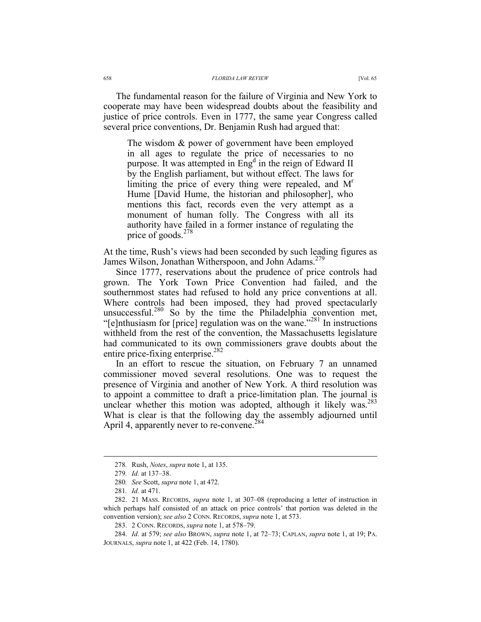The fundamental reason for the failure of Virginia and New York to cooperate may have been widespread doubts about the feasibility and justice of price controls. Even in 1777, the same year Congress called several price conventions, Dr. Benjamin Rush had argued that:

The wisdom & power of government have been employed in all ages to regulate the price of necessaries to no purpose. It was attempted in  $Eng<sup>d</sup>$  in the reign of Edward II by the English parliament, but without effect. The laws for limiting the price of every thing were repealed, and  $M<sup>r</sup>$ Hume [David Hume, the historian and philosopher], who mentions this fact, records even the very attempt as a monument of human folly. The Congress with all its authority have failed in a former instance of regulating the price of goods.<sup>278</sup>

At the time, Rush's views had been seconded by such leading figures as James Wilson, Jonathan Witherspoon, and John Adams.<sup>279</sup>

Since 1777, reservations about the prudence of price controls had grown. The York Town Price Convention had failed, and the southernmost states had refused to hold any price conventions at all. Where controls had been imposed, they had proved spectacularly unsuccessful.<sup>280</sup> So by the time the Philadelphia convention met, "[e]nthusiasm for [price] regulation was on the wane."281 In instructions withheld from the rest of the convention, the Massachusetts legislature had communicated to its own commissioners grave doubts about the entire price-fixing enterprise.<sup>282</sup>

In an effort to rescue the situation, on February 7 an unnamed commissioner moved several resolutions. One was to request the presence of Virginia and another of New York. A third resolution was to appoint a committee to draft a price-limitation plan. The journal is unclear whether this motion was adopted, although it likely was.<sup>283</sup> What is clear is that the following day the assembly adjourned until April 4, apparently never to re-convene.<sup>284</sup>

 <sup>278</sup>*.* Rush, *Notes*, *supra* note 1, at 135.

<sup>279</sup>*. Id.* at 137–38.

<sup>280</sup>*. See* Scott, *supra* note 1, at 472.

<sup>281</sup>*. Id.* at 471.

 <sup>282. 21</sup> MASS. RECORDS, *supra* note 1, at 307–08 (reproducing a letter of instruction in which perhaps half consisted of an attack on price controls' that portion was deleted in the convention version); *see also* 2 CONN. RECORDS, *supra* note 1, at 573.

 <sup>283. 2</sup> CONN. RECORDS, *supra* note 1, at 578–79.

 <sup>284.</sup> *Id.* at 579; *see also* BROWN, *supra* note 1, at 72–73; CAPLAN, *supra* note 1, at 19; PA. JOURNALS, *supra* note 1, at 422 (Feb. 14, 1780).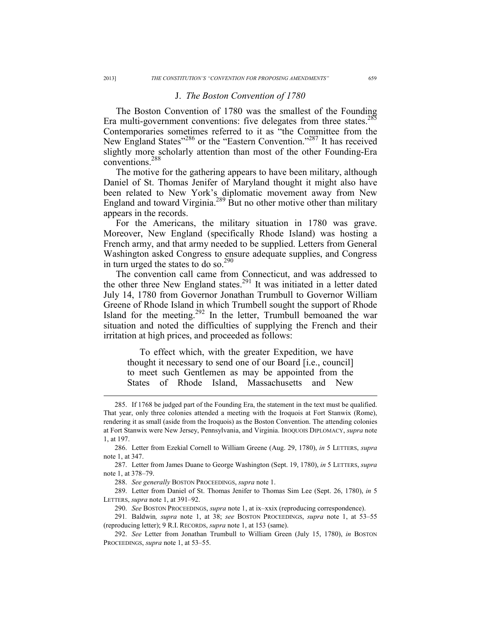## J. *The Boston Convention of 1780*

The Boston Convention of 1780 was the smallest of the Founding Era multi-government conventions: five delegates from three states.<sup>285</sup> Contemporaries sometimes referred to it as "the Committee from the New England States"<sup>286</sup> or the "Eastern Convention."<sup>287</sup> It has received slightly more scholarly attention than most of the other Founding-Era conventions.288

The motive for the gathering appears to have been military, although Daniel of St. Thomas Jenifer of Maryland thought it might also have been related to New York's diplomatic movement away from New England and toward Virginia.289 But no other motive other than military appears in the records.

For the Americans, the military situation in 1780 was grave. Moreover, New England (specifically Rhode Island) was hosting a French army, and that army needed to be supplied. Letters from General Washington asked Congress to ensure adequate supplies, and Congress in turn urged the states to do so.290

The convention call came from Connecticut, and was addressed to the other three New England states.<sup>291</sup> It was initiated in a letter dated July 14, 1780 from Governor Jonathan Trumbull to Governor William Greene of Rhode Island in which Trumbell sought the support of Rhode Island for the meeting. $292$  In the letter, Trumbull bemoaned the war situation and noted the difficulties of supplying the French and their irritation at high prices, and proceeded as follows:

To effect which, with the greater Expedition, we have thought it necessary to send one of our Board [i.e., council] to meet such Gentlemen as may be appointed from the States of Rhode Island, Massachusetts and New

 <sup>285.</sup> If 1768 be judged part of the Founding Era, the statement in the text must be qualified. That year, only three colonies attended a meeting with the Iroquois at Fort Stanwix (Rome), rendering it as small (aside from the Iroquois) as the Boston Convention. The attending colonies at Fort Stanwix were New Jersey, Pennsylvania, and Virginia. IROQUOIS DIPLOMACY, *supra* note 1, at 197.

 <sup>286.</sup> Letter from Ezekial Cornell to William Greene (Aug. 29, 1780), *in* 5 LETTERS, *supra* note 1, at 347.

 <sup>287.</sup> Letter from James Duane to George Washington (Sept. 19, 1780), *in* 5 LETTERS, *supra* note 1, at 378–79.

 <sup>288.</sup> *See generally* BOSTON PROCEEDINGS, *supra* note 1.

 <sup>289.</sup> Letter from Daniel of St. Thomas Jenifer to Thomas Sim Lee (Sept. 26, 1780), *in* 5 LETTERS, *supra* note 1, at 391–92.

 <sup>290.</sup> *See* BOSTON PROCEEDINGS, *supra* note 1, at ix–xxix (reproducing correspondence).

<sup>291</sup>*.* Baldwin*, supra* note 1, at 38; *see* BOSTON PROCEEDINGS, *supra* note 1, at 53–55 (reproducing letter); 9 R.I. RECORDS, *supra* note 1, at 153 (same).

 <sup>292.</sup> *See* Letter from Jonathan Trumbull to William Green (July 15, 1780), *in* BOSTON PROCEEDINGS, *supra* note 1, at 53–55.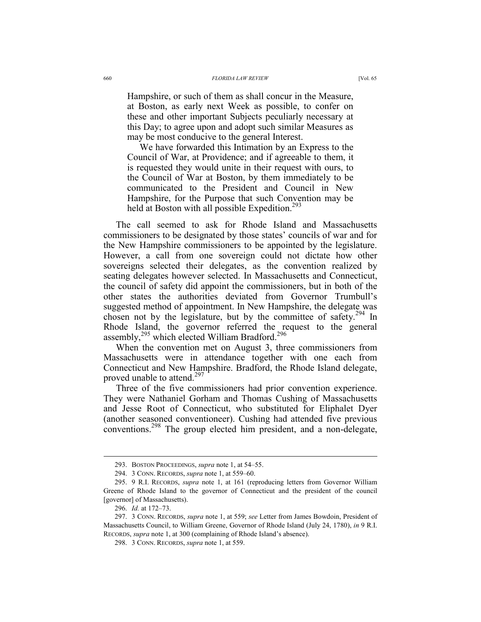Hampshire, or such of them as shall concur in the Measure, at Boston, as early next Week as possible, to confer on these and other important Subjects peculiarly necessary at this Day; to agree upon and adopt such similar Measures as may be most conducive to the general Interest.

We have forwarded this Intimation by an Express to the Council of War, at Providence; and if agreeable to them, it is requested they would unite in their request with ours, to the Council of War at Boston, by them immediately to be communicated to the President and Council in New Hampshire, for the Purpose that such Convention may be held at Boston with all possible Expedition.<sup>293</sup>

The call seemed to ask for Rhode Island and Massachusetts commissioners to be designated by those states' councils of war and for the New Hampshire commissioners to be appointed by the legislature. However, a call from one sovereign could not dictate how other sovereigns selected their delegates, as the convention realized by seating delegates however selected. In Massachusetts and Connecticut, the council of safety did appoint the commissioners, but in both of the other states the authorities deviated from Governor Trumbull's suggested method of appointment. In New Hampshire, the delegate was chosen not by the legislature, but by the committee of safety.<sup>294</sup> In Rhode Island, the governor referred the request to the general assembly,<sup>295</sup> which elected William Bradford.<sup>296</sup>

When the convention met on August 3, three commissioners from Massachusetts were in attendance together with one each from Connecticut and New Hampshire. Bradford, the Rhode Island delegate, proved unable to attend.<sup>297</sup>

Three of the five commissioners had prior convention experience. They were Nathaniel Gorham and Thomas Cushing of Massachusetts and Jesse Root of Connecticut, who substituted for Eliphalet Dyer (another seasoned conventioneer). Cushing had attended five previous conventions.<sup>298</sup> The group elected him president, and a non-delegate,

 <sup>293.</sup> BOSTON PROCEEDINGS, *supra* note 1, at 54–55.

 <sup>294. 3</sup> CONN. RECORDS, *supra* note 1, at 559–60.

 <sup>295. 9</sup> R.I. RECORDS, *supra* note 1, at 161 (reproducing letters from Governor William Greene of Rhode Island to the governor of Connecticut and the president of the council [governor] of Massachusetts).

 <sup>296.</sup> *Id.* at 172–73.

 <sup>297. 3</sup> CONN. RECORDS, *supra* note 1, at 559; *see* Letter from James Bowdoin, President of Massachusetts Council, to William Greene, Governor of Rhode Island (July 24, 1780), *in* 9 R.I. RECORDS, *supra* note 1, at 300 (complaining of Rhode Island's absence).

 <sup>298. 3</sup> CONN. RECORDS, *supra* note 1, at 559.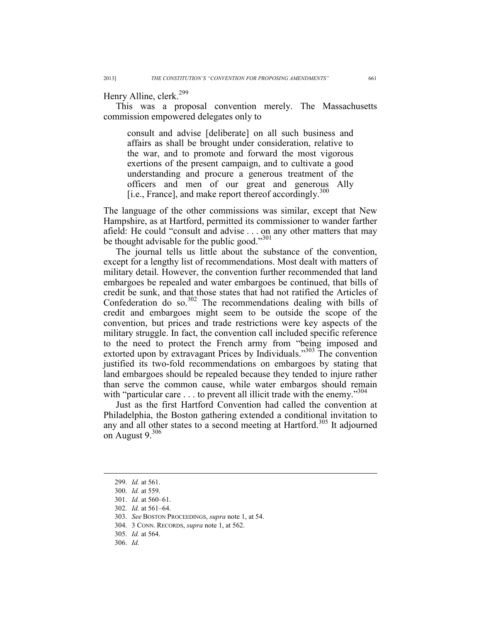Henry Alline, clerk.<sup>299</sup>

This was a proposal convention merely. The Massachusetts commission empowered delegates only to

consult and advise [deliberate] on all such business and affairs as shall be brought under consideration, relative to the war, and to promote and forward the most vigorous exertions of the present campaign, and to cultivate a good understanding and procure a generous treatment of the officers and men of our great and generous Ally [i.e., France], and make report thereof accordingly. $300$ 

The language of the other commissions was similar, except that New Hampshire, as at Hartford, permitted its commissioner to wander farther afield: He could "consult and advise . . . on any other matters that may be thought advisable for the public good."<sup>301</sup>

The journal tells us little about the substance of the convention, except for a lengthy list of recommendations. Most dealt with matters of military detail. However, the convention further recommended that land embargoes be repealed and water embargoes be continued, that bills of credit be sunk, and that those states that had not ratified the Articles of Confederation do so. $302$  The recommendations dealing with bills of credit and embargoes might seem to be outside the scope of the convention, but prices and trade restrictions were key aspects of the military struggle. In fact, the convention call included specific reference to the need to protect the French army from "being imposed and extorted upon by extravagant Prices by Individuals."303 The convention justified its two-fold recommendations on embargoes by stating that land embargoes should be repealed because they tended to injure rather than serve the common cause, while water embargos should remain with "particular care  $\dots$  to prevent all illicit trade with the enemy."<sup>304</sup>

Just as the first Hartford Convention had called the convention at Philadelphia, the Boston gathering extended a conditional invitation to any and all other states to a second meeting at Hartford.<sup>305</sup> It adjourned on August  $9.306$ 

 <sup>299.</sup> *Id.* at 561.

 <sup>300.</sup> *Id.* at 559.

 <sup>301.</sup> *Id.* at 560–61.

 <sup>302.</sup> *Id.* at 561–64.

 <sup>303.</sup> *See* BOSTON PROCEEDINGS, *supra* note 1, at 54.

 <sup>304. 3</sup> CONN. RECORDS, *supra* note 1, at 562.

 <sup>305.</sup> *Id.* at 564.

 <sup>306.</sup> *Id.*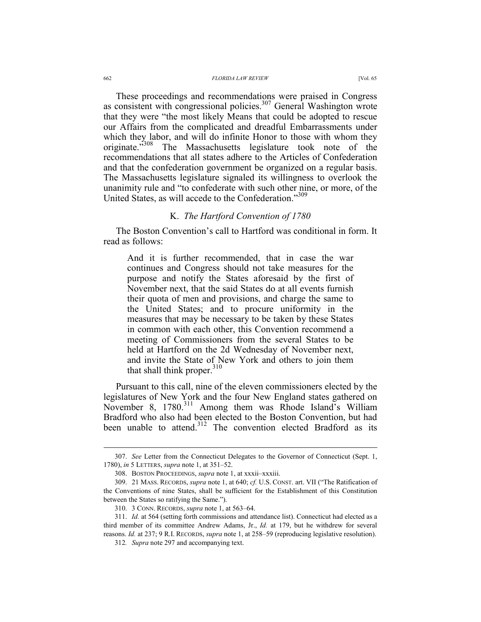#### 662 *FLORIDA LAW REVIEW* [Vol. 65

These proceedings and recommendations were praised in Congress as consistent with congressional policies.<sup>307</sup> General Washington wrote that they were "the most likely Means that could be adopted to rescue our Affairs from the complicated and dreadful Embarrassments under which they labor, and will do infinite Honor to those with whom they originate."<sup>308</sup> The Massachusetts legislature took note of the recommendations that all states adhere to the Articles of Confederation and that the confederation government be organized on a regular basis. The Massachusetts legislature signaled its willingness to overlook the unanimity rule and "to confederate with such other nine, or more, of the United States, as will accede to the Confederation."309

## K. *The Hartford Convention of 1780*

The Boston Convention's call to Hartford was conditional in form. It read as follows:

And it is further recommended, that in case the war continues and Congress should not take measures for the purpose and notify the States aforesaid by the first of November next, that the said States do at all events furnish their quota of men and provisions, and charge the same to the United States; and to procure uniformity in the measures that may be necessary to be taken by these States in common with each other, this Convention recommend a meeting of Commissioners from the several States to be held at Hartford on the 2d Wednesday of November next, and invite the State of New York and others to join them that shall think proper.<sup>310</sup>

Pursuant to this call, nine of the eleven commissioners elected by the legislatures of New York and the four New England states gathered on November 8, 1780.<sup>311</sup> Among them was Rhode Island's William Bradford who also had been elected to the Boston Convention, but had been unable to attend.<sup>312</sup> The convention elected Bradford as its

 <sup>307.</sup> *See* Letter from the Connecticut Delegates to the Governor of Connecticut (Sept. 1, 1780), *in* 5 LETTERS, *supra* note 1, at 351–52.

 <sup>308.</sup> BOSTON PROCEEDINGS, *supra* note 1, at xxxii–xxxiii.

 <sup>309. 21</sup> MASS. RECORDS, *supra* note 1, at 640; *cf.* U.S. CONST. art. VII ("The Ratification of the Conventions of nine States, shall be sufficient for the Establishment of this Constitution between the States so ratifying the Same.").

 <sup>310. 3</sup> CONN. RECORDS, *supra* note 1, at 563–64.

 <sup>311.</sup> *Id.* at 564 (setting forth commissions and attendance list). Connecticut had elected as a third member of its committee Andrew Adams, Jr., *Id.* at 179, but he withdrew for several reasons. *Id.* at 237; 9 R.I. RECORDS, *supra* note 1, at 258–59 (reproducing legislative resolution).

<sup>312</sup>*. Supra* note 297 and accompanying text.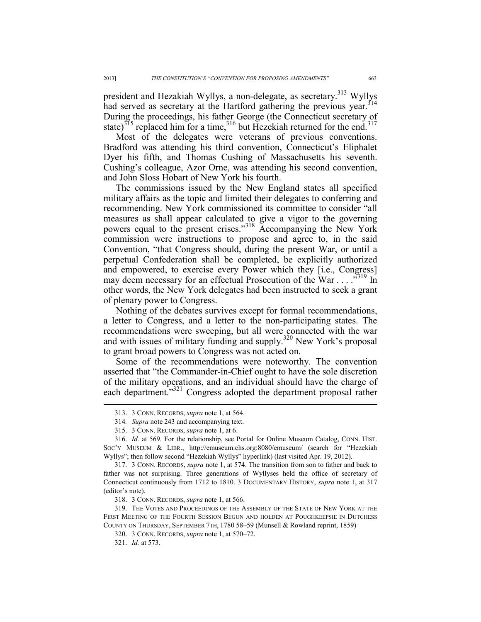president and Hezakiah Wyllys, a non-delegate, as secretary.<sup>313</sup> Wyllys had served as secretary at the Hartford gathering the previous year.<sup>314</sup> During the proceedings, his father George (the Connecticut secretary of state)<sup>315</sup> replaced him for a time,<sup>316</sup> but Hezekiah returned for the end.<sup>317</sup>

Most of the delegates were veterans of previous conventions. Bradford was attending his third convention, Connecticut's Eliphalet Dyer his fifth, and Thomas Cushing of Massachusetts his seventh. Cushing's colleague, Azor Orne, was attending his second convention, and John Sloss Hobart of New York his fourth.

The commissions issued by the New England states all specified military affairs as the topic and limited their delegates to conferring and recommending. New York commissioned its committee to consider "all measures as shall appear calculated to give a vigor to the governing powers equal to the present crises."<sup>318</sup> Accompanying the New York commission were instructions to propose and agree to, in the said Convention, "that Congress should, during the present War, or until a perpetual Confederation shall be completed, be explicitly authorized and empowered, to exercise every Power which they [i.e., Congress] may deem necessary for an effectual Prosecution of the War . . . . .<sup>319</sup> In other words, the New York delegates had been instructed to seek a grant of plenary power to Congress.

Nothing of the debates survives except for formal recommendations, a letter to Congress, and a letter to the non-participating states. The recommendations were sweeping, but all were connected with the war and with issues of military funding and supply.<sup>320</sup> New York's proposal to grant broad powers to Congress was not acted on.

Some of the recommendations were noteworthy. The convention asserted that "the Commander-in-Chief ought to have the sole discretion of the military operations, and an individual should have the charge of each department."<sup>321</sup> Congress adopted the department proposal rather

 <sup>313. 3</sup> CONN. RECORDS, *supra* note 1, at 564.

<sup>314</sup>*. Supra* note 243 and accompanying text.

 <sup>315. 3</sup> CONN. RECORDS, *supra* note 1, at 6.

 <sup>316.</sup> *Id.* at 569. For the relationship, see Portal for Online Museum Catalog, CONN. HIST. SOC'Y MUSEUM & LIBR., http://emuseum.chs.org:8080/emuseum/ (search for "Hezekiah Wyllys"; then follow second "Hezekiah Wyllys" hyperlink) (last visited Apr. 19, 2012).

 <sup>317. 3</sup> CONN. RECORDS, *supra* note 1, at 574. The transition from son to father and back to father was not surprising. Three generations of Wyllyses held the office of secretary of Connecticut continuously from 1712 to 1810. 3 DOCUMENTARY HISTORY, *supra* note 1, at 317 (editor's note).

 <sup>318. 3</sup> CONN. RECORDS, *supra* note 1, at 566.

 <sup>319.</sup> THE VOTES AND PROCEEDINGS OF THE ASSEMBLY OF THE STATE OF NEW YORK AT THE FIRST MEETING OF THE FOURTH SESSION BEGUN AND HOLDEN AT POUGHKEEPSIE IN DUTCHESS COUNTY ON THURSDAY, SEPTEMBER 7TH, 1780 58–59 (Munsell & Rowland reprint, 1859)

 <sup>320. 3</sup> CONN. RECORDS, *supra* note 1, at 570–72.

 <sup>321.</sup> *Id.* at 573.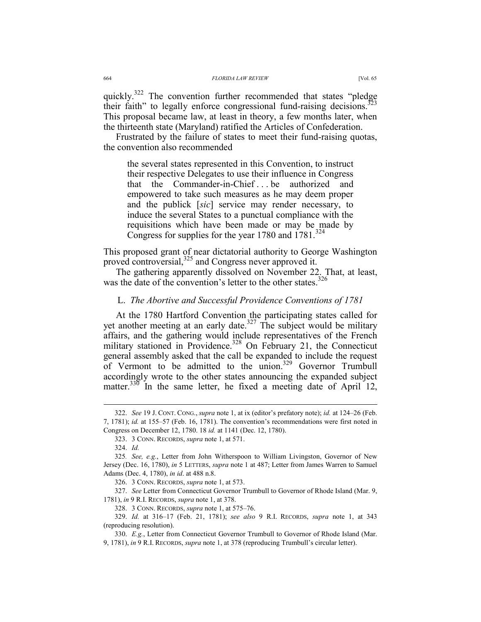quickly.<sup>322</sup> The convention further recommended that states "pledge" their faith" to legally enforce congressional fund-raising decisions.<sup>323</sup> This proposal became law, at least in theory, a few months later, when the thirteenth state (Maryland) ratified the Articles of Confederation.

Frustrated by the failure of states to meet their fund-raising quotas, the convention also recommended

the several states represented in this Convention, to instruct their respective Delegates to use their influence in Congress that the Commander-in-Chief . . . be authorized and empowered to take such measures as he may deem proper and the publick [*sic*] service may render necessary, to induce the several States to a punctual compliance with the requisitions which have been made or may be made by Congress for supplies for the year 1780 and  $1781$ .<sup>324</sup>

This proposed grant of near dictatorial authority to George Washington proved controversial,<sup>325</sup> and Congress never approved it.

The gathering apparently dissolved on November 22. That, at least, was the date of the convention's letter to the other states.<sup>326</sup>

### L. *The Abortive and Successful Providence Conventions of 1781*

At the 1780 Hartford Convention the participating states called for yet another meeting at an early date.<sup>327</sup> The subject would be military affairs, and the gathering would include representatives of the French military stationed in Providence.<sup>328</sup> On February 21, the Connecticut general assembly asked that the call be expanded to include the request of Vermont to be admitted to the union.<sup>329</sup> Governor Trumbull accordingly wrote to the other states announcing the expanded subject matter.<sup>336</sup> In the same letter, he fixed a meeting date of April 12,

 <sup>322.</sup> *See* 19 J. CONT. CONG., *supra* note 1, at ix (editor's prefatory note); *id.* at 124–26 (Feb. 7, 1781); *id.* at 155–57 (Feb. 16, 1781). The convention's recommendations were first noted in Congress on December 12, 1780. 18 *id.* at 1141 (Dec. 12, 1780).

 <sup>323. 3</sup> CONN. RECORDS, *supra* note 1, at 571.

 <sup>324.</sup> *Id.*

<sup>325</sup>*. See, e.g.*, Letter from John Witherspoon to William Livingston, Governor of New Jersey (Dec. 16, 1780), *in* 5 LETTERS, *supra* note 1 at 487; Letter from James Warren to Samuel Adams (Dec. 4, 1780), *in id*. at 488 n.8.

 <sup>326. 3</sup> CONN. RECORDS, *supra* note 1, at 573.

 <sup>327.</sup> *See* Letter from Connecticut Governor Trumbull to Governor of Rhode Island (Mar. 9, 1781), *in* 9 R.I. RECORDS, *supra* note 1, at 378.

 <sup>328. 3</sup> CONN. RECORDS, *supra* note 1, at 575–76.

 <sup>329.</sup> *Id.* at 316–17 (Feb. 21, 1781); *see also* 9 R.I. RECORDS, *supra* note 1, at 343 (reproducing resolution).

 <sup>330.</sup> *E.g.*, Letter from Connecticut Governor Trumbull to Governor of Rhode Island (Mar. 9, 1781), *in* 9 R.I. RECORDS, *supra* note 1, at 378 (reproducing Trumbull's circular letter).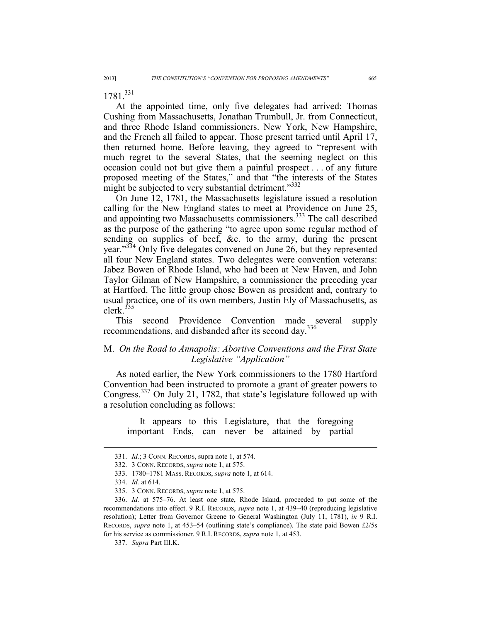1781<sup>331</sup>

At the appointed time, only five delegates had arrived: Thomas Cushing from Massachusetts, Jonathan Trumbull, Jr. from Connecticut, and three Rhode Island commissioners. New York, New Hampshire, and the French all failed to appear. Those present tarried until April 17, then returned home. Before leaving, they agreed to "represent with much regret to the several States, that the seeming neglect on this occasion could not but give them a painful prospect . . . of any future proposed meeting of the States," and that "the interests of the States might be subjected to very substantial detriment."<sup>332</sup>

On June 12, 1781, the Massachusetts legislature issued a resolution calling for the New England states to meet at Providence on June 25, and appointing two Massachusetts commissioners.<sup>333</sup> The call described as the purpose of the gathering "to agree upon some regular method of sending on supplies of beef, &c. to the army, during the present year."<sup>334</sup> Only five delegates convened on June 26, but they represented all four New England states. Two delegates were convention veterans: Jabez Bowen of Rhode Island, who had been at New Haven, and John Taylor Gilman of New Hampshire, a commissioner the preceding year at Hartford. The little group chose Bowen as president and, contrary to usual practice, one of its own members, Justin Ely of Massachusetts, as clerk. $335$ 

This second Providence Convention made several supply recommendations, and disbanded after its second day.<sup>336</sup>

## M. *On the Road to Annapolis: Abortive Conventions and the First State Legislative "Application"*

As noted earlier, the New York commissioners to the 1780 Hartford Convention had been instructed to promote a grant of greater powers to Congress.337 On July 21, 1782, that state's legislature followed up with a resolution concluding as follows:

It appears to this Legislature, that the foregoing important Ends, can never be attained by partial

 <sup>331.</sup> *Id.*; 3 CONN. RECORDS, supra note 1, at 574.

 <sup>332. 3</sup> CONN. RECORDS, *supra* note 1, at 575.

 <sup>333. 1780–1781</sup> MASS. RECORDS, *supra* note 1, at 614.

 <sup>334.</sup> *Id.* at 614.

 <sup>335. 3</sup> CONN. RECORDS, *supra* note 1, at 575.

 <sup>336.</sup> *Id.* at 575–76. At least one state, Rhode Island, proceeded to put some of the recommendations into effect. 9 R.I. RECORDS, *supra* note 1, at 439–40 (reproducing legislative resolution); Letter from Governor Greene to General Washington (July 11, 1781), *in* 9 R.I. RECORDS, *supra* note 1, at 453–54 (outlining state's compliance). The state paid Bowen £2/5s for his service as commissioner. 9 R.I. RECORDS, *supra* note 1, at 453.

 <sup>337.</sup> *Supra* Part III.K.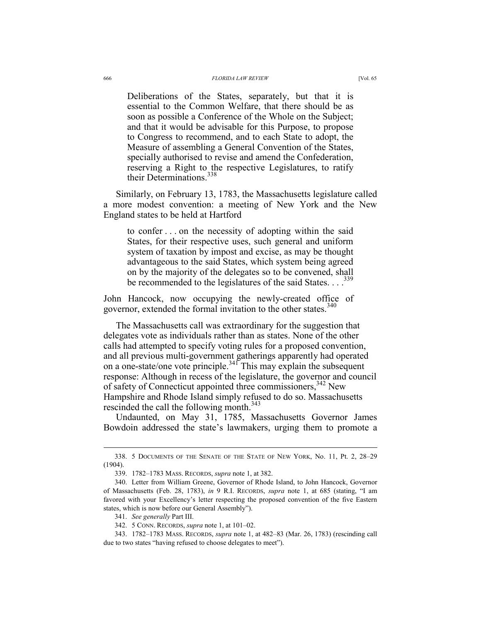#### 666 *FLORIDA LAW REVIEW* [Vol. 65

Deliberations of the States, separately, but that it is essential to the Common Welfare, that there should be as soon as possible a Conference of the Whole on the Subject; and that it would be advisable for this Purpose, to propose to Congress to recommend, and to each State to adopt, the Measure of assembling a General Convention of the States, specially authorised to revise and amend the Confederation, reserving a Right to the respective Legislatures, to ratify their Determinations.<sup>338</sup>

Similarly, on February 13, 1783, the Massachusetts legislature called a more modest convention: a meeting of New York and the New England states to be held at Hartford

to confer . . . on the necessity of adopting within the said States, for their respective uses, such general and uniform system of taxation by impost and excise, as may be thought advantageous to the said States, which system being agreed on by the majority of the delegates so to be convened, shall be recommended to the legislatures of the said States. . . .<sup>339</sup>

John Hancock, now occupying the newly-created office of governor, extended the formal invitation to the other states.<sup>340</sup>

The Massachusetts call was extraordinary for the suggestion that delegates vote as individuals rather than as states. None of the other calls had attempted to specify voting rules for a proposed convention, and all previous multi-government gatherings apparently had operated on a one-state/one vote principle.<sup>341</sup> This may explain the subsequent response: Although in recess of the legislature, the governor and council of safety of Connecticut appointed three commissioners,<sup>342</sup> New Hampshire and Rhode Island simply refused to do so. Massachusetts rescinded the call the following month.<sup>343</sup>

Undaunted, on May 31, 1785, Massachusetts Governor James Bowdoin addressed the state's lawmakers, urging them to promote a

 <sup>338. 5</sup> DOCUMENTS OF THE SENATE OF THE STATE OF NEW YORK, No. 11, Pt. 2, 28–29 (1904).

 <sup>339. 1782–1783</sup> MASS. RECORDS, *supra* note 1, at 382.

 <sup>340.</sup> Letter from William Greene, Governor of Rhode Island, to John Hancock, Governor of Massachusetts (Feb. 28, 1783), *in* 9 R.I. RECORDS, *supra* note 1, at 685 (stating, "I am favored with your Excellency's letter respecting the proposed convention of the five Eastern states, which is now before our General Assembly").

 <sup>341.</sup> *See generally* Part III.

 <sup>342. 5</sup> CONN. RECORDS, *supra* note 1, at 101–02.

 <sup>343. 1782–1783</sup> MASS. RECORDS, *supra* note 1, at 482–83 (Mar. 26, 1783) (rescinding call due to two states "having refused to choose delegates to meet").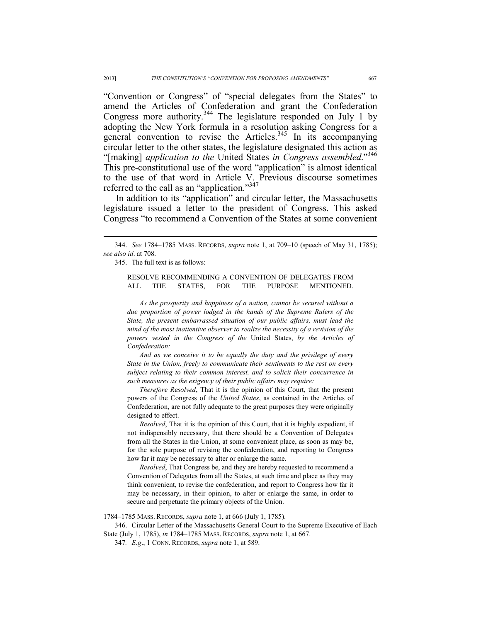"Convention or Congress" of "special delegates from the States" to amend the Articles of Confederation and grant the Confederation Congress more authority.<sup>344</sup> The legislature responded on July 1 by adopting the New York formula in a resolution asking Congress for a general convention to revise the Articles.<sup>345</sup> In its accompanying circular letter to the other states, the legislature designated this action as "[making] *application to the* United States *in Congress assembled*."346 This pre-constitutional use of the word "application" is almost identical to the use of that word in Article V. Previous discourse sometimes referred to the call as an "application."<sup>347</sup>

In addition to its "application" and circular letter, the Massachusetts legislature issued a letter to the president of Congress. This asked Congress "to recommend a Convention of the States at some convenient

345. The full text is as follows:

 $\overline{a}$ 

RESOLVE RECOMMENDING A CONVENTION OF DELEGATES FROM ALL THE STATES, FOR THE PURPOSE MENTIONED.

*As the prosperity and happiness of a nation, cannot be secured without a due proportion of power lodged in the hands of the Supreme Rulers of the State, the present embarrassed situation of our public affairs, must lead the mind of the most inattentive observer to realize the necessity of a revision of the powers vested in the Congress of the* United States, *by the Articles of Confederation:* 

*And as we conceive it to be equally the duty and the privilege of every State in the Union, freely to communicate their sentiments to the rest on every subject relating to their common interest, and to solicit their concurrence in such measures as the exigency of their public affairs may require:* 

*Therefore Resolved*, That it is the opinion of this Court, that the present powers of the Congress of the *United States*, as contained in the Articles of Confederation, are not fully adequate to the great purposes they were originally designed to effect.

*Resolved*, That it is the opinion of this Court, that it is highly expedient, if not indispensibly necessary, that there should be a Convention of Delegates from all the States in the Union, at some convenient place, as soon as may be, for the sole purpose of revising the confederation, and reporting to Congress how far it may be necessary to alter or enlarge the same.

*Resolved*, That Congress be, and they are hereby requested to recommend a Convention of Delegates from all the States, at such time and place as they may think convenient, to revise the confederation, and report to Congress how far it may be necessary, in their opinion, to alter or enlarge the same, in order to secure and perpetuate the primary objects of the Union.

1784–1785 MASS. RECORDS, *supra* note 1, at 666 (July 1, 1785).

 346. Circular Letter of the Massachusetts General Court to the Supreme Executive of Each State (July 1, 1785), *in* 1784–1785 MASS. RECORDS, *supra* note 1, at 667.

347*. E.g*., 1 CONN. RECORDS, *supra* note 1, at 589.

 <sup>344.</sup> *See* 1784–1785 MASS. RECORDS, *supra* note 1, at 709–10 (speech of May 31, 1785); *see also id*. at 708.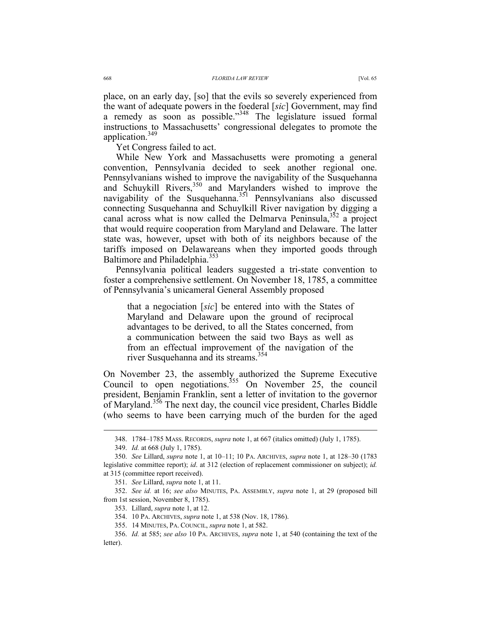place, on an early day, [so] that the evils so severely experienced from the want of adequate powers in the foederal [*sic*] Government, may find a remedy as soon as possible."<sup>348</sup> The legislature issued formal instructions to Massachusetts' congressional delegates to promote the application.349

Yet Congress failed to act.

While New York and Massachusetts were promoting a general convention, Pennsylvania decided to seek another regional one. Pennsylvanians wished to improve the navigability of the Susquehanna and Schuykill Rivers,<sup>350</sup> and Marylanders wished to improve the navigability of the Susquehanna.<sup>351</sup> Pennsylvanians also discussed connecting Susquehanna and Schuylkill River navigation by digging a canal across what is now called the Delmarva Peninsula,  $352$  a project that would require cooperation from Maryland and Delaware. The latter state was, however, upset with both of its neighbors because of the tariffs imposed on Delawareans when they imported goods through Baltimore and Philadelphia.<sup>353</sup>

Pennsylvania political leaders suggested a tri-state convention to foster a comprehensive settlement. On November 18, 1785, a committee of Pennsylvania's unicameral General Assembly proposed

that a negociation [*sic*] be entered into with the States of Maryland and Delaware upon the ground of reciprocal advantages to be derived, to all the States concerned, from a communication between the said two Bays as well as from an effectual improvement of the navigation of the river Susquehanna and its streams.<sup>354</sup>

On November 23, the assembly authorized the Supreme Executive Council to open negotiations.<sup>355</sup> On November  $25$ , the council president, Benjamin Franklin, sent a letter of invitation to the governor of Maryland.<sup>356</sup> The next day, the council vice president, Charles Biddle (who seems to have been carrying much of the burden for the aged

 <sup>348. 1784–1785</sup> MASS. RECORDS, *supra* note 1, at 667 (italics omitted) (July 1, 1785).

 <sup>349.</sup> *Id.* at 668 (July 1, 1785).

 <sup>350.</sup> *See* Lillard, *supra* note 1, at 10–11; 10 PA. ARCHIVES, *supra* note 1, at 128–30 (1783 legislative committee report); *id*. at 312 (election of replacement commissioner on subject); *id.* at 315 (committee report received).

 <sup>351.</sup> *See* Lillard, *supra* note 1, at 11.

 <sup>352.</sup> *See id.* at 16; *see also* MINUTES, PA. ASSEMBLY, *supra* note 1, at 29 (proposed bill from 1st session, November 8, 1785).

 <sup>353.</sup> Lillard, *supra* note 1, at 12.

 <sup>354. 10</sup> PA. ARCHIVES, *supra* note 1, at 538 (Nov. 18, 1786).

 <sup>355. 14</sup> MINUTES, PA. COUNCIL, *supra* note 1, at 582.

 <sup>356.</sup> *Id.* at 585; *see also* 10 PA. ARCHIVES, *supra* note 1, at 540 (containing the text of the letter).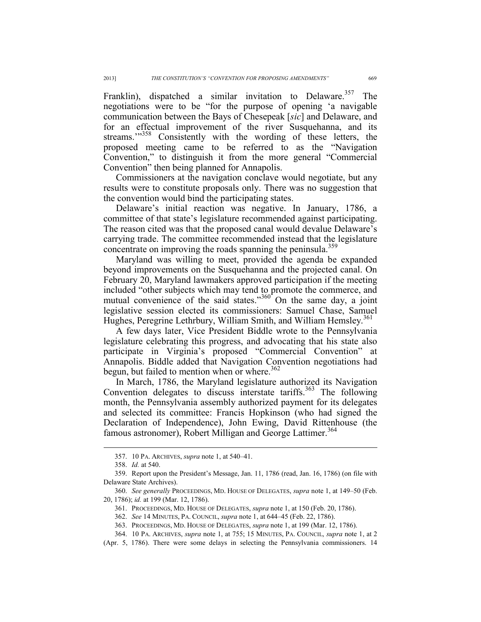Franklin), dispatched a similar invitation to Delaware.<sup>357</sup> The negotiations were to be "for the purpose of opening 'a navigable communication between the Bays of Chesepeak [*sic*] and Delaware, and for an effectual improvement of the river Susquehanna, and its streams."<sup>358</sup> Consistently with the wording of these letters, the proposed meeting came to be referred to as the "Navigation Convention," to distinguish it from the more general "Commercial Convention" then being planned for Annapolis.

Commissioners at the navigation conclave would negotiate, but any results were to constitute proposals only. There was no suggestion that the convention would bind the participating states.

Delaware's initial reaction was negative. In January, 1786, a committee of that state's legislature recommended against participating. The reason cited was that the proposed canal would devalue Delaware's carrying trade. The committee recommended instead that the legislature concentrate on improving the roads spanning the peninsula.<sup>359</sup>

Maryland was willing to meet, provided the agenda be expanded beyond improvements on the Susquehanna and the projected canal. On February 20, Maryland lawmakers approved participation if the meeting included "other subjects which may tend to promote the commerce, and mutual convenience of the said states." $360^4$  On the same day, a joint legislative session elected its commissioners: Samuel Chase, Samuel Hughes, Peregrine Lethrbury, William Smith, and William Hemsley.<sup>361</sup>

A few days later, Vice President Biddle wrote to the Pennsylvania legislature celebrating this progress, and advocating that his state also participate in Virginia's proposed "Commercial Convention" at Annapolis. Biddle added that Navigation Convention negotiations had begun, but failed to mention when or where. $362$ 

In March, 1786, the Maryland legislature authorized its Navigation Convention delegates to discuss interstate tariffs.<sup>363</sup> The following month, the Pennsylvania assembly authorized payment for its delegates and selected its committee: Francis Hopkinson (who had signed the Declaration of Independence), John Ewing, David Rittenhouse (the famous astronomer), Robert Milligan and George Lattimer.<sup>364</sup>

 <sup>357. 10</sup> PA. ARCHIVES, *supra* note 1, at 540–41.

 <sup>358.</sup> *Id.* at 540.

 <sup>359.</sup> Report upon the President's Message, Jan. 11, 1786 (read, Jan. 16, 1786) (on file with Delaware State Archives).

 <sup>360.</sup> *See generally* PROCEEDINGS, MD. HOUSE OF DELEGATES, *supra* note 1, at 149–50 (Feb. 20, 1786); *id.* at 199 (Mar. 12, 1786).

 <sup>361.</sup> PROCEEDINGS, MD. HOUSE OF DELEGATES, *supra* note 1, at 150 (Feb. 20, 1786).

 <sup>362.</sup> *See* 14 MINUTES, PA. COUNCIL, *supra* note 1, at 644–45 (Feb. 22, 1786).

 <sup>363.</sup> PROCEEDINGS, MD. HOUSE OF DELEGATES, *supra* note 1, at 199 (Mar. 12, 1786).

 <sup>364. 10</sup> PA. ARCHIVES, *supra* note 1, at 755; 15 MINUTES, PA. COUNCIL, *supra* note 1, at 2

<sup>(</sup>Apr. 5, 1786). There were some delays in selecting the Pennsylvania commissioners. 14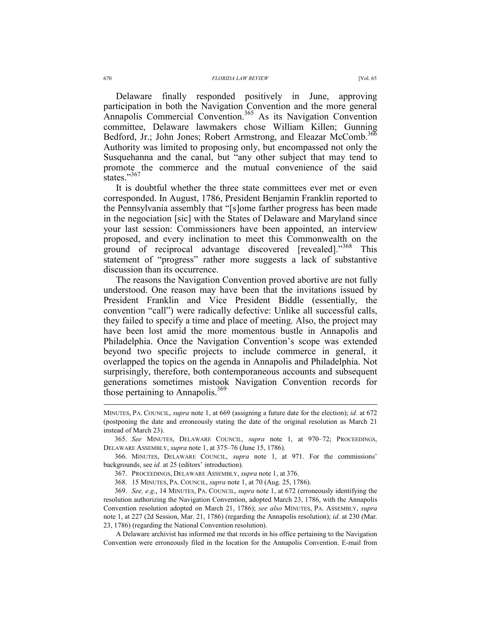Delaware finally responded positively in June, approving participation in both the Navigation Convention and the more general Annapolis Commercial Convention.<sup>365</sup> As its Navigation Convention committee, Delaware lawmakers chose William Killen; Gunning Bedford, Jr.; John Jones; Robert Armstrong, and Eleazar McComb.<sup>366</sup> Authority was limited to proposing only, but encompassed not only the Susquehanna and the canal, but "any other subject that may tend to promote the commerce and the mutual convenience of the said states."367

It is doubtful whether the three state committees ever met or even corresponded. In August, 1786, President Benjamin Franklin reported to the Pennsylvania assembly that "[s]ome farther progress has been made in the negociation [sic] with the States of Delaware and Maryland since your last session: Commissioners have been appointed, an interview proposed, and every inclination to meet this Commonwealth on the ground of reciprocal advantage discovered [revealed]."<sup>368</sup> This statement of "progress" rather more suggests a lack of substantive discussion than its occurrence.

The reasons the Navigation Convention proved abortive are not fully understood. One reason may have been that the invitations issued by President Franklin and Vice President Biddle (essentially, the convention "call") were radically defective: Unlike all successful calls, they failed to specify a time and place of meeting. Also, the project may have been lost amid the more momentous bustle in Annapolis and Philadelphia. Once the Navigation Convention's scope was extended beyond two specific projects to include commerce in general, it overlapped the topics on the agenda in Annapolis and Philadelphia. Not surprisingly, therefore, both contemporaneous accounts and subsequent generations sometimes mistook Navigation Convention records for those pertaining to Annapolis.<sup>369</sup>

 365. *See* MINUTES, DELAWARE COUNCIL, *supra* note 1, at 970–72; PROCEEDINGS, DELAWARE ASSEMBLY, *supra* note 1, at 375–76 (June 15, 1786).

 366. MINUTES, DELAWARE COUNCIL, *supra* note 1, at 971. For the commissions' backgrounds, see *id.* at 25 (editors' introduction).

 369. *See, e.g*., 14 MINUTES, PA. COUNCIL, *supra* note 1, at 672 (erroneously identifying the resolution authorizing the Navigation Convention, adopted March 23, 1786, with the Annapolis Convention resolution adopted on March 21, 1786); *see also* MINUTES, PA. ASSEMBLY, *supra* note 1, at 227 (2d Session, Mar. 21, 1786) (regarding the Annapolis resolution); *id*. at 230 (Mar. 23, 1786) (regarding the National Convention resolution).

A Delaware archivist has informed me that records in his office pertaining to the Navigation Convention were erroneously filed in the location for the Annapolis Convention. E-mail from

MINUTES, PA. COUNCIL, *supra* note 1, at 669 (assigning a future date for the election); *id.* at 672 (postponing the date and erroneously stating the date of the original resolution as March 21 instead of March 23).

 <sup>367.</sup> PROCEEDINGS, DELAWARE ASSEMBLY, *supra* note 1, at 376.

 <sup>368. 15</sup> MINUTES, PA. COUNCIL, *supra* note 1, at 70 (Aug. 25, 1786).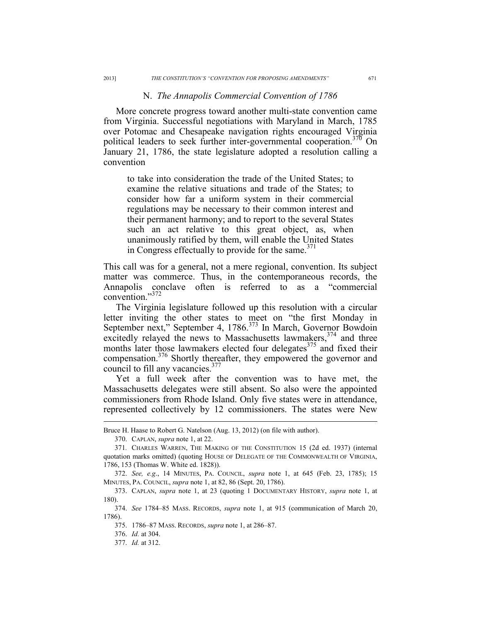### N. *The Annapolis Commercial Convention of 1786*

More concrete progress toward another multi-state convention came from Virginia. Successful negotiations with Maryland in March, 1785 over Potomac and Chesapeake navigation rights encouraged Virginia political leaders to seek further inter-governmental cooperation.<sup>370</sup> On January 21, 1786, the state legislature adopted a resolution calling a convention

to take into consideration the trade of the United States; to examine the relative situations and trade of the States; to consider how far a uniform system in their commercial regulations may be necessary to their common interest and their permanent harmony; and to report to the several States such an act relative to this great object, as, when unanimously ratified by them, will enable the United States in Congress effectually to provide for the same. $371$ 

This call was for a general, not a mere regional, convention. Its subject matter was commerce. Thus, in the contemporaneous records, the Annapolis conclave often is referred to as a "commercial convention."372

The Virginia legislature followed up this resolution with a circular letter inviting the other states to meet on "the first Monday in September next," September 4, 1786.<sup>373</sup> In March, Governor Bowdoin excitedly relayed the news to Massachusetts lawmakers,<sup>374</sup> and three months later those lawmakers elected four delegates<sup>375</sup> and fixed their compensation.376 Shortly thereafter, they empowered the governor and council to fill any vacancies. $377$ 

Yet a full week after the convention was to have met, the Massachusetts delegates were still absent. So also were the appointed commissioners from Rhode Island. Only five states were in attendance, represented collectively by 12 commissioners. The states were New

Bruce H. Haase to Robert G. Natelson (Aug. 13, 2012) (on file with author).

 <sup>370.</sup> CAPLAN, *supra* note 1, at 22.

<sup>371</sup>*.* CHARLES WARREN, THE MAKING OF THE CONSTITUTION 15 (2d ed. 1937) (internal quotation marks omitted) (quoting HOUSE OF DELEGATE OF THE COMMONWEALTH OF VIRGINIA, 1786, 153 (Thomas W. White ed. 1828)).

 <sup>372.</sup> *See, e.g*., 14 MINUTES, PA. COUNCIL, *supra* note 1, at 645 (Feb. 23, 1785); 15 MINUTES, PA. COUNCIL, *supra* note 1, at 82, 86 (Sept. 20, 1786).

 <sup>373.</sup> CAPLAN, *supra* note 1, at 23 (quoting 1 DOCUMENTARY HISTORY, *supra* note 1, at 180).

 <sup>374.</sup> *See* 1784–85 MASS. RECORDS, *supra* note 1, at 915 (communication of March 20, 1786).

 <sup>375. 1786–87</sup> MASS. RECORDS, *supra* note 1, at 286–87.

 <sup>376.</sup> *Id.* at 304.

 <sup>377.</sup> *Id.* at 312.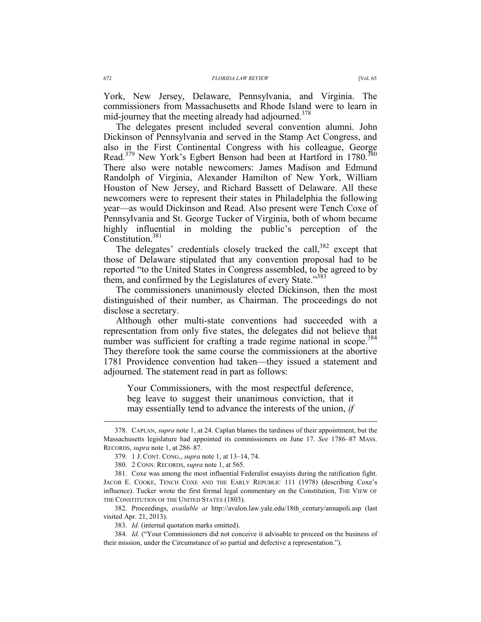York, New Jersey, Delaware, Pennsylvania, and Virginia. The commissioners from Massachusetts and Rhode Island were to learn in mid-journey that the meeting already had adjourned. $378$ 

The delegates present included several convention alumni. John Dickinson of Pennsylvania and served in the Stamp Act Congress, and also in the First Continental Congress with his colleague, George Read.<sup>379</sup> New York's Egbert Benson had been at Hartford in 1780.<sup>380</sup> There also were notable newcomers: James Madison and Edmund Randolph of Virginia, Alexander Hamilton of New York, William Houston of New Jersey, and Richard Bassett of Delaware. All these newcomers were to represent their states in Philadelphia the following year—as would Dickinson and Read. Also present were Tench Coxe of Pennsylvania and St. George Tucker of Virginia, both of whom became highly influential in molding the public's perception of the Constitution.381

The delegates' credentials closely tracked the call, $382$  except that those of Delaware stipulated that any convention proposal had to be reported "to the United States in Congress assembled, to be agreed to by them, and confirmed by the Legislatures of every State."<sup>383</sup>

The commissioners unanimously elected Dickinson, then the most distinguished of their number, as Chairman. The proceedings do not disclose a secretary.

Although other multi-state conventions had succeeded with a representation from only five states, the delegates did not believe that number was sufficient for crafting a trade regime national in scope.<sup>384</sup> They therefore took the same course the commissioners at the abortive 1781 Providence convention had taken—they issued a statement and adjourned. The statement read in part as follows:

Your Commissioners, with the most respectful deference, beg leave to suggest their unanimous conviction, that it may essentially tend to advance the interests of the union, *if* 

 382. Proceedings, *available at* http://avalon.law.yale.edu/18th\_century/annapoli.asp (last visited Apr. 21, 2013).

 384. *Id.* ("Your Commissioners did not conceive it advisable to proceed on the business of their mission, under the Circumstance of so partial and defective a representation.").

 <sup>378.</sup> CAPLAN, *supra* note 1, at 24. Caplan blames the tardiness of their appointment, but the Massachusetts legislature had appointed its commissioners on June 17. *See* 1786–87 MASS. RECORDS, *supra* note 1, at 286–87.

 <sup>379. 1</sup> J. CONT. CONG., *supra* note 1, at 13–14, 74.

 <sup>380. 2</sup> CONN. RECORDS, *supra* note 1, at 565.

 <sup>381.</sup> Coxe was among the most influential Federalist essayists during the ratification fight. JACOB E. COOKE, TENCH COXE AND THE EARLY REPUBLIC 111 (1978) (describing Coxe's influence). Tucker wrote the first formal legal commentary on the Constitution, THE VIEW OF THE CONSTITUTION OF THE UNITED STATES (1803).

 <sup>383.</sup> *Id.* (internal quotation marks omitted).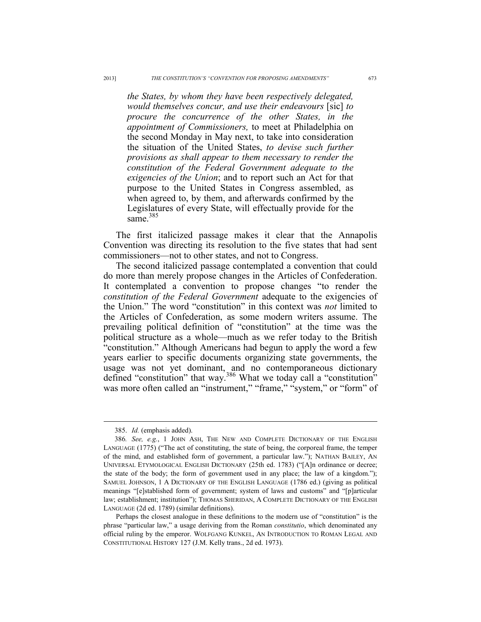*the States, by whom they have been respectively delegated, would themselves concur, and use their endeavours* [sic] *to procure the concurrence of the other States, in the appointment of Commissioners,* to meet at Philadelphia on the second Monday in May next, to take into consideration the situation of the United States, *to devise such further provisions as shall appear to them necessary to render the constitution of the Federal Government adequate to the exigencies of the Union*; and to report such an Act for that purpose to the United States in Congress assembled, as when agreed to, by them, and afterwards confirmed by the Legislatures of every State, will effectually provide for the same 385

The first italicized passage makes it clear that the Annapolis Convention was directing its resolution to the five states that had sent commissioners—not to other states, and not to Congress.

The second italicized passage contemplated a convention that could do more than merely propose changes in the Articles of Confederation. It contemplated a convention to propose changes "to render the *constitution of the Federal Government* adequate to the exigencies of the Union." The word "constitution" in this context was *not* limited to the Articles of Confederation, as some modern writers assume. The prevailing political definition of "constitution" at the time was the political structure as a whole—much as we refer today to the British "constitution." Although Americans had begun to apply the word a few years earlier to specific documents organizing state governments, the usage was not yet dominant, and no contemporaneous dictionary defined "constitution" that way.<sup>386</sup> What we today call a "constitution" was more often called an "instrument," "frame," "system," or "form" of

 <sup>385.</sup> *Id.* (emphasis added).

<sup>386</sup>*. See, e.g.*, 1 JOHN ASH, THE NEW AND COMPLETE DICTIONARY OF THE ENGLISH LANGUAGE (1775) ("The act of constituting, the state of being, the corporeal frame, the temper of the mind, and established form of government, a particular law."); NATHAN BAILEY, AN UNIVERSAL ETYMOLOGICAL ENGLISH DICTIONARY (25th ed. 1783) ("[A]n ordinance or decree; the state of the body; the form of government used in any place; the law of a kingdom."); SAMUEL JOHNSON, 1 A DICTIONARY OF THE ENGLISH LANGUAGE (1786 ed.) (giving as political meanings "[e]stablished form of government; system of laws and customs" and "[p]articular law; establishment; institution"); THOMAS SHERIDAN, A COMPLETE DICTIONARY OF THE ENGLISH LANGUAGE (2d ed. 1789) (similar definitions).

Perhaps the closest analogue in these definitions to the modern use of "constitution" is the phrase "particular law," a usage deriving from the Roman *constitutio*, which denominated any official ruling by the emperor. WOLFGANG KUNKEL, AN INTRODUCTION TO ROMAN LEGAL AND CONSTITUTIONAL HISTORY 127 (J.M. Kelly trans., 2d ed. 1973).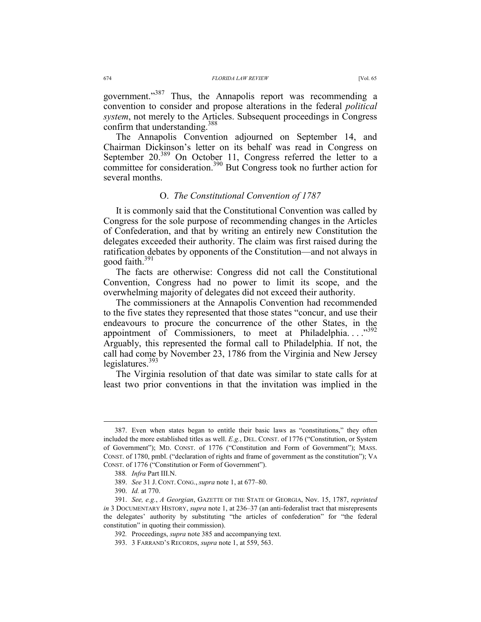government."<sup>387</sup> Thus, the Annapolis report was recommending a convention to consider and propose alterations in the federal *political system*, not merely to the Articles. Subsequent proceedings in Congress confirm that understanding.<sup>388</sup>

The Annapolis Convention adjourned on September 14, and Chairman Dickinson's letter on its behalf was read in Congress on September  $20^{389}$  On October 11, Congress referred the letter to a committee for consideration.<sup>390</sup> But Congress took no further action for several months.

## O. *The Constitutional Convention of 1787*

It is commonly said that the Constitutional Convention was called by Congress for the sole purpose of recommending changes in the Articles of Confederation, and that by writing an entirely new Constitution the delegates exceeded their authority. The claim was first raised during the ratification debates by opponents of the Constitution—and not always in good faith.<sup>391</sup>

The facts are otherwise: Congress did not call the Constitutional Convention, Congress had no power to limit its scope, and the overwhelming majority of delegates did not exceed their authority.

The commissioners at the Annapolis Convention had recommended to the five states they represented that those states "concur, and use their endeavours to procure the concurrence of the other States, in the appointment of Commissioners, to meet at Philadelphia....<sup>392</sup> Arguably, this represented the formal call to Philadelphia. If not, the call had come by November 23, 1786 from the Virginia and New Jersey legislatures. $393$ 

The Virginia resolution of that date was similar to state calls for at least two prior conventions in that the invitation was implied in the

 <sup>387.</sup> Even when states began to entitle their basic laws as "constitutions," they often included the more established titles as well. *E.g.*, DEL. CONST. of 1776 ("Constitution, or System of Government"); MD. CONST. of 1776 ("Constitution and Form of Government"); MASS. CONST. of 1780, pmbl. ("declaration of rights and frame of government as the constitution"); VA CONST. of 1776 ("Constitution or Form of Government").

<sup>388</sup>*. Infra* Part III.N.

 <sup>389.</sup> *See* 31 J. CONT. CONG., *supra* note 1, at 677–80.

 <sup>390.</sup> *Id.* at 770.

 <sup>391.</sup> *See, e.g.*, *A Georgian*, GAZETTE OF THE STATE OF GEORGIA, Nov. 15, 1787, *reprinted in* 3 DOCUMENTARY HISTORY, *supra* note 1, at 236–37 (an anti-federalist tract that misrepresents the delegates' authority by substituting "the articles of confederation" for "the federal constitution" in quoting their commission).

<sup>392</sup>*.* Proceedings, *supra* note 385 and accompanying text.

 <sup>393. 3</sup> FARRAND'S RECORDS, *supra* note 1, at 559, 563.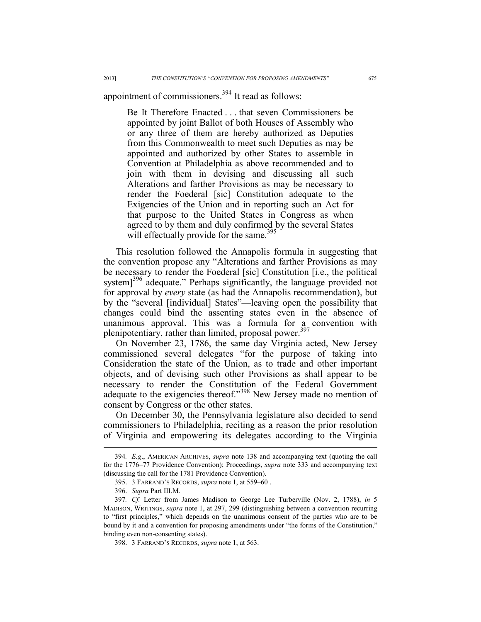# appointment of commissioners.<sup>394</sup> It read as follows:

Be It Therefore Enacted . . . that seven Commissioners be appointed by joint Ballot of both Houses of Assembly who or any three of them are hereby authorized as Deputies from this Commonwealth to meet such Deputies as may be appointed and authorized by other States to assemble in Convention at Philadelphia as above recommended and to join with them in devising and discussing all such Alterations and farther Provisions as may be necessary to render the Foederal [sic] Constitution adequate to the Exigencies of the Union and in reporting such an Act for that purpose to the United States in Congress as when agreed to by them and duly confirmed by the several States will effectually provide for the same.<sup>395</sup>

This resolution followed the Annapolis formula in suggesting that the convention propose any "Alterations and farther Provisions as may be necessary to render the Foederal [sic] Constitution [i.e., the political system]<sup>396</sup> adequate." Perhaps significantly, the language provided not for approval by *every* state (as had the Annapolis recommendation), but by the "several [individual] States"—leaving open the possibility that changes could bind the assenting states even in the absence of unanimous approval. This was a formula for a convention with plenipotentiary, rather than limited, proposal power.<sup>397</sup>

On November 23, 1786, the same day Virginia acted, New Jersey commissioned several delegates "for the purpose of taking into Consideration the state of the Union, as to trade and other important objects, and of devising such other Provisions as shall appear to be necessary to render the Constitution of the Federal Government adequate to the exigencies thereof."<sup>398</sup> New Jersey made no mention of consent by Congress or the other states.

On December 30, the Pennsylvania legislature also decided to send commissioners to Philadelphia, reciting as a reason the prior resolution of Virginia and empowering its delegates according to the Virginia

 <sup>394</sup>*. E.g*., AMERICAN ARCHIVES, *supra* note 138 and accompanying text (quoting the call for the 1776–77 Providence Convention); Proceedings, *supra* note 333 and accompanying text (discussing the call for the 1781 Providence Convention).

 <sup>395. 3</sup> FARRAND'S RECORDS, *supra* note 1, at 559–60 .

 <sup>396.</sup> *Supra* Part III.M.

<sup>397</sup>*. Cf.* Letter from James Madison to George Lee Turberville (Nov. 2, 1788), *in* 5 MADISON, WRITINGS, *supra* note 1, at 297, 299 (distinguishing between a convention recurring to "first principles," which depends on the unanimous consent of the parties who are to be bound by it and a convention for proposing amendments under "the forms of the Constitution," binding even non-consenting states).

 <sup>398. 3</sup> FARRAND'S RECORDS, *supra* note 1, at 563.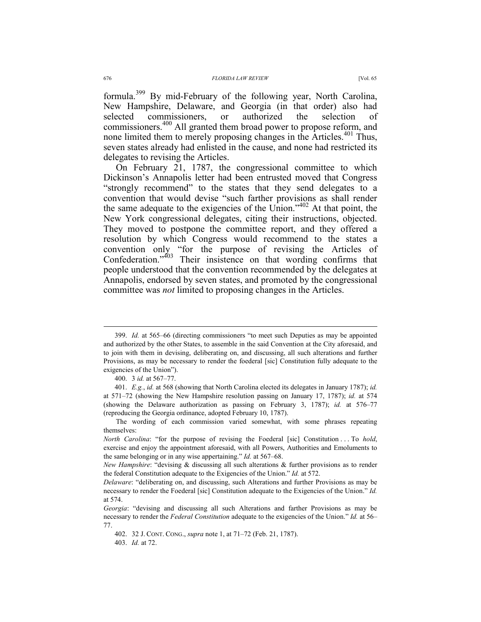formula.399 By mid-February of the following year, North Carolina, New Hampshire, Delaware, and Georgia (in that order) also had selected commissioners, or authorized the selection of commissioners.400 All granted them broad power to propose reform, and none limited them to merely proposing changes in the Articles.<sup>401</sup> Thus, seven states already had enlisted in the cause, and none had restricted its delegates to revising the Articles.

On February 21, 1787, the congressional committee to which Dickinson's Annapolis letter had been entrusted moved that Congress "strongly recommend" to the states that they send delegates to a convention that would devise "such farther provisions as shall render the same adequate to the exigencies of the Union."<sup>402</sup> At that point, the New York congressional delegates, citing their instructions, objected. They moved to postpone the committee report, and they offered a resolution by which Congress would recommend to the states a convention only "for the purpose of revising the Articles of Confederation."403 Their insistence on that wording confirms that people understood that the convention recommended by the delegates at Annapolis, endorsed by seven states, and promoted by the congressional committee was *not* limited to proposing changes in the Articles.

 <sup>399.</sup> *Id.* at 565–66 (directing commissioners "to meet such Deputies as may be appointed and authorized by the other States, to assemble in the said Convention at the City aforesaid, and to join with them in devising, deliberating on, and discussing, all such alterations and further Provisions, as may be necessary to render the foederal [sic] Constitution fully adequate to the exigencies of the Union").

 <sup>400. 3</sup> *id.* at 567–77.

 <sup>401.</sup> *E.g.*, *id.* at 568 (showing that North Carolina elected its delegates in January 1787); *id.*  at 571–72 (showing the New Hampshire resolution passing on January 17, 1787); *id.* at 574 (showing the Delaware authorization as passing on February 3, 1787); *id.* at 576–77 (reproducing the Georgia ordinance, adopted February 10, 1787).

The wording of each commission varied somewhat, with some phrases repeating themselves:

*North Carolina*: "for the purpose of revising the Foederal [sic] Constitution . . . To *hold*, exercise and enjoy the appointment aforesaid, with all Powers, Authorities and Emoluments to the same belonging or in any wise appertaining." *Id.* at 567–68.

*New Hampshire*: "devising & discussing all such alterations & further provisions as to render the federal Constitution adequate to the Exigencies of the Union." *Id.* at 572.

*Delaware*: "deliberating on, and discussing, such Alterations and further Provisions as may be necessary to render the Foederal [sic] Constitution adequate to the Exigencies of the Union." *Id.* at 574.

*Georgia*: "devising and discussing all such Alterations and farther Provisions as may be necessary to render the *Federal Constitution* adequate to the exigencies of the Union." *Id.* at 56– 77.

 <sup>402. 32</sup> J. CONT. CONG., *supra* note 1, at 71–72 (Feb. 21, 1787).

 <sup>403.</sup> *Id.* at 72.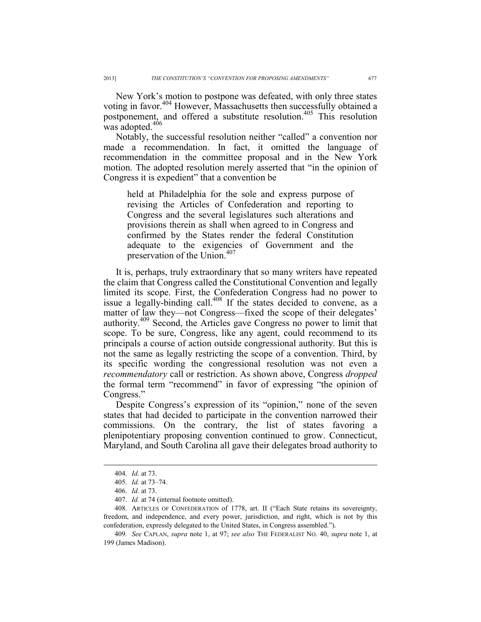New York's motion to postpone was defeated, with only three states voting in favor.<sup>404</sup> However, Massachusetts then successfully obtained a postponement, and offered a substitute resolution.<sup>405</sup> This resolution was adopted.<sup>406</sup>

Notably, the successful resolution neither "called" a convention nor made a recommendation. In fact, it omitted the language of recommendation in the committee proposal and in the New York motion. The adopted resolution merely asserted that "in the opinion of Congress it is expedient" that a convention be

held at Philadelphia for the sole and express purpose of revising the Articles of Confederation and reporting to Congress and the several legislatures such alterations and provisions therein as shall when agreed to in Congress and confirmed by the States render the federal Constitution adequate to the exigencies of Government and the preservation of the Union.<sup>407</sup>

It is, perhaps, truly extraordinary that so many writers have repeated the claim that Congress called the Constitutional Convention and legally limited its scope. First, the Confederation Congress had no power to issue a legally-binding call.<sup>408</sup> If the states decided to convene, as a matter of law they—not Congress—fixed the scope of their delegates' authority.409 Second, the Articles gave Congress no power to limit that scope. To be sure, Congress, like any agent, could recommend to its principals a course of action outside congressional authority. But this is not the same as legally restricting the scope of a convention. Third, by its specific wording the congressional resolution was not even a *recommendatory* call or restriction. As shown above, Congress *dropped* the formal term "recommend" in favor of expressing "the opinion of Congress."

Despite Congress's expression of its "opinion," none of the seven states that had decided to participate in the convention narrowed their commissions. On the contrary, the list of states favoring a plenipotentiary proposing convention continued to grow. Connecticut, Maryland, and South Carolina all gave their delegates broad authority to

 <sup>404.</sup> *Id.* at 73.

 <sup>405.</sup> *Id.* at 73–74.

 <sup>406.</sup> *Id.* at 73.

 <sup>407.</sup> *Id.* at 74 (internal footnote omitted).

 <sup>408.</sup> ARTICLES OF CONFEDERATION of 1778, art. II ("Each State retains its sovereignty, freedom, and independence, and every power, jurisdiction, and right, which is not by this confederation, expressly delegated to the United States, in Congress assembled.").

<sup>409</sup>*. See* CAPLAN, *supra* note 1, at 97; *see also* THE FEDERALIST NO. 40, *supra* note 1, at 199 (James Madison).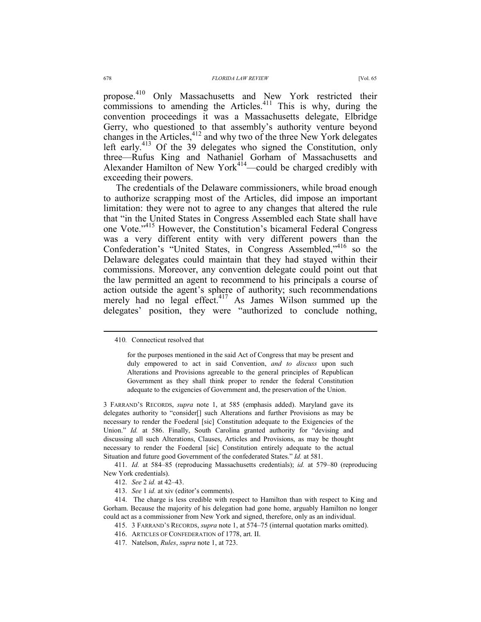propose.<sup>410</sup> Only Massachusetts and New York restricted their commissions to amending the Articles. $411$  This is why, during the convention proceedings it was a Massachusetts delegate, Elbridge Gerry, who questioned to that assembly's authority venture beyond changes in the Articles,<sup>412</sup> and why two of the three New York delegates left early.<sup>413</sup> Of the  $39$  delegates who signed the Constitution, only three—Rufus King and Nathaniel Gorham of Massachusetts and Alexander Hamilton of New York<sup>414</sup>—could be charged credibly with exceeding their powers.

The credentials of the Delaware commissioners, while broad enough to authorize scrapping most of the Articles, did impose an important limitation: they were not to agree to any changes that altered the rule that "in the United States in Congress Assembled each State shall have one Vote."<sup>415</sup> However, the Constitution's bicameral Federal Congress was a very different entity with very different powers than the Confederation's "United States, in Congress Assembled,"416 so the Delaware delegates could maintain that they had stayed within their commissions. Moreover, any convention delegate could point out that the law permitted an agent to recommend to his principals a course of action outside the agent's sphere of authority; such recommendations merely had no legal effect.<sup>417</sup> As James Wilson summed up the delegates' position, they were "authorized to conclude nothing,

3 FARRAND'S RECORDS, *supra* note 1, at 585 (emphasis added). Maryland gave its delegates authority to "consider[] such Alterations and further Provisions as may be necessary to render the Foederal [sic] Constitution adequate to the Exigencies of the Union." *Id.* at 586. Finally, South Carolina granted authority for "devising and discussing all such Alterations, Clauses, Articles and Provisions, as may be thought necessary to render the Foederal [sic] Constitution entirely adequate to the actual Situation and future good Government of the confederated States." *Id.* at 581.

 411. *Id.* at 584–85 (reproducing Massachusetts credentials); *id.* at 579–80 (reproducing New York credentials).

413. *See* 1 *id.* at xiv (editor's comments).

 414. The charge is less credible with respect to Hamilton than with respect to King and Gorham. Because the majority of his delegation had gone home, arguably Hamilton no longer could act as a commissioner from New York and signed, therefore, only as an individual.

415. 3 FARRAND'S RECORDS, *supra* note 1, at 574–75 (internal quotation marks omitted).

- 416. ARTICLES OF CONFEDERATION of 1778, art. II.
- 417. Natelson, *Rules*, *supra* note 1, at 723.

 <sup>410</sup>*.* Connecticut resolved that

for the purposes mentioned in the said Act of Congress that may be present and duly empowered to act in said Convention, *and to discuss* upon such Alterations and Provisions agreeable to the general principles of Republican Government as they shall think proper to render the federal Constitution adequate to the exigencies of Government and, the preservation of the Union.

 <sup>412.</sup> *See* 2 *id.* at 42–43.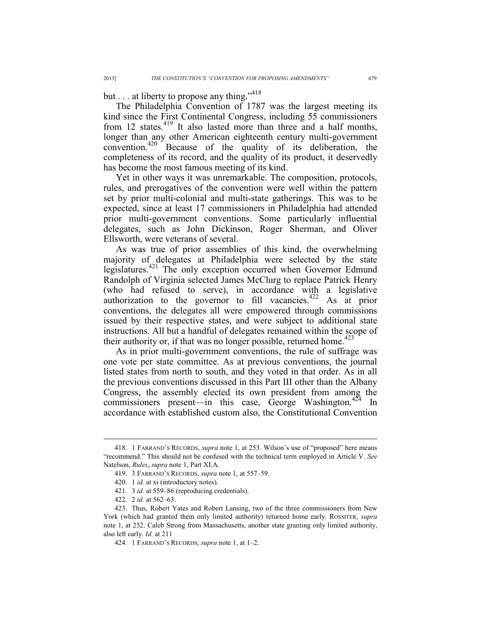# but . . . at liberty to propose any thing."<sup>418</sup>

The Philadelphia Convention of 1787 was the largest meeting its kind since the First Continental Congress, including 55 commissioners from 12 states.<sup>419</sup> It also lasted more than three and a half months, longer than any other American eighteenth century multi-government convention.420 Because of the quality of its deliberation, the completeness of its record, and the quality of its product, it deservedly has become the most famous meeting of its kind.

Yet in other ways it was unremarkable. The composition, protocols, rules, and prerogatives of the convention were well within the pattern set by prior multi-colonial and multi-state gatherings. This was to be expected, since at least 17 commissioners in Philadelphia had attended prior multi-government conventions. Some particularly influential delegates, such as John Dickinson, Roger Sherman, and Oliver Ellsworth, were veterans of several.

As was true of prior assemblies of this kind, the overwhelming majority of delegates at Philadelphia were selected by the state legislatures.421 The only exception occurred when Governor Edmund Randolph of Virginia selected James McClurg to replace Patrick Henry (who had refused to serve), in accordance with a legislative authorization to the governor to fill vacancies.<sup>422</sup> As at prior conventions, the delegates all were empowered through commissions issued by their respective states, and were subject to additional state instructions. All but a handful of delegates remained within the scope of their authority or, if that was no longer possible, returned home.<sup>423</sup>

As in prior multi-government conventions, the rule of suffrage was one vote per state committee. As at previous conventions, the journal listed states from north to south, and they voted in that order. As in all the previous conventions discussed in this Part III other than the Albany Congress, the assembly elected its own president from among the commissioners present—in this case, George Washington.<sup>424</sup> In accordance with established custom also, the Constitutional Convention

 <sup>418. 1</sup> FARRAND'S RECORDS, *supra* note 1, at 253. Wilson's use of "proposed" here means "recommend." This should not be confused with the technical term employed in Article V. *See* Natelson, *Rules*, *supra* note 1, Part XI.A.

 <sup>419. 3</sup> FARRAND'S RECORDS, *supra* note 1, at 557–59.

 <sup>420. 1</sup> *id.* at xi (introductory notes).

 <sup>421. 3</sup> *id.* at 559–86 (reproducing credentials).

 <sup>422. 2</sup> *id.* at 562–63.

 <sup>423.</sup> Thus, Robert Yates and Robert Lansing, two of the three commissioners from New York (which had granted them only limited authority) returned home early. ROSSITER, *supra* note 1, at 252. Caleb Strong from Massachusetts, another state granting only limited authority, also left early. *Id.* at 211

 <sup>424. 1</sup> FARRAND'S RECORDS, *supra* note 1, at 1–2.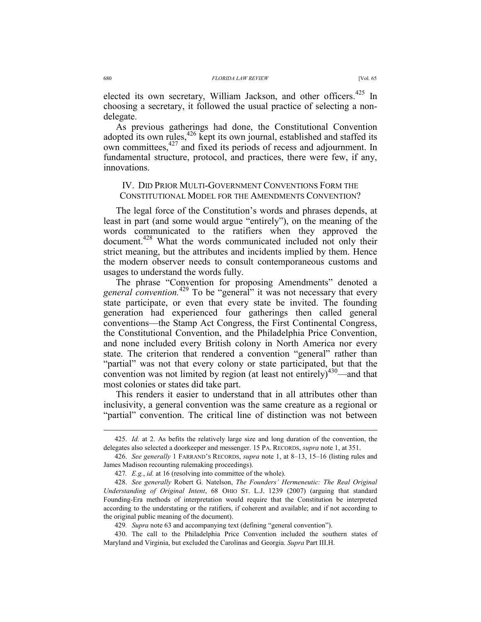elected its own secretary, William Jackson, and other officers.<sup>425</sup> In choosing a secretary, it followed the usual practice of selecting a nondelegate.

As previous gatherings had done, the Constitutional Convention adopted its own rules,<sup>426</sup> kept its own journal, established and staffed its own committees,<sup>427</sup> and fixed its periods of recess and adjournment. In fundamental structure, protocol, and practices, there were few, if any, innovations.

## IV. DID PRIOR MULTI-GOVERNMENT CONVENTIONS FORM THE CONSTITUTIONAL MODEL FOR THE AMENDMENTS CONVENTION?

The legal force of the Constitution's words and phrases depends, at least in part (and some would argue "entirely"), on the meaning of the words communicated to the ratifiers when they approved the document.<sup>428</sup> What the words communicated included not only their strict meaning, but the attributes and incidents implied by them. Hence the modern observer needs to consult contemporaneous customs and usages to understand the words fully.

The phrase "Convention for proposing Amendments" denoted a general convention.<sup>429</sup> To be "general" it was not necessary that every state participate, or even that every state be invited. The founding generation had experienced four gatherings then called general conventions—the Stamp Act Congress, the First Continental Congress, the Constitutional Convention, and the Philadelphia Price Convention, and none included every British colony in North America nor every state. The criterion that rendered a convention "general" rather than "partial" was not that every colony or state participated, but that the convention was not limited by region (at least not entirely) $430$ —and that most colonies or states did take part.

This renders it easier to understand that in all attributes other than inclusivity, a general convention was the same creature as a regional or "partial" convention. The critical line of distinction was not between

 <sup>425.</sup> *Id.* at 2. As befits the relatively large size and long duration of the convention, the delegates also selected a doorkeeper and messenger. 15 PA. RECORDS, *supra* note 1, at 351.

 <sup>426.</sup> *See generally* 1 FARRAND'S RECORDS, *supra* note 1, at 8–13, 15–16 (listing rules and James Madison recounting rulemaking proceedings).

<sup>427</sup>*. E.g.*, *id.* at 16 (resolving into committee of the whole).

 <sup>428.</sup> *See generally* Robert G. Natelson, *The Founders' Hermeneutic: The Real Original Understanding of Original Intent*, 68 OHIO ST. L.J. 1239 (2007) (arguing that standard Founding-Era methods of interpretation would require that the Constitution be interpreted according to the understating or the ratifiers, if coherent and available; and if not according to the original public meaning of the document).

<sup>429</sup>*. Supra* note 63 and accompanying text (defining "general convention").

 <sup>430.</sup> The call to the Philadelphia Price Convention included the southern states of Maryland and Virginia, but excluded the Carolinas and Georgia. *Supra* Part III.H.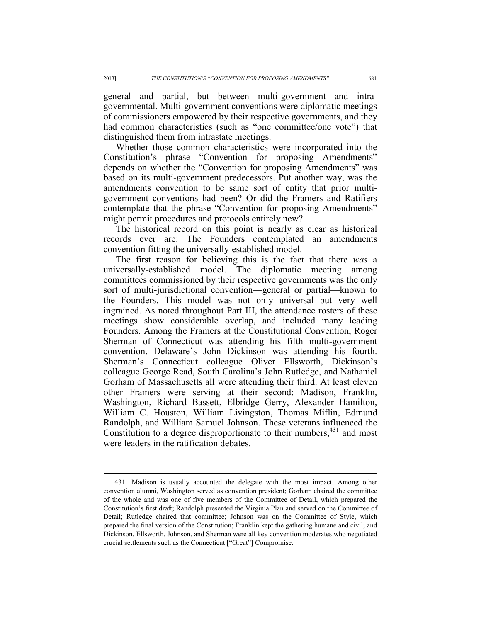general and partial, but between multi-government and intragovernmental. Multi-government conventions were diplomatic meetings of commissioners empowered by their respective governments, and they had common characteristics (such as "one committee/one vote") that distinguished them from intrastate meetings.

Whether those common characteristics were incorporated into the Constitution's phrase "Convention for proposing Amendments" depends on whether the "Convention for proposing Amendments" was based on its multi-government predecessors. Put another way, was the amendments convention to be same sort of entity that prior multigovernment conventions had been? Or did the Framers and Ratifiers contemplate that the phrase "Convention for proposing Amendments" might permit procedures and protocols entirely new?

The historical record on this point is nearly as clear as historical records ever are: The Founders contemplated an amendments convention fitting the universally-established model.

The first reason for believing this is the fact that there *was* a universally-established model. The diplomatic meeting among committees commissioned by their respective governments was the only sort of multi-jurisdictional convention—general or partial—known to the Founders. This model was not only universal but very well ingrained. As noted throughout Part III, the attendance rosters of these meetings show considerable overlap, and included many leading Founders. Among the Framers at the Constitutional Convention, Roger Sherman of Connecticut was attending his fifth multi-government convention. Delaware's John Dickinson was attending his fourth. Sherman's Connecticut colleague Oliver Ellsworth, Dickinson's colleague George Read, South Carolina's John Rutledge, and Nathaniel Gorham of Massachusetts all were attending their third. At least eleven other Framers were serving at their second: Madison, Franklin, Washington, Richard Bassett, Elbridge Gerry, Alexander Hamilton, William C. Houston, William Livingston, Thomas Miflin, Edmund Randolph, and William Samuel Johnson. These veterans influenced the Constitution to a degree disproportionate to their numbers,  $431$  and most were leaders in the ratification debates.

 <sup>431.</sup> Madison is usually accounted the delegate with the most impact. Among other convention alumni, Washington served as convention president; Gorham chaired the committee of the whole and was one of five members of the Committee of Detail, which prepared the Constitution's first draft; Randolph presented the Virginia Plan and served on the Committee of Detail; Rutledge chaired that committee; Johnson was on the Committee of Style, which prepared the final version of the Constitution; Franklin kept the gathering humane and civil; and Dickinson, Ellsworth, Johnson, and Sherman were all key convention moderates who negotiated crucial settlements such as the Connecticut ["Great"] Compromise.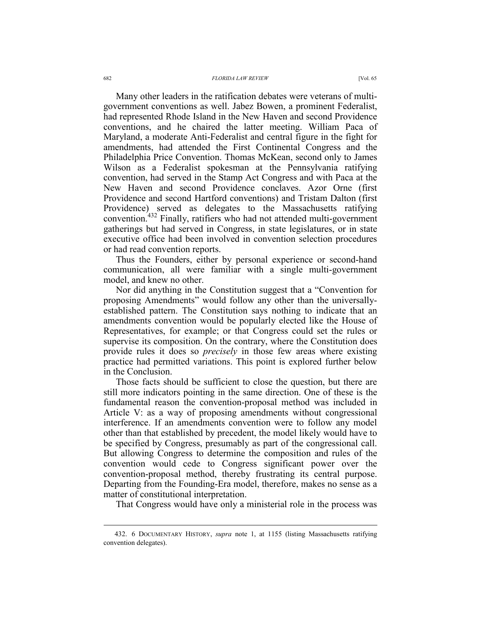#### 682 *FLORIDA LAW REVIEW* [Vol. 65

Many other leaders in the ratification debates were veterans of multigovernment conventions as well. Jabez Bowen, a prominent Federalist, had represented Rhode Island in the New Haven and second Providence conventions, and he chaired the latter meeting. William Paca of Maryland, a moderate Anti-Federalist and central figure in the fight for amendments, had attended the First Continental Congress and the Philadelphia Price Convention. Thomas McKean, second only to James Wilson as a Federalist spokesman at the Pennsylvania ratifying convention, had served in the Stamp Act Congress and with Paca at the New Haven and second Providence conclaves. Azor Orne (first Providence and second Hartford conventions) and Tristam Dalton (first Providence) served as delegates to the Massachusetts ratifying convention.432 Finally, ratifiers who had not attended multi-government gatherings but had served in Congress, in state legislatures, or in state executive office had been involved in convention selection procedures

Thus the Founders, either by personal experience or second-hand communication, all were familiar with a single multi-government model, and knew no other.

or had read convention reports.

Nor did anything in the Constitution suggest that a "Convention for proposing Amendments" would follow any other than the universallyestablished pattern. The Constitution says nothing to indicate that an amendments convention would be popularly elected like the House of Representatives, for example; or that Congress could set the rules or supervise its composition. On the contrary, where the Constitution does provide rules it does so *precisely* in those few areas where existing practice had permitted variations. This point is explored further below in the Conclusion.

Those facts should be sufficient to close the question, but there are still more indicators pointing in the same direction. One of these is the fundamental reason the convention-proposal method was included in Article V: as a way of proposing amendments without congressional interference. If an amendments convention were to follow any model other than that established by precedent, the model likely would have to be specified by Congress, presumably as part of the congressional call. But allowing Congress to determine the composition and rules of the convention would cede to Congress significant power over the convention-proposal method, thereby frustrating its central purpose. Departing from the Founding-Era model, therefore, makes no sense as a matter of constitutional interpretation.

That Congress would have only a ministerial role in the process was

 <sup>432. 6</sup> DOCUMENTARY HISTORY, *supra* note 1, at 1155 (listing Massachusetts ratifying convention delegates).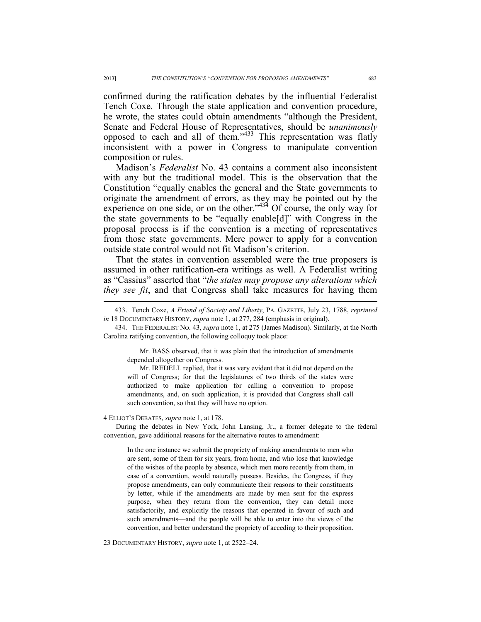confirmed during the ratification debates by the influential Federalist Tench Coxe. Through the state application and convention procedure, he wrote, the states could obtain amendments "although the President, Senate and Federal House of Representatives, should be *unanimously*  opposed to each and all of them."433 This representation was flatly inconsistent with a power in Congress to manipulate convention composition or rules.

Madison's *Federalist* No. 43 contains a comment also inconsistent with any but the traditional model. This is the observation that the Constitution "equally enables the general and the State governments to originate the amendment of errors, as they may be pointed out by the experience on one side, or on the other." $434$  Of course, the only way for the state governments to be "equally enable[d]" with Congress in the proposal process is if the convention is a meeting of representatives from those state governments. Mere power to apply for a convention outside state control would not fit Madison's criterion.

That the states in convention assembled were the true proposers is assumed in other ratification-era writings as well. A Federalist writing as "Cassius" asserted that "*the states may propose any alterations which they see fit*, and that Congress shall take measures for having them

 434. THE FEDERALIST NO. 43, *supra* note 1, at 275 (James Madison). Similarly, at the North Carolina ratifying convention, the following colloquy took place:

Mr. BASS observed, that it was plain that the introduction of amendments depended altogether on Congress.

Mr. IREDELL replied, that it was very evident that it did not depend on the will of Congress; for that the legislatures of two thirds of the states were authorized to make application for calling a convention to propose amendments, and, on such application, it is provided that Congress shall call such convention, so that they will have no option.

4 ELLIOT'S DEBATES, *supra* note 1, at 178.

 $\overline{a}$ 

During the debates in New York, John Lansing, Jr., a former delegate to the federal convention, gave additional reasons for the alternative routes to amendment:

In the one instance we submit the propriety of making amendments to men who are sent, some of them for six years, from home, and who lose that knowledge of the wishes of the people by absence, which men more recently from them, in case of a convention, would naturally possess. Besides, the Congress, if they propose amendments, can only communicate their reasons to their constituents by letter, while if the amendments are made by men sent for the express purpose, when they return from the convention, they can detail more satisfactorily, and explicitly the reasons that operated in favour of such and such amendments—and the people will be able to enter into the views of the convention, and better understand the propriety of acceding to their proposition.

23 DOCUMENTARY HISTORY, *supra* note 1, at 2522–24.

 <sup>433.</sup> Tench Coxe, *A Friend of Society and Liberty*, PA. GAZETTE, July 23, 1788, *reprinted in* 18 DOCUMENTARY HISTORY, *supra* note 1, at 277, 284 (emphasis in original).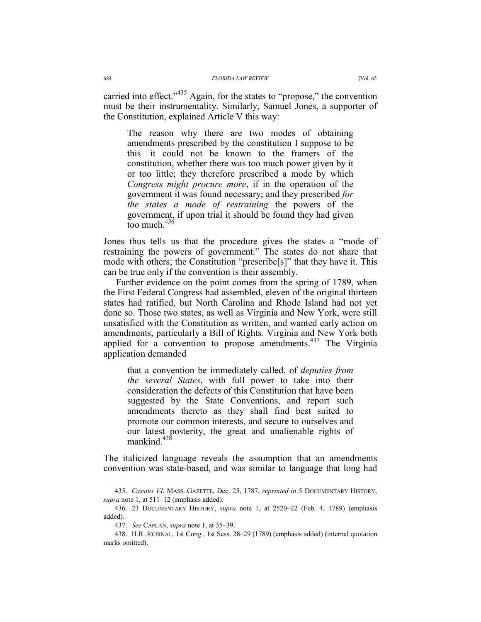carried into effect."<sup>435</sup> Again, for the states to "propose," the convention must be their instrumentality. Similarly, Samuel Jones, a supporter of the Constitution, explained Article V this way:

The reason why there are two modes of obtaining amendments prescribed by the constitution I suppose to be this—it could not be known to the framers of the constitution, whether there was too much power given by it or too little; they therefore prescribed a mode by which *Congress might procure more*, if in the operation of the government it was found necessary; and they prescribed *for the states a mode of restraining* the powers of the government, if upon trial it should be found they had given too much  $436$ 

Jones thus tells us that the procedure gives the states a "mode of restraining the powers of government." The states do not share that mode with others; the Constitution "prescribe[s]" that they have it. This can be true only if the convention is their assembly.

Further evidence on the point comes from the spring of 1789, when the First Federal Congress had assembled, eleven of the original thirteen states had ratified, but North Carolina and Rhode Island had not yet done so. Those two states, as well as Virginia and New York, were still unsatisfied with the Constitution as written, and wanted early action on amendments, particularly a Bill of Rights. Virginia and New York both applied for a convention to propose amendments. $437$  The Virginia application demanded

that a convention be immediately called, of *deputies from the several States*, with full power to take into their consideration the defects of this Constitution that have been suggested by the State Conventions, and report such amendments thereto as they shall find best suited to promote our common interests, and secure to ourselves and our latest posterity, the great and unalienable rights of mankind $438$ 

The italicized language reveals the assumption that an amendments convention was state-based, and was similar to language that long had

 <sup>435.</sup> *Cassius VI*, MASS. GAZETTE, Dec. 25, 1787, *reprinted in* 5 DOCUMENTARY HISTORY, *supra* note 1, at 511–12 (emphasis added).

 <sup>436. 23</sup> DOCUMENTARY HISTORY, *supra* note 1, at 2520–22 (Feb. 4, 1789) (emphasis added).

 <sup>437.</sup> *See* CAPLAN, *supra* note 1, at 35–39.

 <sup>438.</sup> H.R. JOURNAL, 1st Cong., 1st Sess. 28–29 (1789) (emphasis added) (internal quotation marks omitted).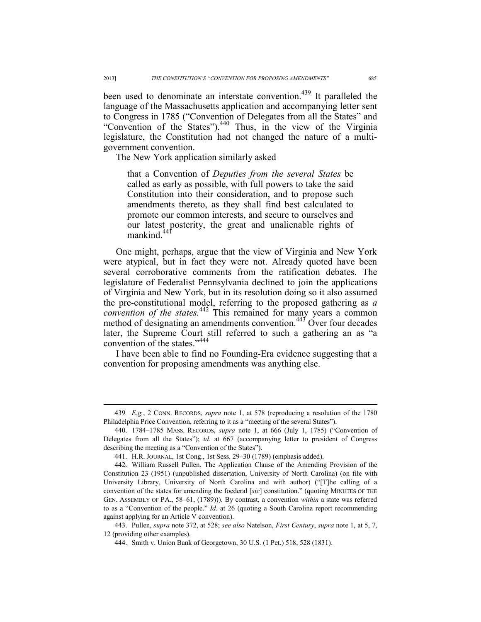been used to denominate an interstate convention.<sup>439</sup> It paralleled the language of the Massachusetts application and accompanying letter sent to Congress in 1785 ("Convention of Delegates from all the States" and "Convention of the States").440 Thus, in the view of the Virginia legislature, the Constitution had not changed the nature of a multigovernment convention.

The New York application similarly asked

that a Convention of *Deputies from the several States* be called as early as possible, with full powers to take the said Constitution into their consideration, and to propose such amendments thereto, as they shall find best calculated to promote our common interests, and secure to ourselves and our latest posterity, the great and unalienable rights of mankind<sup>441</sup>

One might, perhaps, argue that the view of Virginia and New York were atypical, but in fact they were not. Already quoted have been several corroborative comments from the ratification debates. The legislature of Federalist Pennsylvania declined to join the applications of Virginia and New York, but in its resolution doing so it also assumed the pre-constitutional model, referring to the proposed gathering as *a convention of the states.*<sup>442</sup> This remained for many years a common method of designating an amendments convention.<sup>443</sup> Over four decades later, the Supreme Court still referred to such a gathering an as "a convention of the states."<sup>444</sup>

I have been able to find no Founding-Era evidence suggesting that a convention for proposing amendments was anything else.

 <sup>439</sup>*. E.g.*, 2 CONN. RECORDS, *supra* note 1, at 578 (reproducing a resolution of the 1780 Philadelphia Price Convention, referring to it as a "meeting of the several States").

 <sup>440. 1784–1785</sup> MASS. RECORDS, *supra* note 1, at 666 (July 1, 1785) ("Convention of Delegates from all the States"); *id.* at 667 (accompanying letter to president of Congress describing the meeting as a "Convention of the States").

 <sup>441.</sup> H.R. JOURNAL, 1st Cong., 1st Sess. 29–30 (1789) (emphasis added).

 <sup>442.</sup> William Russell Pullen, The Application Clause of the Amending Provision of the Constitution 23 (1951) (unpublished dissertation, University of North Carolina) (on file with University Library, University of North Carolina and with author) ("[T]he calling of a convention of the states for amending the foederal [*sic*] constitution." (quoting MINUTES OF THE GEN. ASSEMBLY OF PA., 58–61, (1789))). By contrast, a convention *within* a state was referred to as a "Convention of the people." *Id.* at 26 (quoting a South Carolina report recommending against applying for an Article V convention).

 <sup>443.</sup> Pullen, *supra* note 372, at 528; *see also* Natelson, *First Century*, *supra* note 1, at 5, 7, 12 (providing other examples).

 <sup>444.</sup> Smith v. Union Bank of Georgetown, 30 U.S. (1 Pet.) 518, 528 (1831).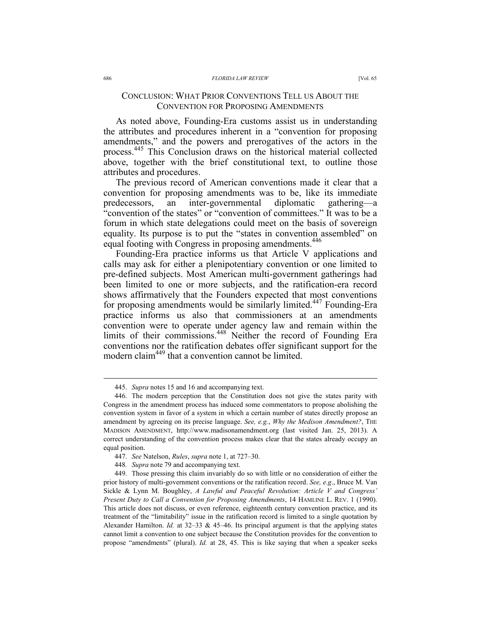## CONCLUSION: WHAT PRIOR CONVENTIONS TELL US ABOUT THE CONVENTION FOR PROPOSING AMENDMENTS

As noted above, Founding-Era customs assist us in understanding the attributes and procedures inherent in a "convention for proposing amendments," and the powers and prerogatives of the actors in the process.<sup>445</sup> This Conclusion draws on the historical material collected above, together with the brief constitutional text, to outline those attributes and procedures.

The previous record of American conventions made it clear that a convention for proposing amendments was to be, like its immediate predecessors, an inter-governmental diplomatic gathering—a "convention of the states" or "convention of committees." It was to be a forum in which state delegations could meet on the basis of sovereign equality. Its purpose is to put the "states in convention assembled" on equal footing with Congress in proposing amendments.<sup>446</sup>

Founding-Era practice informs us that Article V applications and calls may ask for either a plenipotentiary convention or one limited to pre-defined subjects. Most American multi-government gatherings had been limited to one or more subjects, and the ratification-era record shows affirmatively that the Founders expected that most conventions for proposing amendments would be similarly limited.<sup>447</sup> Founding-Era practice informs us also that commissioners at an amendments convention were to operate under agency law and remain within the limits of their commissions.<sup>448</sup> Neither the record of Founding Era conventions nor the ratification debates offer significant support for the modern claim<sup>449</sup> that a convention cannot be limited.

 <sup>445.</sup> *Supra* notes 15 and 16 and accompanying text.

 <sup>446.</sup> The modern perception that the Constitution does not give the states parity with Congress in the amendment process has induced some commentators to propose abolishing the convention system in favor of a system in which a certain number of states directly propose an amendment by agreeing on its precise language. *See, e.g., Why the Medison Amendment?*, THE MADISON AMENDMENT, http://www.madisonamendment.org (last visited Jan. 25, 2013). A correct understanding of the convention process makes clear that the states already occupy an equal position.

 <sup>447.</sup> *See* Natelson, *Rules*, *supra* note 1, at 727–30.

<sup>448</sup>*. Supra* note 79 and accompanying text.

 <sup>449.</sup> Those pressing this claim invariably do so with little or no consideration of either the prior history of multi-government conventions or the ratification record. *See, e.g*., Bruce M. Van Sickle & Lynn M. Boughley, *A Lawful and Peaceful Revolution: Article V and Congress' Present Duty to Call a Convention for Proposing Amendments*, 14 HAMLINE L. REV. 1 (1990). This article does not discuss, or even reference, eighteenth century convention practice, and its treatment of the "limitability" issue in the ratification record is limited to a single quotation by Alexander Hamilton. *Id.* at 32–33 & 45–46. Its principal argument is that the applying states cannot limit a convention to one subject because the Constitution provides for the convention to propose "amendments" (plural). *Id.* at 28, 45. This is like saying that when a speaker seeks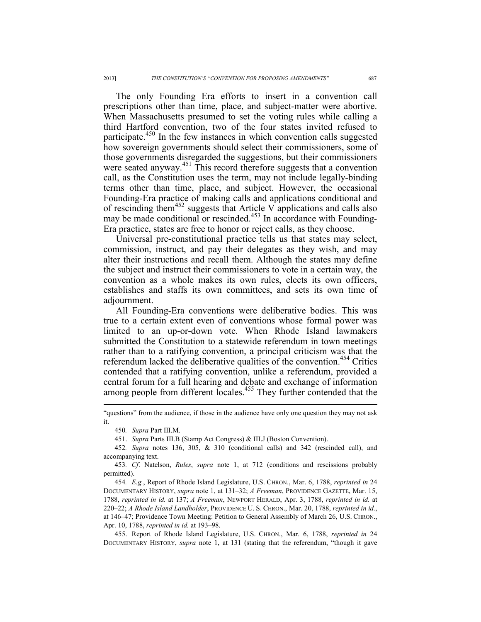The only Founding Era efforts to insert in a convention call prescriptions other than time, place, and subject-matter were abortive. When Massachusetts presumed to set the voting rules while calling a third Hartford convention, two of the four states invited refused to participate.<sup>450</sup> In the few instances in which convention calls suggested how sovereign governments should select their commissioners, some of those governments disregarded the suggestions, but their commissioners were seated anyway.<sup>451</sup> This record therefore suggests that a convention call, as the Constitution uses the term, may not include legally-binding terms other than time, place, and subject. However, the occasional Founding-Era practice of making calls and applications conditional and of rescinding them452 suggests that Article V applications and calls also may be made conditional or rescinded.<sup>453</sup> In accordance with Founding-Era practice, states are free to honor or reject calls, as they choose.

Universal pre-constitutional practice tells us that states may select, commission, instruct, and pay their delegates as they wish, and may alter their instructions and recall them. Although the states may define the subject and instruct their commissioners to vote in a certain way, the convention as a whole makes its own rules, elects its own officers, establishes and staffs its own committees, and sets its own time of adjournment.

All Founding-Era conventions were deliberative bodies. This was true to a certain extent even of conventions whose formal power was limited to an up-or-down vote. When Rhode Island lawmakers submitted the Constitution to a statewide referendum in town meetings rather than to a ratifying convention, a principal criticism was that the referendum lacked the deliberative qualities of the convention.<sup>454</sup> Critics contended that a ratifying convention, unlike a referendum, provided a central forum for a full hearing and debate and exchange of information among people from different locales.<sup>455</sup> They further contended that the

 $\overline{a}$ 

 455. Report of Rhode Island Legislature, U.S. CHRON., Mar. 6, 1788, *reprinted in* 24 DOCUMENTARY HISTORY, *supra* note 1, at 131 (stating that the referendum, "though it gave

<sup>&</sup>quot;questions" from the audience, if those in the audience have only one question they may not ask it.

<sup>450</sup>*. Supra* Part III.M.

 <sup>451.</sup> *Supra* Parts III.B (Stamp Act Congress) & III.J (Boston Convention).

<sup>452</sup>*. Supra* notes 136, 305, & 310 (conditional calls) and 342 (rescinded call), and accompanying text.

<sup>453</sup>*. Cf*. Natelson, *Rules*, *supra* note 1, at 712 (conditions and rescissions probably permitted).

<sup>454</sup>*. E.g.*, Report of Rhode Island Legislature, U.S. CHRON., Mar. 6, 1788, *reprinted in* 24 DOCUMENTARY HISTORY, *supra* note 1, at 131–32; *A Freeman*, PROVIDENCE GAZETTE, Mar. 15, 1788, *reprinted in id.* at 137; *A Freeman*, NEWPORT HERALD, Apr. 3, 1788, *reprinted in id.* at 220–22; *A Rhode Island Landholder*, PROVIDENCE U. S. CHRON., Mar. 20, 1788, *reprinted in id.*, at 146–47; Providence Town Meeting: Petition to General Assembly of March 26, U.S. CHRON., Apr. 10, 1788, *reprinted in id.* at 193–98.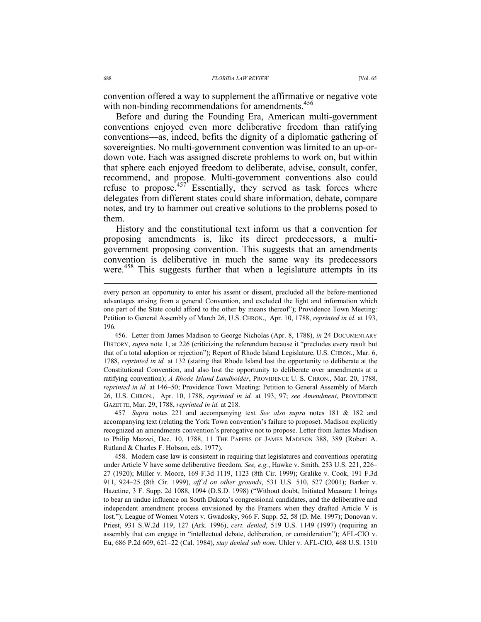convention offered a way to supplement the affirmative or negative vote with non-binding recommendations for amendments.<sup>456</sup>

Before and during the Founding Era, American multi-government conventions enjoyed even more deliberative freedom than ratifying conventions—as, indeed, befits the dignity of a diplomatic gathering of sovereignties. No multi-government convention was limited to an up-ordown vote. Each was assigned discrete problems to work on, but within that sphere each enjoyed freedom to deliberate, advise, consult, confer, recommend, and propose. Multi-government conventions also could refuse to propose.<sup>457</sup> Essentially, they served as task forces where delegates from different states could share information, debate, compare notes, and try to hammer out creative solutions to the problems posed to them.

History and the constitutional text inform us that a convention for proposing amendments is, like its direct predecessors, a multigovernment proposing convention. This suggests that an amendments convention is deliberative in much the same way its predecessors were.<sup>458</sup> This suggests further that when a legislature attempts in its

 456. Letter from James Madison to George Nicholas (Apr. 8, 1788), *in* 24 DOCUMENTARY HISTORY, *supra* note 1, at 226 (criticizing the referendum because it "precludes every result but that of a total adoption or rejection"); Report of Rhode Island Legislature, U.S. CHRON., Mar. 6, 1788, *reprinted in id.* at 132 (stating that Rhode Island lost the opportunity to deliberate at the Constitutional Convention, and also lost the opportunity to deliberate over amendments at a ratifying convention); *A Rhode Island Landholder*, PROVIDENCE U. S. CHRON., Mar. 20, 1788, *reprinted in id.* at 146–50; Providence Town Meeting: Petition to General Assembly of March 26, U.S. CHRON., Apr. 10, 1788, *reprinted in id.* at 193, 97; *see Amendment*, PROVIDENCE GAZETTE, Mar. 29, 1788, *reprinted in id.* at 218.

457*. Supra* notes 221 and accompanying text *See also supra* notes 181 & 182 and accompanying text (relating the York Town convention's failure to propose). Madison explicitly recognized an amendments convention's prerogative not to propose. Letter from James Madison to Philip Mazzei, Dec. 10, 1788, 11 THE PAPERS OF JAMES MADISON 388, 389 (Robert A. Rutland & Charles F. Hobson, eds. 1977).

 458. Modern case law is consistent in requiring that legislatures and conventions operating under Article V have some deliberative freedom. *See, e.g.*, Hawke v. Smith, 253 U.S. 221, 226– 27 (1920); Miller v. Moore, 169 F.3d 1119, 1123 (8th Cir. 1999); Gralike v. Cook, 191 F.3d 911, 924–25 (8th Cir. 1999), *aff'd on other grounds*, 531 U.S. 510, 527 (2001); Barker v. Hazetine, 3 F. Supp. 2d 1088, 1094 (D.S.D. 1998) ("Without doubt, Initiated Measure 1 brings to bear an undue influence on South Dakota's congressional candidates, and the deliberative and independent amendment process envisioned by the Framers when they drafted Article V is lost."); League of Women Voters v. Gwadosky, 966 F. Supp. 52, 58 (D. Me. 1997); Donovan v. Priest, 931 S.W.2d 119, 127 (Ark. 1996), *cert. denied*, 519 U.S. 1149 (1997) (requiring an assembly that can engage in "intellectual debate, deliberation, or consideration"); AFL-CIO v. Eu, 686 P.2d 609, 621–22 (Cal. 1984), *stay denied sub nom*. Uhler v. AFL-CIO, 468 U.S. 1310

 $\overline{a}$ 

every person an opportunity to enter his assent or dissent, precluded all the before-mentioned advantages arising from a general Convention, and excluded the light and information which one part of the State could afford to the other by means thereof"); Providence Town Meeting: Petition to General Assembly of March 26, U.S. CHRON., Apr. 10, 1788, *reprinted in id.* at 193, 196.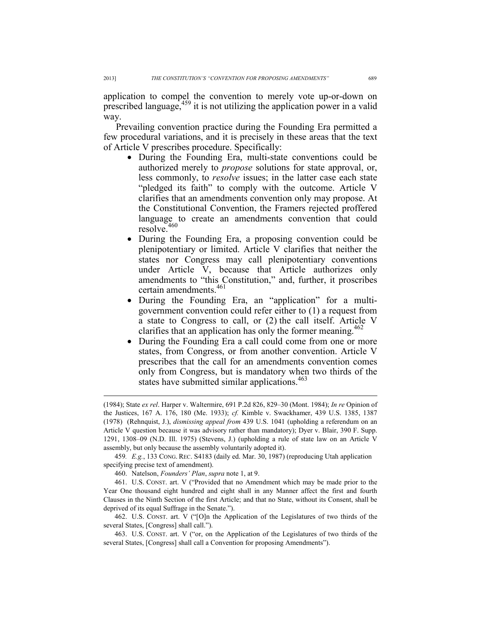application to compel the convention to merely vote up-or-down on prescribed language, $459$  it is not utilizing the application power in a valid way.

Prevailing convention practice during the Founding Era permitted a few procedural variations, and it is precisely in these areas that the text of Article V prescribes procedure. Specifically:

- During the Founding Era, multi-state conventions could be authorized merely to *propose* solutions for state approval, or, less commonly, to *resolve* issues; in the latter case each state "pledged its faith" to comply with the outcome. Article V clarifies that an amendments convention only may propose. At the Constitutional Convention, the Framers rejected proffered language to create an amendments convention that could resolve.<sup>460</sup>
- During the Founding Era, a proposing convention could be plenipotentiary or limited. Article V clarifies that neither the states nor Congress may call plenipotentiary conventions under Article V, because that Article authorizes only amendments to "this Constitution," and, further, it proscribes certain amendments.<sup>461</sup>
- During the Founding Era, an "application" for a multigovernment convention could refer either to (1) a request from a state to Congress to call, or (2) the call itself. Article V clarifies that an application has only the former meaning.<sup>462</sup>
- During the Founding Era a call could come from one or more states, from Congress, or from another convention. Article V prescribes that the call for an amendments convention comes only from Congress, but is mandatory when two thirds of the states have submitted similar applications.<sup>463</sup>

459*. E.g.*, 133 CONG. REC. S4183 (daily ed. Mar. 30, 1987) (reproducing Utah application specifying precise text of amendment).

460. Natelson, *Founders' Plan*, *supra* note 1, at 9.

 461. U.S. CONST. art. V ("Provided that no Amendment which may be made prior to the Year One thousand eight hundred and eight shall in any Manner affect the first and fourth Clauses in the Ninth Section of the first Article; and that no State, without its Consent, shall be deprived of its equal Suffrage in the Senate.").

 462. U.S. CONST. art. V ("[O]n the Application of the Legislatures of two thirds of the several States, [Congress] shall call.").

 463. U.S. CONST. art. V ("or, on the Application of the Legislatures of two thirds of the several States, [Congress] shall call a Convention for proposing Amendments").

 $\overline{a}$ 

<sup>(1984);</sup> State *ex rel*. Harper v. Waltermire, 691 P.2d 826, 829–30 (Mont. 1984); *In re* Opinion of the Justices, 167 A. 176, 180 (Me. 1933); *cf.* Kimble v. Swackhamer, 439 U.S. 1385, 1387 (1978) (Rehnquist, J.), *dismissing appeal from* 439 U.S. 1041 (upholding a referendum on an Article V question because it was advisory rather than mandatory); Dyer v. Blair, 390 F. Supp. 1291, 1308–09 (N.D. Ill. 1975) (Stevens, J.) (upholding a rule of state law on an Article V assembly, but only because the assembly voluntarily adopted it).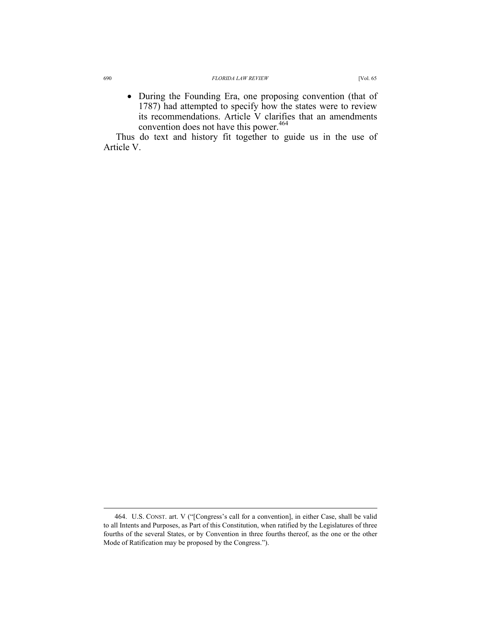• During the Founding Era, one proposing convention (that of 1787) had attempted to specify how the states were to review its recommendations. Article V clarifies that an amendments convention does not have this power.<sup>464</sup>

Thus do text and history fit together to guide us in the use of Article V.

 $\overline{a}$ 

 <sup>464.</sup> U.S. CONST. art. V ("[Congress's call for a convention], in either Case, shall be valid to all Intents and Purposes, as Part of this Constitution, when ratified by the Legislatures of three fourths of the several States, or by Convention in three fourths thereof, as the one or the other Mode of Ratification may be proposed by the Congress.").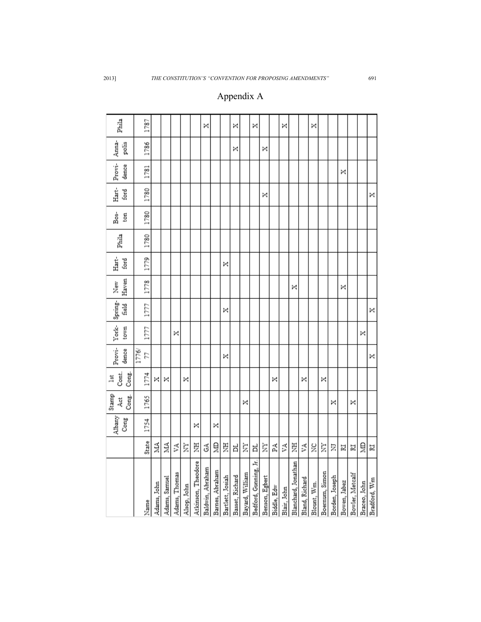## Appendix A

| Phila                         | 1787        |             |               |               |             |                    | ×                |                 |                  | ×               |                 | ×                     |                |             | ×           |                     |                | ×           |                |                |              |                 |              |              |
|-------------------------------|-------------|-------------|---------------|---------------|-------------|--------------------|------------------|-----------------|------------------|-----------------|-----------------|-----------------------|----------------|-------------|-------------|---------------------|----------------|-------------|----------------|----------------|--------------|-----------------|--------------|--------------|
| Anna-<br>polis                | 1786        |             |               |               |             |                    |                  |                 |                  | ×               |                 |                       | ×              |             |             |                     |                |             |                |                |              |                 |              |              |
| Provi-<br>dence               | 1781        |             |               |               |             |                    |                  |                 |                  |                 |                 |                       |                |             |             |                     |                |             |                |                | ×            |                 |              |              |
| Hart-<br>ford                 | 1780        |             |               |               |             |                    |                  |                 |                  |                 |                 |                       | ×              |             |             |                     |                |             |                |                |              |                 |              | ×            |
| Bos-<br>ton                   | 1780        |             |               |               |             |                    |                  |                 |                  |                 |                 |                       |                |             |             |                     |                |             |                |                |              |                 |              |              |
| Phila                         | 1780        |             |               |               |             |                    |                  |                 |                  |                 |                 |                       |                |             |             |                     |                |             |                |                |              |                 |              |              |
| Hart-<br>ford                 | 1779        |             |               |               |             |                    |                  |                 | ×                |                 |                 |                       |                |             |             |                     |                |             |                |                |              |                 |              |              |
| Haven<br>New                  | 1778        |             |               |               |             |                    |                  |                 |                  |                 |                 |                       |                |             |             | ×                   |                |             |                |                | ×            |                 |              |              |
| Provi- York- Spring-<br>field | 1777        |             |               |               |             |                    |                  |                 | ×                |                 |                 |                       |                |             |             |                     |                |             |                |                |              |                 |              | ×            |
| town                          | 1777        |             |               | ×             |             |                    |                  |                 |                  |                 |                 |                       |                |             |             |                     |                |             |                |                |              |                 | ×            |              |
| dence                         | 1776/<br>77 |             |               |               |             |                    |                  |                 | ×                |                 |                 |                       |                |             |             |                     |                |             |                |                |              |                 |              | ×            |
| Cont.<br>Cong.<br>lst         | 1774        | ×           | ×             |               | ×           |                    |                  |                 |                  |                 |                 |                       |                | ×           |             |                     | ×              |             | ×              |                |              |                 |              |              |
| Stamp<br>Cong.<br>Act         | 1765        |             |               |               |             |                    |                  |                 |                  |                 | ×               |                       |                |             |             |                     |                |             |                | ×              |              | ×               |              |              |
| Albany<br>Cong                | 1754        |             |               |               |             | ×                  |                  | ×               |                  |                 |                 |                       |                |             |             |                     |                |             |                |                |              |                 |              |              |
|                               | State       | MA.         | МА            | ۶A            | È           | 芝                  | З                | Ê               | Ë                | ㅂ               | È               | ㅂ                     | È              | Ã           | УA          | 夏                   | Ã              | ž           | È              | Σ              | N            | N               | Ê            | 囩            |
|                               | Name        | Adams, John | Adams, Samuel | Adams, Thomas | Alsop, John | Atkinson, Theodore | Baldwin, Abraham | Barnes, Abraham | Bartlett, Josiah | Basset, Richard | Bayard, William | Bedford, Gunning, Jr. | Benson, Egbert | Biddle, Edw | Blair, John | Blanchard, Jonathan | Bland, Richard | Blount, Wm. | Boernum, Simon | Borden, Joseph | Bowen, Jabez | Bowler, Metcalf | Braceo, John | Bradford, Wm |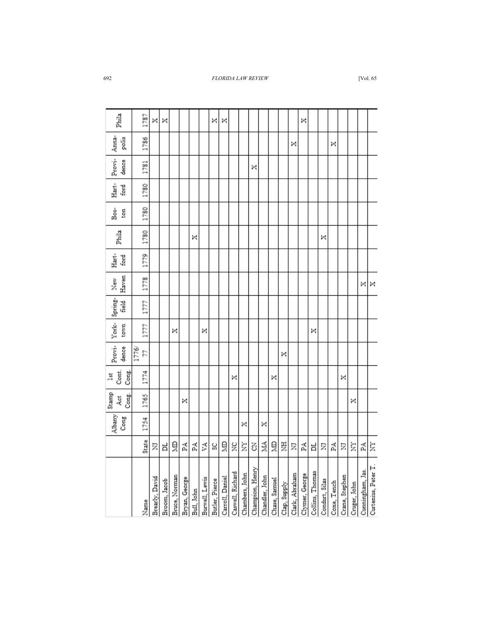| Phila                      |       | 1787  | ×              | ×            |               |               |            |                | ×              | ×               |                  |   |                                   |                |               |              |                | ×              |                 |                |             |                |              |                  |                     |
|----------------------------|-------|-------|----------------|--------------|---------------|---------------|------------|----------------|----------------|-----------------|------------------|---|-----------------------------------|----------------|---------------|--------------|----------------|----------------|-----------------|----------------|-------------|----------------|--------------|------------------|---------------------|
| Anna-<br>polis             |       | 1786  |                |              |               |               |            |                |                |                 |                  |   |                                   |                |               |              | ×              |                |                 |                | ×           |                |              |                  |                     |
| Provi-<br>dence            |       | 1781  |                |              |               |               |            |                |                |                 |                  |   | ×                                 |                |               |              |                |                |                 |                |             |                |              |                  |                     |
| Hart-<br>ford              |       | 1780  |                |              |               |               |            |                |                |                 |                  |   |                                   |                |               |              |                |                |                 |                |             |                |              |                  |                     |
| Bos-<br>ţg                 |       | 1780  |                |              |               |               |            |                |                |                 |                  |   |                                   |                |               |              |                |                |                 |                |             |                |              |                  |                     |
| Phila                      |       | 1780  |                |              |               |               | ×          |                |                |                 |                  |   |                                   |                |               |              |                |                |                 | ×              |             |                |              |                  |                     |
| ford<br>Ė                  |       | 1779  |                |              |               |               |            |                |                |                 |                  |   |                                   |                |               |              |                |                |                 |                |             |                |              |                  |                     |
| Haven<br>New               |       | 1778  |                |              |               |               |            |                |                |                 |                  |   |                                   |                |               |              |                |                |                 |                |             |                |              | ×                | ×                   |
| Spring-<br>field           |       | 1777  |                |              |               |               |            |                |                |                 |                  |   |                                   |                |               |              |                |                |                 |                |             |                |              |                  |                     |
| York-<br>town              |       | 1777  |                |              | ×             |               |            | ×              |                |                 |                  |   |                                   |                |               |              |                |                | ×               |                |             |                |              |                  |                     |
| Provi-<br>dence            | 1776/ | 57    |                |              |               |               |            |                |                |                 |                  |   |                                   |                |               | ×            |                |                |                 |                |             |                |              |                  |                     |
| Cont.<br>Cong.<br>lst      |       | 1774  |                |              |               |               |            |                |                |                 | ×                |   |                                   |                | ×             |              |                |                |                 |                |             | ×              |              |                  |                     |
| Stamp<br>Cong.<br>C<br>Åčt |       | 1765  |                |              |               | ×             |            |                |                |                 |                  |   |                                   |                |               |              |                |                |                 |                |             |                | ×            |                  |                     |
| Albany<br>Cong             |       | 1754  |                |              |               |               |            |                |                |                 |                  | × |                                   | ×              |               |              |                |                |                 |                |             |                |              |                  |                     |
|                            |       | State | Σ              | ă            | ã             | 덫             | Ã          | УA             | SC             | ğ               | ă                | È | Z                                 | ŽА             | ã             | Ë            | Ξ              | ᄞ              | Ħ               | Ξ              | 덫           | Σ              | ₿            | Ã                | È                   |
|                            |       | Name  | Brearly, David | Broom, Jacob | Bruce, Norman | Bryan, George | Bull, John | Burwell, Lewis | Butler, Pierce | Carroll, Daniel | Caswell, Richard |   | Chambers, John<br>Champion, Henry | Chandler, John | Chase, Samuel | Clap, Supply | Clark, Abraham | Clymer, George | Collins, Thomas | Condurt, Silas | Coxe, Tench | Crane, Stephen | Cruger, John | Cunningham, Jas. | Curtenius, Peter T. |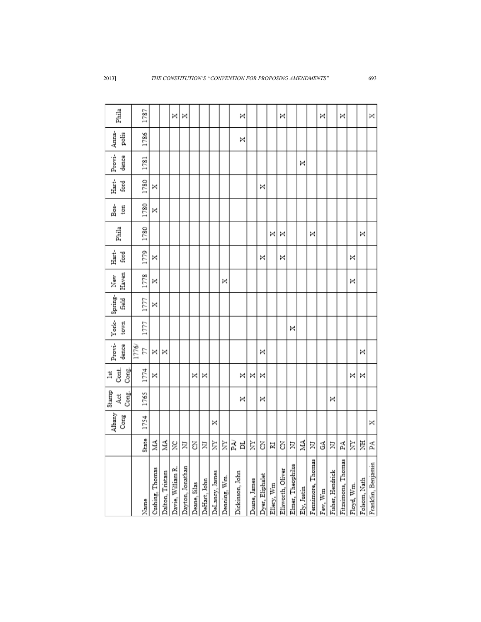2013] *THE CONSTITUTION'S "CONVENTION FOR PROPOSING AMENDMENTS"* 693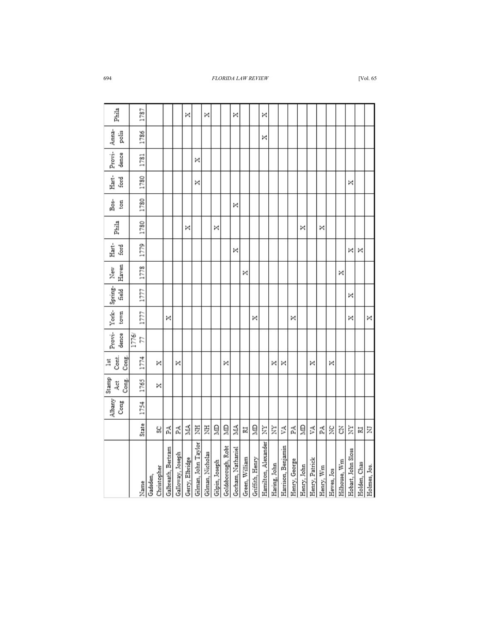| Phila                           | 1787        |          |             |                    |                  | ×               |                     | ×                |                |                    | ×                 |                |                 | ×                   |              |                    |               |             |                |           |            |              |                    |              |              |
|---------------------------------|-------------|----------|-------------|--------------------|------------------|-----------------|---------------------|------------------|----------------|--------------------|-------------------|----------------|-----------------|---------------------|--------------|--------------------|---------------|-------------|----------------|-----------|------------|--------------|--------------------|--------------|--------------|
| Anna-<br>polis                  | 1786        |          |             |                    |                  |                 |                     |                  |                |                    |                   |                |                 | ×                   |              |                    |               |             |                |           |            |              |                    |              |              |
| Provi-<br>dence                 | 1781        |          |             |                    |                  |                 | ×                   |                  |                |                    |                   |                |                 |                     |              |                    |               |             |                |           |            |              |                    |              |              |
| Hart-<br>ford                   | 1780        |          |             |                    |                  |                 | ×                   |                  |                |                    |                   |                |                 |                     |              |                    |               |             |                |           |            |              | ×                  |              |              |
| នំ<br>ton                       | 1780        |          |             |                    |                  |                 |                     |                  |                |                    | ×                 |                |                 |                     |              |                    |               |             |                |           |            |              |                    |              |              |
| Phila                           | 1780        |          |             |                    |                  | ×               |                     |                  | ×              |                    |                   |                |                 |                     |              |                    |               | ×           |                | ×         |            |              |                    |              |              |
| Hart-<br>ford                   | 1779        |          |             |                    |                  |                 |                     |                  |                |                    | ×                 |                |                 |                     |              |                    |               |             |                |           |            |              | ×                  | ×            |              |
| Haven<br>New                    | 1778        |          |             |                    |                  |                 |                     |                  |                |                    |                   | ×              |                 |                     |              |                    |               |             |                |           |            | ×            |                    |              |              |
| Spring-<br>feld<br>H            | 1777        |          |             |                    |                  |                 |                     |                  |                |                    |                   |                |                 |                     |              |                    |               |             |                |           |            |              | ×                  |              |              |
| York-<br>town                   | 1777        |          |             | ×                  |                  |                 |                     |                  |                |                    |                   |                | ×               |                     |              |                    | ×             |             |                |           |            |              | ×                  |              | ×            |
| Provi-<br>dence                 | 1776/<br>24 |          |             |                    |                  |                 |                     |                  |                |                    |                   |                |                 |                     |              |                    |               |             |                |           |            |              |                    |              |              |
| Cont.<br>Cong.<br>$\frac{1}{2}$ | 1774        |          | ×           |                    | ×                |                 |                     |                  |                | ×                  |                   |                |                 |                     | ×            | ×                  |               |             | ×              |           | ×          |              |                    |              |              |
| Stamp<br>Cong.<br>Act           | 1765        |          | ×           |                    |                  |                 |                     |                  |                |                    |                   |                |                 |                     |              |                    |               |             |                |           |            |              |                    |              |              |
| Albany<br>$\rm{Cong}$           | 1754        |          |             |                    |                  |                 |                     |                  |                |                    |                   |                |                 |                     |              |                    |               |             |                |           |            |              |                    |              |              |
|                                 | State       |          | ್ವ          | 됳                  | Ã                | 2A              | Ë                   | Ë                | Ê              | Ê                  | 2A                | N              | Ê               | È                   | è            | Ã                  | Ã             | Ê           | Á              | Ã         | ă          | ś            | è                  | N            | Ξ            |
|                                 | Name        | Gadsden, | Christopher | Galbreath, Bertram | Galloway, Joseph | Gerry, Elbridge | Gilman, John Taylor | Gilman, Nicholas | Gilpin, Joseph | Goldsborough, Robt | Gorham, Nathaniel | Green, William | Griffith, Henry | Hamilton, Alexander | Haring, John | Harrison, Benjamin | Henry, George | Henry, John | Henry, Patrick | Henry, Wm | Hewes, Jos | Hilhouse, Wm | Hobart, John Sloss | Holden, Chas | Holmes, Jos. |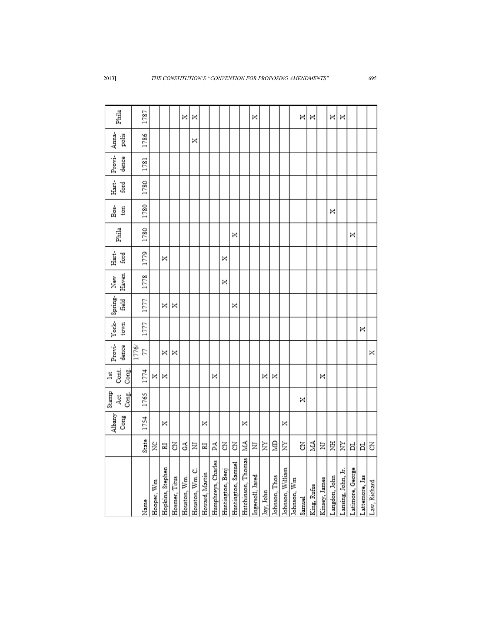|                                                  |       | Albany | Stamp<br>4d | Cont.<br>lst | Provi- | York- | Spring- | New   | Hart- | Phila | Bos- | Hart- | Provi- | Anna- | Phila |
|--------------------------------------------------|-------|--------|-------------|--------------|--------|-------|---------|-------|-------|-------|------|-------|--------|-------|-------|
|                                                  |       | Cong   | Cong.       | Cong.        | dence  | town  | field   | Haven | ford  |       | ton  | ford  | dence  | polis |       |
|                                                  |       |        |             |              | 1776/  |       |         |       |       |       |      |       |        |       |       |
| Name                                             | State | 1754   | 1765        | 1774         | 77     | 1777  | 1777    | 1778  | 1779  | 1780  | 1780 | 1780  | 1781   | 1786  | 1787  |
| Hooper, Wm                                       | ž     |        |             | ×            |        |       |         |       |       |       |      |       |        |       |       |
| Hopkins, Stephen                                 | N     | ×      |             | ×            | ×      |       | ×       |       | ×     |       |      |       |        |       |       |
| Hosmer, Titus                                    | ś     |        |             |              | ×      |       | ×       |       |       |       |      |       |        |       |       |
| Houston, Wm.                                     | З     |        |             |              |        |       |         |       |       |       |      |       |        |       | ×     |
|                                                  | Ξ     |        |             |              |        |       |         |       |       |       |      |       |        | ×     | ×     |
| Houston, Wm. C.<br>Howard, Martin                | N     | ×      |             |              |        |       |         |       |       |       |      |       |        |       |       |
| Humphreys, Charles                               | 돷     |        |             | ×            |        |       |         |       |       |       |      |       |        |       |       |
| Huntington, Benj                                 | Z     |        |             |              |        |       |         | ×     | ×     |       |      |       |        |       |       |
| Huntington, Samuel<br>Hutchinson, Thomas         | Z     |        |             |              |        |       | ×       |       |       | ×     |      |       |        |       |       |
|                                                  | NIA.  | ×      |             |              |        |       |         |       |       |       |      |       |        |       |       |
| Ingersoll, Jared                                 | Ξ     |        |             |              |        |       |         |       |       |       |      |       |        |       | ×     |
| Jay, John                                        | È     |        |             | ×            |        |       |         |       |       |       |      |       |        |       |       |
|                                                  | ê     |        |             | ×            |        |       |         |       |       |       |      |       |        |       |       |
| Johnson, Thos<br>Johnson, William<br>Johnson, Wm | È     | ×      |             |              |        |       |         |       |       |       |      |       |        |       |       |
|                                                  |       |        |             |              |        |       |         |       |       |       |      |       |        |       |       |
| Samuel                                           | ś     |        | ×           |              |        |       |         |       |       |       |      |       |        |       | ×     |
| King, Rufus                                      | MŅ    |        |             |              |        |       |         |       |       |       |      |       |        |       | ×     |
| Kinsey, James                                    | Σ     |        |             | ×            |        |       |         |       |       |       |      |       |        |       |       |
|                                                  | 芝     |        |             |              |        |       |         |       |       |       | ×    |       |        |       | ×     |
| Langdon, John<br>Lansing, John, Jr.              | È     |        |             |              |        |       |         |       |       |       |      |       |        |       | ×     |
| Latimore, George                                 | ᄇ     |        |             |              |        |       |         |       |       | ×     |      |       |        |       |       |
| Lattemore, Jas                                   | ă     |        |             |              |        | ×     |         |       |       |       |      |       |        |       |       |
| Law, Richard                                     | Z     |        |             |              | ×      |       |         |       |       |       |      |       |        |       |       |

2013] *THE CONSTITUTION'S "CONVENTION FOR PROPOSING AMENDMENTS"* 695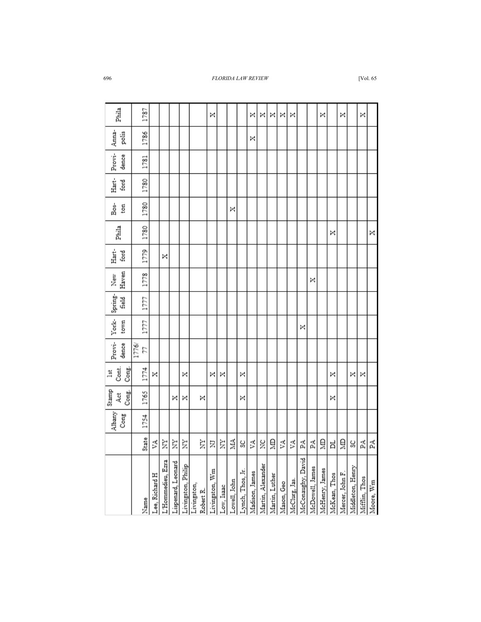| Phila                 |       | 1787  |                |                   |                    |   |                                                | ×              |            |              |                  | ×              | ×                 | ×              | ×          | ×             |                   |                 | ×              |              | ×               |                  | ×             |           |
|-----------------------|-------|-------|----------------|-------------------|--------------------|---|------------------------------------------------|----------------|------------|--------------|------------------|----------------|-------------------|----------------|------------|---------------|-------------------|-----------------|----------------|--------------|-----------------|------------------|---------------|-----------|
| Anna-<br>polis        |       | 1786  |                |                   |                    |   |                                                |                |            |              |                  | ×              |                   |                |            |               |                   |                 |                |              |                 |                  |               |           |
| Provi-<br>dence       |       | 1781  |                |                   |                    |   |                                                |                |            |              |                  |                |                   |                |            |               |                   |                 |                |              |                 |                  |               |           |
| Hart-<br>ford         |       | 1780  |                |                   |                    |   |                                                |                |            |              |                  |                |                   |                |            |               |                   |                 |                |              |                 |                  |               |           |
| Bos-<br>ton           |       | 1780  |                |                   |                    |   |                                                |                |            | ×            |                  |                |                   |                |            |               |                   |                 |                |              |                 |                  |               |           |
| Phila                 |       | 1780  |                |                   |                    |   |                                                |                |            |              |                  |                |                   |                |            |               |                   |                 |                | ×            |                 |                  |               | ×         |
| Hart-<br>ford         |       | 1779  |                | ×                 |                    |   |                                                |                |            |              |                  |                |                   |                |            |               |                   |                 |                |              |                 |                  |               |           |
| Haven<br>New          |       | 1778  |                |                   |                    |   |                                                |                |            |              |                  |                |                   |                |            |               |                   | ×               |                |              |                 |                  |               |           |
| Spring-<br>field      |       | 1777  |                |                   |                    |   |                                                |                |            |              |                  |                |                   |                |            |               |                   |                 |                |              |                 |                  |               |           |
| York-<br>town         |       | 1777  |                |                   |                    |   |                                                |                |            |              |                  |                |                   |                |            |               | ×                 |                 |                |              |                 |                  |               |           |
| Provi-<br>dence       | 1776/ | 24    |                |                   |                    |   |                                                |                |            |              |                  |                |                   |                |            |               |                   |                 |                |              |                 |                  |               |           |
| Cont.<br>Cong.<br>lst |       | 1774  | ×              |                   |                    | × |                                                | ×              | ×          |              | ×                |                |                   |                |            |               |                   |                 |                | ×            |                 | ×                | ×             |           |
| Stamp<br>Cong.<br>Åčt |       | 1765  |                |                   | ×                  | × | ×                                              |                |            |              | ×                |                |                   |                |            |               |                   |                 |                | ×            |                 |                  |               |           |
| Albany<br>Cong        |       | 1754  |                |                   |                    |   |                                                |                |            |              |                  |                |                   |                |            |               |                   |                 |                |              |                 |                  |               |           |
|                       |       | State | Š              | Ż                 | È                  | È | È                                              | Σ              | Ż          | МА           | S                | Š              | ž                 | 의              | УA         | Š             | Å                 | Ã               | ã              | Ħ            | ã               | S                | Ã             | Å         |
|                       |       | Name  | Lee, Richard H | L'Hommedieu, Ezra | Lispenard, Leonard |   | Livingston, Philip<br>Livingston,<br>Robert R. | Livingston, Wm | Low, Isaac | Lowell, John | Lynch, Thos, Jr. | Madison, James | Martin, Alexander | Martin, Luther | Mason, Geo | McClurg, Jas. | McConaughy, David | McDowell, James | McHenry, James | McKean, Thos | Mercer, John F. | Middleton, Henry | Mifflin, Thos | Moore, Wm |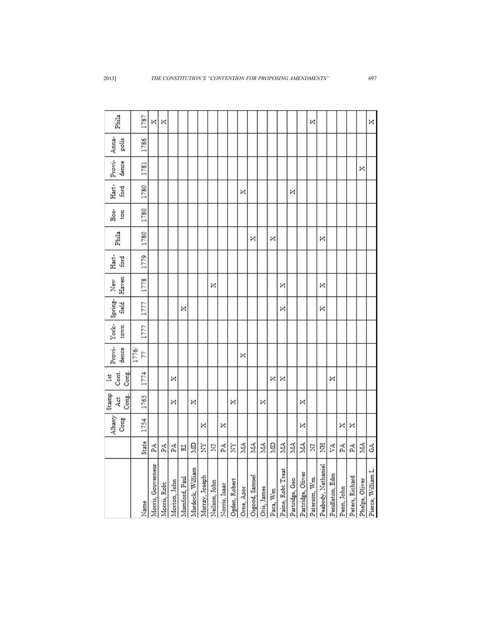| Phila                | 1787        | ×                  | × |                                                                                   |   |   |   |               |   |                                |    |                              |             |                  |                   |   |                                     | ×             |                    |   |                                                 |   |                | ×                  |
|----------------------|-------------|--------------------|---|-----------------------------------------------------------------------------------|---|---|---|---------------|---|--------------------------------|----|------------------------------|-------------|------------------|-------------------|---|-------------------------------------|---------------|--------------------|---|-------------------------------------------------|---|----------------|--------------------|
| Anna-<br>polis       | 1786        |                    |   |                                                                                   |   |   |   |               |   |                                |    |                              |             |                  |                   |   |                                     |               |                    |   |                                                 |   |                |                    |
| Provi-<br>dence      | 1781        |                    |   |                                                                                   |   |   |   |               |   |                                |    |                              |             |                  |                   |   |                                     |               |                    |   |                                                 |   | ×              |                    |
| Hart-<br>ford        | 1780        |                    |   |                                                                                   |   |   |   |               |   |                                | ×  |                              |             |                  |                   | × |                                     |               |                    |   |                                                 |   |                |                    |
| Bos-<br>ton          | 1780        |                    |   |                                                                                   |   |   |   |               |   |                                |    |                              |             |                  |                   |   |                                     |               |                    |   |                                                 |   |                |                    |
| Phila                | 1780        |                    |   |                                                                                   |   |   |   |               |   |                                |    | ×                            |             | ×                |                   |   |                                     |               | ×                  |   |                                                 |   |                |                    |
| Hart-<br>ford        | 1779        |                    |   |                                                                                   |   |   |   |               |   |                                |    |                              |             |                  |                   |   |                                     |               |                    |   |                                                 |   |                |                    |
| Haven<br>New         | 1778        |                    |   |                                                                                   |   |   |   | ×             |   |                                |    |                              |             |                  | ×                 |   |                                     |               | ×                  |   |                                                 |   |                |                    |
| Spring-<br>field     | 1777        |                    |   |                                                                                   | × |   |   |               |   |                                |    |                              |             |                  | ×                 |   |                                     |               | ×                  |   |                                                 |   |                |                    |
| York-<br>town        | 1777        |                    |   |                                                                                   |   |   |   |               |   |                                |    |                              |             |                  |                   |   |                                     |               |                    |   |                                                 |   |                |                    |
| Provi-<br>dence      | 1776/<br>22 |                    |   |                                                                                   |   |   |   |               |   |                                | ×  |                              |             |                  |                   |   |                                     |               |                    |   |                                                 |   |                |                    |
| Cont.<br>Cong.<br>莒  | 1774        |                    |   | ×                                                                                 |   |   |   |               |   |                                |    |                              |             | ×                | ×                 |   |                                     |               |                    | × |                                                 |   |                |                    |
| Stamp<br>Cong.<br>4d | 1765        |                    |   | ×                                                                                 |   | × |   |               |   | ×                              |    |                              | ×           |                  |                   |   | ×                                   |               |                    |   |                                                 |   |                |                    |
| Albany<br>Cong       | 1754        |                    |   |                                                                                   |   |   | × |               | × |                                |    |                              |             |                  |                   |   | ×                                   |               |                    |   | ×                                               | × |                |                    |
|                      | State       | 딫                  | Ã | 덫                                                                                 | N | ₿ | È | Ξ             | Ã | È                              | ŽА | É                            | Á           | ã                | МА                | É | ЙЙ                                  | Σ             | E                  | Š | 덫                                               | 덫 | É              | 3                  |
|                      | Name        | Morris, Gouverneur |   | Morris, Robt<br>Morton, John<br>Munford, Paul<br>Murray, Joseph<br>Murray, Joseph |   |   |   | Neilson, John |   | Norris, Isaac<br>Ogden, Robert |    | Orne, Azor<br>Osgood, Samuel | Otis, James | Paca, ${\rm Wm}$ | Paine, Robt Treat |   | Partridge, Geo<br>Partridge, Oliver | Paterson, Wm. | Peabody, Nathaniel |   | Pendleton, Edm<br>Penn, John<br>Peters, Richard |   | Phelps, Oliver | Pierce, William L. |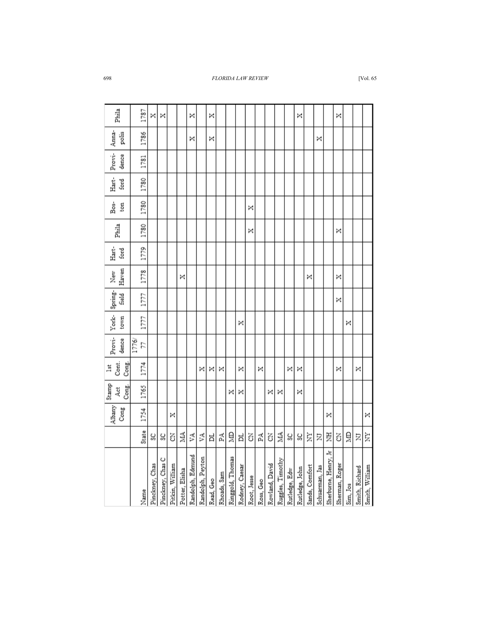|                      |       | Albany<br>Cong | Stamp<br>Cong.<br>Act | Cont.<br>Cong.<br>$\frac{1}{2}$ | Provi- York- Spring-<br>dence | town | field | Haven<br>New | Hart-<br>ford | Phila | Bos-<br>ton | Hart-<br>ford | Provi-<br>dence | Anna-<br>polis | Phila |
|----------------------|-------|----------------|-----------------------|---------------------------------|-------------------------------|------|-------|--------------|---------------|-------|-------------|---------------|-----------------|----------------|-------|
| Name                 | State | 1754           | 1765                  | 1774                            | 1776/<br>77                   | 1777 | 1777  | 1778         | 1779          | 1780  | 1780        | 1780          | 1781            | 1786           | 1787  |
| Pinckney, Chas       | ပ္တ   |                |                       |                                 |                               |      |       |              |               |       |             |               |                 |                | ×     |
| Pinckney, Chas C     | S)    |                |                       |                                 |                               |      |       |              |               |       |             |               |                 |                | ×     |
| Pitkin, William      | ś     | ×              |                       |                                 |                               |      |       |              |               |       |             |               |                 |                |       |
| Potter, Elisha       | ΝИ    |                |                       |                                 |                               |      |       | ×            |               |       |             |               |                 |                |       |
| Randolph, Edmund     | ۶A    |                |                       |                                 |                               |      |       |              |               |       |             |               |                 | ×              | ×     |
| Randolph, Peyton     | Š     |                |                       | ×                               |                               |      |       |              |               |       |             |               |                 |                |       |
| Read, Geo            | ă     |                |                       | ×                               |                               |      |       |              |               |       |             |               |                 | ×              | ×     |
| Rhoads, Sam          | Ã     |                |                       | ×                               |                               |      |       |              |               |       |             |               |                 |                |       |
| Ringgold, Thomas     | Ê     |                | ×                     |                                 |                               |      |       |              |               |       |             |               |                 |                |       |
| Rodney, Caesar       | ㅂ     |                | ×                     | ×                               |                               | ×    |       |              |               |       |             |               |                 |                |       |
| Root, Jesse          | Z     |                |                       |                                 |                               |      |       |              |               | ×     | ×           |               |                 |                |       |
| Ross, Geo            | Ã     |                |                       | ×                               |                               |      |       |              |               |       |             |               |                 |                |       |
| Rowland, David       | 3     |                | ×                     |                                 |                               |      |       |              |               |       |             |               |                 |                |       |
| Ruggles, Timothy     | 2     |                | ×                     |                                 |                               |      |       |              |               |       |             |               |                 |                |       |
| Rutledge, Edw        | Š     |                |                       | ×                               |                               |      |       |              |               |       |             |               |                 |                |       |
| Rutledge, John       | ల్ల   |                | ×                     | ×                               |                               |      |       |              |               |       |             |               |                 |                | ×     |
| Sands, Comfort       | È     |                |                       |                                 |                               |      |       | ×            |               |       |             |               |                 |                |       |
| Schuarman, Jas       | Ξ     |                |                       |                                 |                               |      |       |              |               |       |             |               |                 | ×              |       |
| Sherburne, Henry, Jr | 乭     | ×              |                       |                                 |                               |      |       |              |               |       |             |               |                 |                |       |
| Sherman, Roger       | Z     |                |                       | ×                               |                               |      | ×     | ×            |               | ×     |             |               |                 |                | ×     |
| Sim, Jos             | Ê     |                |                       |                                 |                               | ×    |       |              |               |       |             |               |                 |                |       |
| Smith, Richard       | Σ     |                |                       | ×                               |                               |      |       |              |               |       |             |               |                 |                |       |
| Smith, William       | È     | ×              |                       |                                 |                               |      |       |              |               |       |             |               |                 |                |       |
|                      |       |                |                       |                                 |                               |      |       |              |               |       |             |               |                 |                |       |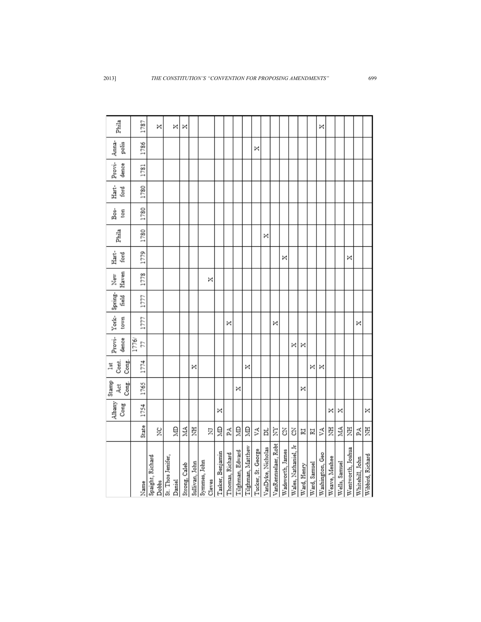|                      |       | Albany<br>Cong | Stamp<br>Cong.<br>4d | Cont.<br>Cong.<br>$\frac{1}{2}$ | Provi-<br>dence | York-<br>town | Spring-<br>field | Haven<br>New | Hart-<br>ford | Phila | Bos-<br>ton | Hart-<br>ford | Provi-<br>dence | Anna-<br>polis | Phila |
|----------------------|-------|----------------|----------------------|---------------------------------|-----------------|---------------|------------------|--------------|---------------|-------|-------------|---------------|-----------------|----------------|-------|
|                      |       |                |                      |                                 | 1776/           |               |                  |              |               |       |             |               |                 |                |       |
|                      | State | 1754           | 1765                 | 1774                            | 77              | 1777          | 1777             | 1778         | 1779          | 1780  | 1780        | 1780          | 1781            | 1786           | 1787  |
| Spaight, Richard     |       |                |                      |                                 |                 |               |                  |              |               |       |             |               |                 |                |       |
|                      | ž     |                |                      |                                 |                 |               |                  |              |               |       |             |               |                 |                | ×     |
| St. Thos Jenifer,    |       |                |                      |                                 |                 |               |                  |              |               |       |             |               |                 |                |       |
| Daniel               | ă     |                |                      |                                 |                 |               |                  |              |               |       |             |               |                 |                | ×     |
| Strong, Caleb        | Z,    |                |                      |                                 |                 |               |                  |              |               |       |             |               |                 |                | ×     |
| Sullivan, John       | 夏     |                |                      | ×                               |                 |               |                  |              |               |       |             |               |                 |                |       |
| Symmes, John         |       |                |                      |                                 |                 |               |                  |              |               |       |             |               |                 |                |       |
| Cleves               | Σ     |                |                      |                                 |                 |               |                  | ×            |               |       |             |               |                 |                |       |
| Tasker, Benjamin     | ă     | ×              |                      |                                 |                 |               |                  |              |               |       |             |               |                 |                |       |
| Thomas, Richard      | Ã     |                |                      |                                 |                 | ×             |                  |              |               |       |             |               |                 |                |       |
| Tilghman, Edward     | ă     |                | ×                    |                                 |                 |               |                  |              |               |       |             |               |                 |                |       |
| Tilghman, Matthew    | ã     |                |                      | ×                               |                 |               |                  |              |               |       |             |               |                 |                |       |
| Tucker, St. George   | ۶A    |                |                      |                                 |                 |               |                  |              |               |       |             |               |                 | ×              |       |
| VanDyke, Nicholas    | ă     |                |                      |                                 |                 |               |                  |              |               | ×     |             |               |                 |                |       |
| VanRennselaer, Robt  | È     |                |                      |                                 |                 | ×             |                  |              |               |       |             |               |                 |                |       |
| Wadsworth, James     | ś     |                |                      |                                 |                 |               |                  |              | ×             |       |             |               |                 |                |       |
| Wales, Nathaniel, Jr | ś     |                |                      |                                 | ×               |               |                  |              |               |       |             |               |                 |                |       |
| Ward, Henry          | N     |                | ×                    |                                 | ×               |               |                  |              |               |       |             |               |                 |                |       |
| Ward, Samuel         | N     |                |                      | ×                               |                 |               |                  |              |               |       |             |               |                 |                |       |
| Washington, Geo      | ۶A    |                |                      | ×                               |                 |               |                  |              |               |       |             |               |                 |                | ×     |
| Weave, Meshee        | 夏     | ×              |                      |                                 |                 |               |                  |              |               |       |             |               |                 |                |       |
| Wells, Samuel        | NIA.  | ×              |                      |                                 |                 |               |                  |              |               |       |             |               |                 |                |       |
| Wentworth, Joshua    | 夏     |                |                      |                                 |                 |               |                  |              | ×             |       |             |               |                 |                |       |
| Whitehill, John      | Ã     |                |                      |                                 |                 | ×             |                  |              |               |       |             |               |                 |                |       |
| Wibbird, Richard     | 夏     | ×              |                      |                                 |                 |               |                  |              |               |       |             |               |                 |                |       |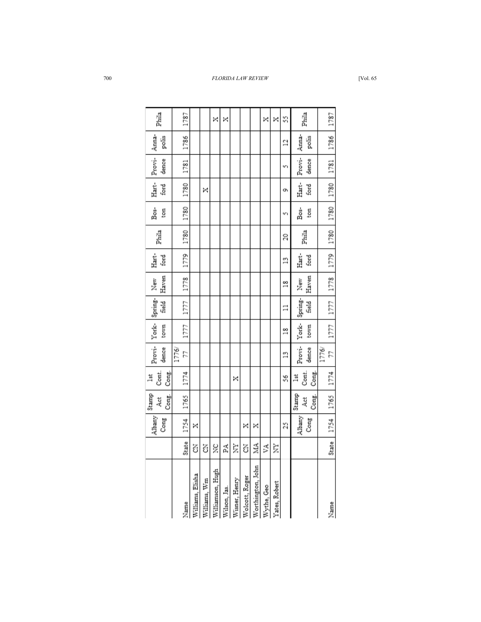|              | Albany<br>Cong | Stamp<br>Cong.<br>过 | Cont.<br>Cong.<br>嶌 | dence          | town          | Provi-York-Spring-<br>field | Haven<br>New  | Hart-<br>ford  | Phila     | Bos-<br>ton | Hart-<br>ford | Provi-<br>dence | Anna-<br>polis | Phila |
|--------------|----------------|---------------------|---------------------|----------------|---------------|-----------------------------|---------------|----------------|-----------|-------------|---------------|-----------------|----------------|-------|
|              |                |                     |                     | 1776/          |               |                             |               |                |           |             |               |                 |                |       |
| State        | 1754           | 1765                | 1774                | 77             | 1777          | 1777                        | 1778          | 1779           | 1780      | 1780        | 1780          | 1781            | 1786           | 1787  |
| ś            | ×              |                     |                     |                |               |                             |               |                |           |             |               |                 |                |       |
| 3            |                |                     |                     |                |               |                             |               |                |           |             | ×             |                 |                |       |
| ž            |                |                     |                     |                |               |                             |               |                |           |             |               |                 |                | ×     |
| A.           |                |                     |                     |                |               |                             |               |                |           |             |               |                 |                | ×     |
| È            |                |                     | ×                   |                |               |                             |               |                |           |             |               |                 |                |       |
| Z            | ×              |                     |                     |                |               |                             |               |                |           |             |               |                 |                |       |
| ЙД           | ×              |                     |                     |                |               |                             |               |                |           |             |               |                 |                |       |
| УA           |                |                     |                     |                |               |                             |               |                |           |             |               |                 |                | ×     |
| È            |                |                     |                     |                |               |                             |               |                |           |             |               |                 |                | ×     |
|              | 25             |                     | Š                   | $\frac{8}{11}$ | $\frac{8}{1}$ | $\Xi$                       | $\frac{8}{1}$ | $\frac{8}{11}$ | 20        | w١          | o,            | w١              | 2              | S     |
|              | Albany         | Stamp               | 茑                   | Provi-         |               | York-Spring-                | New           | Hart-          |           | Bos-        | Hart-         | Provi-          | Anna-          |       |
|              | Cong           | Cong.<br>4ct        | Cont.<br>Cong.      | dence          | town          | field                       | Haven         | ford           | Phila     | ton         | ford          | dence           | polis          | Phila |
|              |                |                     |                     | 1776/          |               |                             |               |                |           |             |               |                 |                |       |
| <b>State</b> | 1754 1765      |                     | 1774                | 77             | 1777          | 1777   1778   1779          |               |                | 1780 1780 |             | 1780          | 1781            | 1786           | 1787  |
|              |                |                     |                     |                |               |                             |               |                |           |             |               |                 |                |       |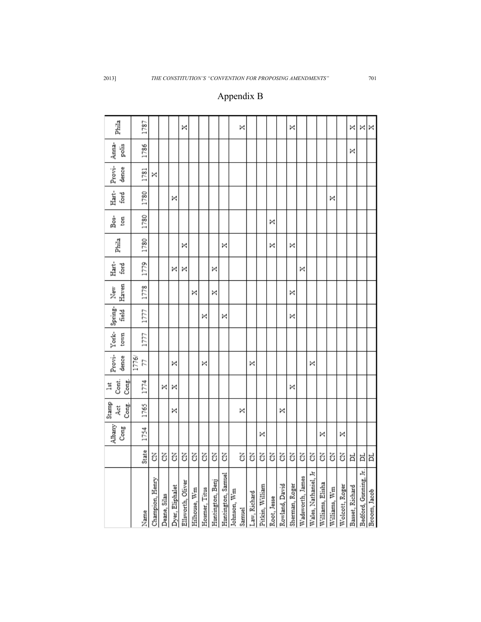| Phila                 | 1787        |                 |              |                 | ×                         |              |               |                  |                    |             | ×      |              |                 |             |                | ×              |                  |                      |                  |              |                | ×               | ×                     | ×            |
|-----------------------|-------------|-----------------|--------------|-----------------|---------------------------|--------------|---------------|------------------|--------------------|-------------|--------|--------------|-----------------|-------------|----------------|----------------|------------------|----------------------|------------------|--------------|----------------|-----------------|-----------------------|--------------|
| Anna-<br>polis        | 1786        |                 |              |                 |                           |              |               |                  |                    |             |        |              |                 |             |                |                |                  |                      |                  |              |                | ×               |                       |              |
| Provi-<br>dence       | 1781        | ×               |              |                 |                           |              |               |                  |                    |             |        |              |                 |             |                |                |                  |                      |                  |              |                |                 |                       |              |
| Hart-<br>ford         | 1780        |                 |              | ×               |                           |              |               |                  |                    |             |        |              |                 |             |                |                |                  |                      |                  | ×            |                |                 |                       |              |
| Bos-<br>ton           | 1780        |                 |              |                 |                           |              |               |                  |                    |             |        |              |                 | ×           |                |                |                  |                      |                  |              |                |                 |                       |              |
| Phila                 | 1780        |                 |              |                 | ×                         |              |               |                  | ×                  |             |        |              |                 | ×           |                | ×              |                  |                      |                  |              |                |                 |                       |              |
| Hart-<br>ford         | 1779        |                 |              | ×               | ×                         |              |               | ×                |                    |             |        |              |                 |             |                |                | ×                |                      |                  |              |                |                 |                       |              |
| Haven<br>New          | 1778        |                 |              |                 |                           | ×            |               | ×                |                    |             |        |              |                 |             |                | ×              |                  |                      |                  |              |                |                 |                       |              |
| Spring-<br>Feld       | 1777        |                 |              |                 |                           |              | ×             |                  | ×                  |             |        |              |                 |             |                | ×              |                  |                      |                  |              |                |                 |                       |              |
| York-<br>town         | 1777        |                 |              |                 |                           |              |               |                  |                    |             |        |              |                 |             |                |                |                  |                      |                  |              |                |                 |                       |              |
| Provi-<br>dence       | 1776/<br>24 |                 |              | ×               |                           |              | ×             |                  |                    |             |        | ×            |                 |             |                |                |                  | ×                    |                  |              |                |                 |                       |              |
| Cont.<br>Cong.<br>莒   | 1774        |                 | ×            | ×               |                           |              |               |                  |                    |             |        |              |                 |             |                | ×              |                  |                      |                  |              |                |                 |                       |              |
| Stamp<br>Cong.<br>Åct | 1765        |                 |              | ×               |                           |              |               |                  |                    |             | ×      |              |                 |             | ×              |                |                  |                      |                  |              |                |                 |                       |              |
| Albany<br>Cong        | 1754        |                 |              |                 |                           |              |               |                  |                    |             |        |              | ×               |             |                |                |                  |                      | ×                |              | ×              |                 |                       |              |
|                       | State       | Z               | Z            | Z               | g                         | Z            | Z             | 3                | 3                  |             | 3      | Z            | ś               | ś           | ś              | ś              | Z                | Z                    | 3                | Z            | 3              | ᄇ               | ă                     | Ħ            |
|                       | Name        | Champion, Henry | Deane, Silas | Yyer, Eliphalet | <b>Illsworth</b> , Oliver | Hilhouse, Wm | Hosmer, Titus | Huntington, Benj | Huntington, Samuel | Johnson, Wm | Samuel | .aw, Richard | Pitkin, William | Root, Jesse | Rowland, David | Sherman, Roger | Wadsworth, James | Wales, Nathaniel, Jr | Williams, Elisha | Williams, Wm | Wolcott, Roger | Basset, Richard | Bedford, Gunning, Jr. | Broom, Jacob |

## Appendix B

2013] *THE CONSTITUTION'S "CONVENTION FOR PROPOSING AMENDMENTS"* 701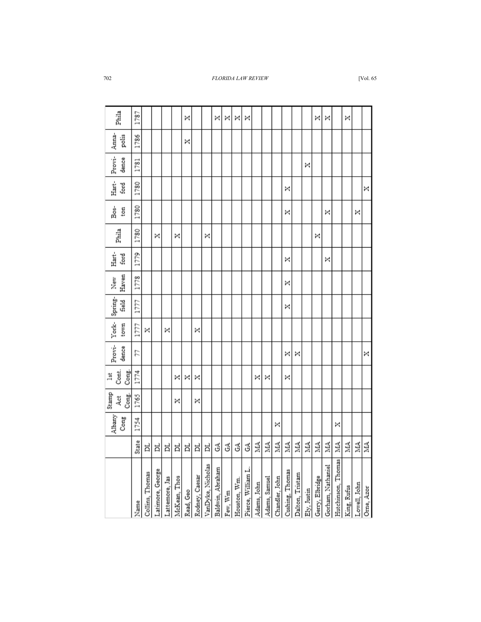|              |   |      |   |   | × |   |   |   |   |   |   |    |    |    |    |    |    |    |    |    |    | ×<br>×<br>×<br>×<br>×<br>×<br>×<br>×                                                                                                                                                                                                                                                                                                                                                              |
|--------------|---|------|---|---|---|---|---|---|---|---|---|----|----|----|----|----|----|----|----|----|----|---------------------------------------------------------------------------------------------------------------------------------------------------------------------------------------------------------------------------------------------------------------------------------------------------------------------------------------------------------------------------------------------------|
| 1781         |   | 1786 |   |   |   |   |   |   |   |   |   |    |    |    |    |    | ×  |    |    |    |    |                                                                                                                                                                                                                                                                                                                                                                                                   |
|              |   |      |   |   |   |   |   |   |   |   |   |    |    |    | ×  |    |    |    |    |    |    |                                                                                                                                                                                                                                                                                                                                                                                                   |
| 1780<br>1780 |   |      |   |   |   |   |   |   |   |   |   |    |    |    | ×  |    |    |    | ×  |    |    | ×                                                                                                                                                                                                                                                                                                                                                                                                 |
| 1779         |   |      |   |   |   |   |   |   |   |   |   |    |    |    | ×  |    |    |    | ×  |    |    |                                                                                                                                                                                                                                                                                                                                                                                                   |
| 1778         |   |      |   |   |   |   |   |   |   |   |   |    |    |    | ×  |    |    |    |    |    |    |                                                                                                                                                                                                                                                                                                                                                                                                   |
| 1777<br>1777 |   |      |   |   |   |   |   |   |   |   |   |    |    |    | ×  |    |    |    |    |    |    |                                                                                                                                                                                                                                                                                                                                                                                                   |
| 21           | × |      |   |   |   | × |   |   |   |   |   |    |    |    | ×  | ×  |    |    |    |    |    |                                                                                                                                                                                                                                                                                                                                                                                                   |
| 1774         |   |      |   | × | × | × |   |   |   |   |   | ×  | ×  |    | ×  |    |    |    |    |    |    |                                                                                                                                                                                                                                                                                                                                                                                                   |
| 1765         |   |      |   | × |   | × |   |   |   |   |   |    |    |    |    |    |    |    |    |    |    |                                                                                                                                                                                                                                                                                                                                                                                                   |
|              |   |      |   |   |   |   |   |   |   |   |   |    |    | ×  |    |    |    |    |    | ×  |    |                                                                                                                                                                                                                                                                                                                                                                                                   |
|              |   | ă    | ă | ă | ă | Þ | ă | З | 3 | 3 | 3 | ŽЙ | ŃА | ŃМ | МА | ŽА | МА | ŽЙ | ΝА | ΝА | МА | МА                                                                                                                                                                                                                                                                                                                                                                                                |
|              |   |      |   |   |   |   |   |   |   |   |   |    |    |    |    |    |    |    |    |    |    | Hutchinson, Thomas<br>Rodney, Caesar<br>VanDyke, Nicholas<br>Gorham, Nathaniel<br>Baldwin, Abraham<br>Pierce, William L<br>Latimore, George<br>Cushing, Thomas<br>Collins, Thomas<br>Dalton, Tristam<br>Gerry, Elbridge<br>Lattemore, Jas<br>McKean, Thos<br>Chandler, John<br>Adams, Samuel<br>Houston, Wm.<br>Adams, John<br>Lowell, John<br>Ely, Justin<br>King, Rufus<br>Read, Geo<br>Few, Wm |
|              | ă | ×    | × | × |   |   | × |   |   |   |   |    |    |    |    |    |    | ×  |    |    |    |                                                                                                                                                                                                                                                                                                                                                                                                   |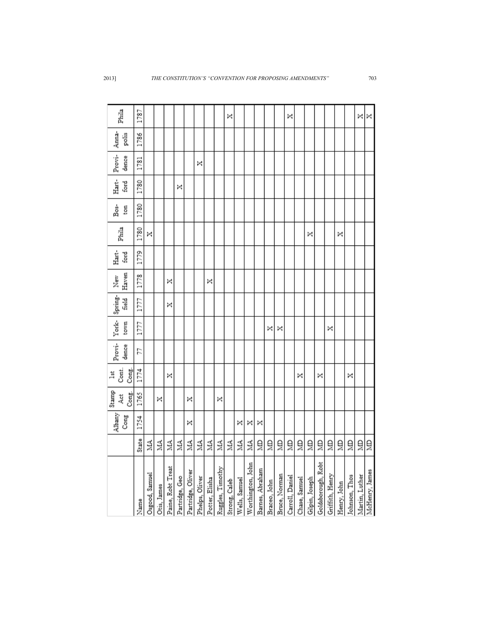|                                     |       | Albany | Stamp<br>4ct | Cont.<br>1st | Provi- | York- | Spring- | New   | Hart- | Phila | Bos- | Hart- | Provi- | Anna- | Phila |
|-------------------------------------|-------|--------|--------------|--------------|--------|-------|---------|-------|-------|-------|------|-------|--------|-------|-------|
|                                     |       | Cong   | Cong.        | Cong.        | dence  | town  | field   | Haven | ford  |       | ton  | ford  | dence  | polis |       |
| Name                                | State | 1754   | 1765         | 1774         | 22     | 1777  | 1777    | 1778  | 1779  | 1780  | 1780 | 1780  | 1781   | 1786  | 1787  |
| Osgood, Samuel                      | MN    |        |              |              |        |       |         |       |       | ×     |      |       |        |       |       |
| Otis, James                         | ŽА    |        | ×            |              |        |       |         |       |       |       |      |       |        |       |       |
| Paine, Robt Treat                   | ŽК    |        |              | ×            |        |       | ×       | ×     |       |       |      |       |        |       |       |
|                                     | Š     |        |              |              |        |       |         |       |       |       |      | ×     |        |       |       |
| Partridge, Geo<br>Partridge, Oliver | ЙА    | ×      | ×            |              |        |       |         |       |       |       |      |       |        |       |       |
| Phelps, Oliver                      | Á     |        |              |              |        |       |         |       |       |       |      |       | ×      |       |       |
|                                     | ÁN    |        |              |              |        |       |         | ×     |       |       |      |       |        |       |       |
| Potter, Elisha<br>Ruggles, Timothy  | Á     |        | ×            |              |        |       |         |       |       |       |      |       |        |       |       |
| Strong, Caleb                       | MA    |        |              |              |        |       |         |       |       |       |      |       |        |       | ×     |
| Wells, Samuel                       | ЙЙ    | ×      |              |              |        |       |         |       |       |       |      |       |        |       |       |
| Worthington, John                   | ŽЦ    | ×      |              |              |        |       |         |       |       |       |      |       |        |       |       |
| Barnes, Abraham                     | ğ     | ×      |              |              |        |       |         |       |       |       |      |       |        |       |       |
| Braceo, John                        | ê     |        |              |              |        | ×     |         |       |       |       |      |       |        |       |       |
| Bruce, Norman                       | ã     |        |              |              |        | ×     |         |       |       |       |      |       |        |       |       |
| Carroll, Daniel                     | ê     |        |              |              |        |       |         |       |       |       |      |       |        |       | ×     |
| Chase, Samuel                       | ₿     |        |              | ×            |        |       |         |       |       |       |      |       |        |       |       |
| Gilpin, Joseph                      | ₿     |        |              |              |        |       |         |       |       | ×     |      |       |        |       |       |
| Goldsborough, Robt                  | ⋚     |        |              | ×            |        |       |         |       |       |       |      |       |        |       |       |
| Griffith, Henry                     | ê     |        |              |              |        | ×     |         |       |       |       |      |       |        |       |       |
| Henry, John                         | ê     |        |              |              |        |       |         |       |       | ×     |      |       |        |       |       |
| Johnson, Thos                       | ã     |        |              | ×            |        |       |         |       |       |       |      |       |        |       |       |
| Martin, Luther                      | ã     |        |              |              |        |       |         |       |       |       |      |       |        |       | ×     |
| McHenry, James                      | ã     |        |              |              |        |       |         |       |       |       |      |       |        |       | ×     |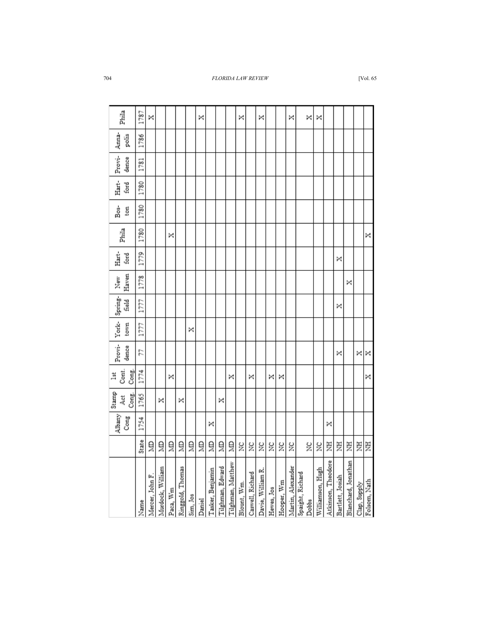| Phila                 | 1787  | ×               |                  |            |                  |          | ×      |                  |                  |                   | ×           |                  | ×                 |            |            | ×                 | ×                         | ×                |                    |                  |                     |              |              |
|-----------------------|-------|-----------------|------------------|------------|------------------|----------|--------|------------------|------------------|-------------------|-------------|------------------|-------------------|------------|------------|-------------------|---------------------------|------------------|--------------------|------------------|---------------------|--------------|--------------|
| Anna-<br>polis        | 1786  |                 |                  |            |                  |          |        |                  |                  |                   |             |                  |                   |            |            |                   |                           |                  |                    |                  |                     |              |              |
| Provi-<br>dence       | 1781  |                 |                  |            |                  |          |        |                  |                  |                   |             |                  |                   |            |            |                   |                           |                  |                    |                  |                     |              |              |
| Hart-<br>ford         | 1780  |                 |                  |            |                  |          |        |                  |                  |                   |             |                  |                   |            |            |                   |                           |                  |                    |                  |                     |              |              |
| Bos-<br>ton           | 1780  |                 |                  |            |                  |          |        |                  |                  |                   |             |                  |                   |            |            |                   |                           |                  |                    |                  |                     |              |              |
| Phila                 | 1780  |                 |                  | ×          |                  |          |        |                  |                  |                   |             |                  |                   |            |            |                   |                           |                  |                    |                  |                     |              | ×            |
| Hart-<br>ford         | 1779  |                 |                  |            |                  |          |        |                  |                  |                   |             |                  |                   |            |            |                   |                           |                  |                    | ×                |                     |              |              |
| Haven<br>New          | 1778  |                 |                  |            |                  |          |        |                  |                  |                   |             |                  |                   |            |            |                   |                           |                  |                    |                  | ×                   |              |              |
| Spring-<br>field      | 1777  |                 |                  |            |                  |          |        |                  |                  |                   |             |                  |                   |            |            |                   |                           |                  |                    | ×                |                     |              |              |
| York-<br>town         | 1777  |                 |                  |            |                  | ×        |        |                  |                  |                   |             |                  |                   |            |            |                   |                           |                  |                    |                  |                     |              |              |
| Provi-<br>dence       | 57    |                 |                  |            |                  |          |        |                  |                  |                   |             |                  |                   |            |            |                   |                           |                  |                    | ×                |                     | ×            | ×            |
| Cont.<br>Cong.<br>lst | 1774  |                 |                  | ×          |                  |          |        |                  |                  | ×                 |             | ×                |                   | ×          | ×          |                   |                           |                  |                    |                  |                     |              | ×            |
| Stamp<br>Cong.<br>Åct | 1765  |                 | ×                |            | ×                |          |        |                  | ×                |                   |             |                  |                   |            |            |                   |                           |                  |                    |                  |                     |              |              |
| Albany<br>Cong        | 1754  |                 |                  |            |                  |          |        | ×                |                  |                   |             |                  |                   |            |            |                   |                           |                  | ×                  |                  |                     |              |              |
|                       | State | ă               | ğ                | ğ          | ă                | ğ        | ğ      | ğ                | ă                | ğ                 | ž           | ă                | $\frac{1}{2}$     | X          | X          | ž                 | ž                         | X                | Ë                  | Ë                | 퇴                   | 罢            | 芝            |
|                       | Name  | Mercer, John F. | Murdock, William | Paca, $Wm$ | Ringgold, Thomas | Sim, Jos | Daniel | Tasker, Benjamin | Tilghman, Edward | Tilghman, Matthew | Blount, Wm. | Caswell, Richard | Davie, William R. | Hewes, Jos | Hooper, Wm | Martin, Alexander | Spaight, Richard<br>Dobbs | Williamson, Hugh | Atkinson, Theodore | Bartlett, Josiah | Blanchard, Jonathan | Clap, Supply | Folsom, Nath |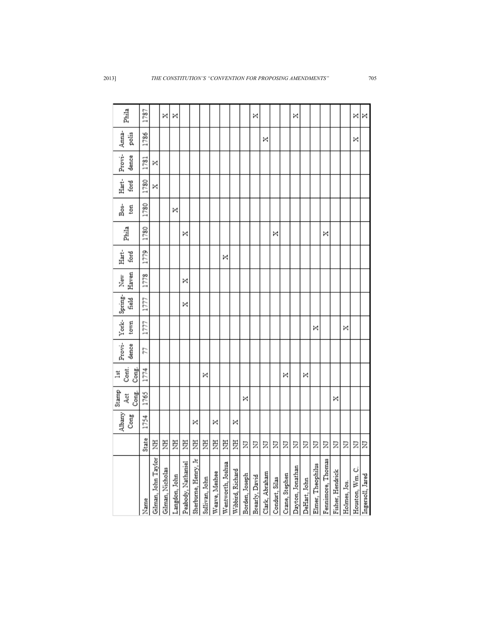| Phila                   | 1787  |                     | ×                | ×             |                    |                      |                |               |                   |                  |                | ×              |                |                |                | ×                |              |                   |                   |                  |              | ×               | ×                |
|-------------------------|-------|---------------------|------------------|---------------|--------------------|----------------------|----------------|---------------|-------------------|------------------|----------------|----------------|----------------|----------------|----------------|------------------|--------------|-------------------|-------------------|------------------|--------------|-----------------|------------------|
| Anna-<br>polis          | 1786  |                     |                  |               |                    |                      |                |               |                   |                  |                |                | ×              |                |                |                  |              |                   |                   |                  |              | ×               |                  |
| Provi-<br>dence         | 1781  | ×                   |                  |               |                    |                      |                |               |                   |                  |                |                |                |                |                |                  |              |                   |                   |                  |              |                 |                  |
| Hart-<br>ford           | 1780  | ×                   |                  |               |                    |                      |                |               |                   |                  |                |                |                |                |                |                  |              |                   |                   |                  |              |                 |                  |
| Bos-<br>ton             | 1780  |                     |                  | ×             |                    |                      |                |               |                   |                  |                |                |                |                |                |                  |              |                   |                   |                  |              |                 |                  |
| Phila                   | 1780  |                     |                  |               | ×                  |                      |                |               |                   |                  |                |                |                | ×              |                |                  |              |                   | ×                 |                  |              |                 |                  |
| Hart-<br>ford           | 1779  |                     |                  |               |                    |                      |                |               | ×                 |                  |                |                |                |                |                |                  |              |                   |                   |                  |              |                 |                  |
| Haven<br>New            | 1778  |                     |                  |               | ×                  |                      |                |               |                   |                  |                |                |                |                |                |                  |              |                   |                   |                  |              |                 |                  |
| Spring-<br><b>Field</b> | 1777  |                     |                  |               | ×                  |                      |                |               |                   |                  |                |                |                |                |                |                  |              |                   |                   |                  |              |                 |                  |
| York-<br>town           | 1777  |                     |                  |               |                    |                      |                |               |                   |                  |                |                |                |                |                |                  |              | ×                 |                   |                  | ×            |                 |                  |
| Provi-<br>dence         | 77    |                     |                  |               |                    |                      |                |               |                   |                  |                |                |                |                |                |                  |              |                   |                   |                  |              |                 |                  |
| Cont.<br>Cong.<br>lst   | 1774  |                     |                  |               |                    |                      | ×              |               |                   |                  |                |                |                |                | ×              |                  | ×            |                   |                   |                  |              |                 |                  |
| Stamp<br>Cong.<br>Act   | 1765  |                     |                  |               |                    |                      |                |               |                   |                  | ×              |                |                |                |                |                  |              |                   |                   | ×                |              |                 |                  |
| Albany<br>Cong          | 1754  |                     |                  |               |                    | ×                    |                | ×             |                   | ×                |                |                |                |                |                |                  |              |                   |                   |                  |              |                 |                  |
|                         | State | 芝                   | Ë                | Ę             | Ę                  | Ę                    | 耳              | Ë             | 芝                 | E                | Σ              | Σ              | Ξ              | Ξ              | Σ              | Σ                | Ξ            | Σ                 | Ξ                 | Σ                | Ξ            | Ξ               | Σ                |
|                         | Name  | Gilman, John Taylor | Gilman, Nicholas | Langdon, John | Peabody, Nathaniel | Sherburne, Henry, Jr | Sullivan, John | Weave, Meshee | Wentworth, Joshua | Wibbird, Richard | Borden, Joseph | Brearly, David | Clark, Abraham | Condurt, Silas | Crane, Stephen | Dayton, Jonathan | DeHart, John | Elmer, Theophilus | Fennimore, Thomas | Fisher, Hendrick | Holmes, Jos. | Houston, Wm. C. | Ingersoll, Jared |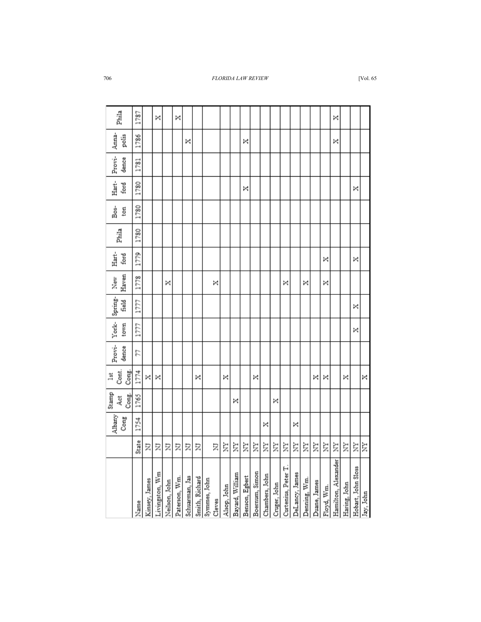| Phila                 | 1787  |               | ×              |               | ×             |                |                                |        |             |                 |                |                |                |              |                     |                |              |              |            | ×                   |              |                    |           |
|-----------------------|-------|---------------|----------------|---------------|---------------|----------------|--------------------------------|--------|-------------|-----------------|----------------|----------------|----------------|--------------|---------------------|----------------|--------------|--------------|------------|---------------------|--------------|--------------------|-----------|
| Anna-<br>polis        | 1786  |               |                |               |               | ×              |                                |        |             |                 | ×              |                |                |              |                     |                |              |              |            | ×                   |              |                    |           |
| Provi-<br>dence       | 1781  |               |                |               |               |                |                                |        |             |                 |                |                |                |              |                     |                |              |              |            |                     |              |                    |           |
| Hart-<br>ford         | 1780  |               |                |               |               |                |                                |        |             |                 | ×              |                |                |              |                     |                |              |              |            |                     |              | ×                  |           |
| Bos-<br>ton           | 1780  |               |                |               |               |                |                                |        |             |                 |                |                |                |              |                     |                |              |              |            |                     |              |                    |           |
| Phila                 | 1780  |               |                |               |               |                |                                |        |             |                 |                |                |                |              |                     |                |              |              |            |                     |              |                    |           |
| Hart-<br>ford         | 1779  |               |                |               |               |                |                                |        |             |                 |                |                |                |              |                     |                |              |              | ×          |                     |              | ×                  |           |
| Haven<br>New          | 1778  |               |                | ×             |               |                |                                | ×      |             |                 |                |                |                |              | ×                   |                | ×            |              | ×          |                     |              |                    |           |
| Spring-<br>field      | 1777  |               |                |               |               |                |                                |        |             |                 |                |                |                |              |                     |                |              |              |            |                     |              | ×                  |           |
| York-<br>town         | 1777  |               |                |               |               |                |                                |        |             |                 |                |                |                |              |                     |                |              |              |            |                     |              | ×                  |           |
| Provi-<br>dence       | 77    |               |                |               |               |                |                                |        |             |                 |                |                |                |              |                     |                |              |              |            |                     |              |                    |           |
| Cont.<br>Cong.<br>lst | 1774  | ×             | ×              |               |               |                | ×                              |        | ×           |                 |                | ×              |                |              |                     |                |              | ×            | ×          |                     | ×            |                    | ×         |
| Stamp<br>Cong.<br>Åct | 1765  |               |                |               |               |                |                                |        |             | ×               |                |                |                | ×            |                     |                |              |              |            |                     |              |                    |           |
| Albany<br>Cong        | 1754  |               |                |               |               |                |                                |        |             |                 |                |                | ×              |              |                     | ×              |              |              |            |                     |              |                    |           |
|                       | State | Σ             | Ξ              | Ξ             | Ξ             | Σ              | Σ                              | Σ      | È           | Ż               | È              | È              | È              | È            | È                   | È              | È            | È            | Ż          | Ż                   | È            | È                  | È         |
|                       | Name  | Kinsey, James | Livingston, Wm | Neilson, John | Paterson, Wm. | Schuarman, Jas | Smith, Richard<br>Symmes, John | Cleves | Alsop, John | Bayard, William | Benson, Egbert | Boernum, Simon | Chambers, John | Cruger, John | Curtenius, Peter T. | DeLancy, James | Denning, Wm. | Duane, James | Floyd, Wm. | Hamilton, Alexander | Haring, John | Hobart, John Sloss | Jay, John |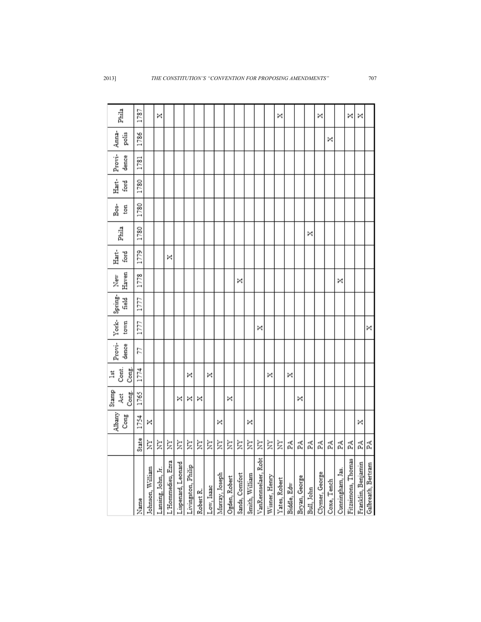|                                         |       | Albany | Stamp<br>4et | Cont.<br>$\frac{1}{3}$ | Provi- | York- | Spring- | New   | Hart- | Phila | Bos- | Hart- | Provi- | Anna- | Phila |
|-----------------------------------------|-------|--------|--------------|------------------------|--------|-------|---------|-------|-------|-------|------|-------|--------|-------|-------|
|                                         |       | Cong   | Cong.        | Cong.                  | dence  | town  | field   | Haven | ford  |       | ton  | ford  | dence  | polis |       |
| Name                                    | State | 1754   | 1765         | 1774                   | 57     | 1777  | 1777    | 1778  | 1779  | 1780  | 1780 | 1780  | 1781   | 1786  | 1787  |
| Johnson, William                        | È     | ×      |              |                        |        |       |         |       |       |       |      |       |        |       |       |
| Lansing, John, Jr.                      | È     |        |              |                        |        |       |         |       |       |       |      |       |        |       | ×     |
|                                         | È     |        |              |                        |        |       |         |       | ×     |       |      |       |        |       |       |
| L'Hommedieu, Ezra<br>Lispenard, Leonard | È     |        | ×            |                        |        |       |         |       |       |       |      |       |        |       |       |
| Livingston, Philip                      | È     |        | ×            | ×                      |        |       |         |       |       |       |      |       |        |       |       |
| Robert R.                               | È     |        | ×            |                        |        |       |         |       |       |       |      |       |        |       |       |
| Low, Isaac                              | È     |        |              | ×                      |        |       |         |       |       |       |      |       |        |       |       |
| Murray, Joseph                          | È     | ×      |              |                        |        |       |         |       |       |       |      |       |        |       |       |
| Ogden, Robert                           | È     |        | ×            |                        |        |       |         |       |       |       |      |       |        |       |       |
| Sands, Comfort                          | È     |        |              |                        |        |       |         | ×     |       |       |      |       |        |       |       |
| Smith, William                          | È     | ×      |              |                        |        |       |         |       |       |       |      |       |        |       |       |
| VanRennselaer, Robt                     | È     |        |              |                        |        | ×     |         |       |       |       |      |       |        |       |       |
| Wisner, Henry                           | È     |        |              | ×                      |        |       |         |       |       |       |      |       |        |       |       |
| Yates, Robert                           | È     |        |              |                        |        |       |         |       |       |       |      |       |        |       | ×     |
| Biddle, Edw                             | 덫     |        |              | ×                      |        |       |         |       |       |       |      |       |        |       |       |
| Bryan, George                           | Ã     |        | ×            |                        |        |       |         |       |       |       |      |       |        |       |       |
| Bull, John                              | Ã     |        |              |                        |        |       |         |       |       | ×     |      |       |        |       |       |
| Clymer, George                          | 덫     |        |              |                        |        |       |         |       |       |       |      |       |        |       | ×     |
|                                         | 덫     |        |              |                        |        |       |         |       |       |       |      |       |        | ×     |       |
| Coxe, Tench<br>Cunningham, Jas.         | 덫     |        |              |                        |        |       |         | ×     |       |       |      |       |        |       |       |
| Fitzsimons, Thomas                      | 덫     |        |              |                        |        |       |         |       |       |       |      |       |        |       | ×     |
| Franklin, Benjamin                      | 덫     | ×      |              |                        |        |       |         |       |       |       |      |       |        |       | ×     |
| Galbreath, Bertram                      | 덫     |        |              |                        |        | ×     |         |       |       |       |      |       |        |       |       |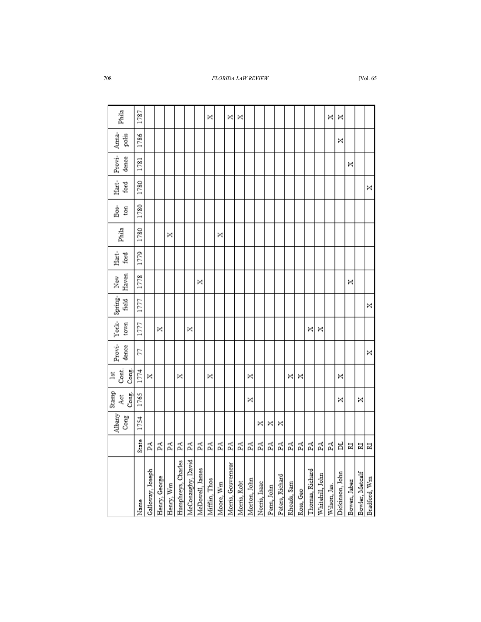|              |   |   |   |   |   |   | × |   | × | × |   |   |   |   |   |   |   |   | × | × |   |                                                                                                                                                                                                                                                                                                                                                                                            |
|--------------|---|---|---|---|---|---|---|---|---|---|---|---|---|---|---|---|---|---|---|---|---|--------------------------------------------------------------------------------------------------------------------------------------------------------------------------------------------------------------------------------------------------------------------------------------------------------------------------------------------------------------------------------------------|
| 1786         |   |   |   |   |   |   |   |   |   |   |   |   |   |   |   |   |   |   |   |   |   |                                                                                                                                                                                                                                                                                                                                                                                            |
| 1781         |   |   |   |   |   |   |   |   |   |   |   |   |   |   |   |   |   |   |   |   |   |                                                                                                                                                                                                                                                                                                                                                                                            |
| 1780<br>1780 |   |   |   |   |   |   |   |   |   |   |   |   |   |   |   |   |   |   |   |   |   |                                                                                                                                                                                                                                                                                                                                                                                            |
| 1780         |   |   | × |   |   |   |   | × |   |   |   |   |   |   |   |   |   |   |   |   |   |                                                                                                                                                                                                                                                                                                                                                                                            |
|              |   |   |   |   |   |   |   |   |   |   |   |   |   |   |   |   |   |   |   |   |   |                                                                                                                                                                                                                                                                                                                                                                                            |
|              |   |   |   |   |   | × |   |   |   |   |   |   |   |   |   |   |   |   |   |   | × |                                                                                                                                                                                                                                                                                                                                                                                            |
|              |   |   |   |   |   |   |   |   |   |   |   |   |   |   |   |   |   |   |   |   |   |                                                                                                                                                                                                                                                                                                                                                                                            |
|              |   | × |   |   | × |   |   |   |   |   |   |   |   |   |   |   | × | × |   |   |   |                                                                                                                                                                                                                                                                                                                                                                                            |
|              |   |   |   |   |   |   |   |   |   |   |   |   |   |   |   |   |   |   |   |   |   |                                                                                                                                                                                                                                                                                                                                                                                            |
|              | × |   |   | × |   |   | × |   |   |   | × |   |   |   | × | × |   |   |   | × |   |                                                                                                                                                                                                                                                                                                                                                                                            |
|              |   |   |   |   |   |   |   |   |   |   |   | × |   |   |   |   |   |   |   | × |   |                                                                                                                                                                                                                                                                                                                                                                                            |
|              | Ã | Ã | Ã | Ã | Ã | Ã | Ã | Ã | Ã | 덫 | Ã | Ã | 덫 | Ã | Ã | Ã | Ã | Ã | Ã | ă | N | N                                                                                                                                                                                                                                                                                                                                                                                          |
|              |   |   |   |   |   |   |   |   |   |   |   |   |   |   |   |   |   |   |   |   |   | McConaughy, David<br>Humphreys, Charles<br>Morris, Gouverneur<br>McDowell, James<br>Thomas, Richard<br>Galloway, Joseph<br>Dickinson, John<br>Bowler, Metcalf<br>Whitehill, John<br>Peters, Richard<br>Henry, George<br>Mifflin, Thos<br>Morton, John<br>Bowen, Jabez<br>Morris, Robt<br>Moore, Wm<br>Norris, Isaac<br>Rhoads, Sam<br>Henry, Wm<br>Wilson, Jas.<br>Penn, John<br>Ross, Geo |
|              |   |   |   |   |   |   |   |   |   |   | × |   | × | × |   |   |   |   |   | × | × | ×                                                                                                                                                                                                                                                                                                                                                                                          |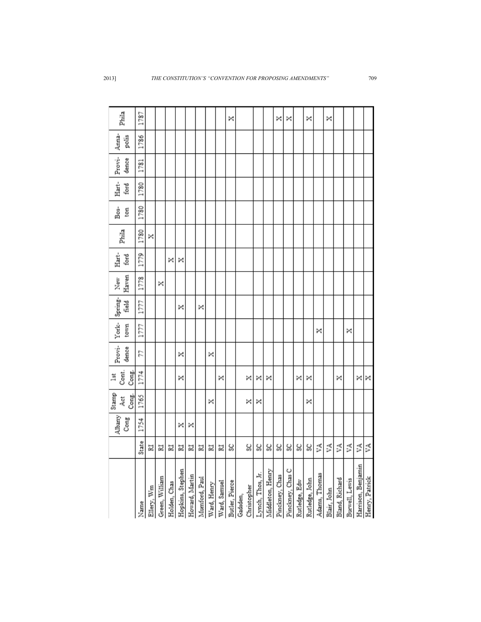|                    |       | Albany<br>Cong | Stamp<br>Cong.<br>Åct | Cont.<br>Cong.<br>1st | Provi-<br>dence | York-<br>town | Spring-<br>Fleid | Haven<br>New | Hart-<br>ford | Phila | Bos-<br>ton | Hart-<br>ford | Provi-<br>dence | Anna-<br>polis | Phila |
|--------------------|-------|----------------|-----------------------|-----------------------|-----------------|---------------|------------------|--------------|---------------|-------|-------------|---------------|-----------------|----------------|-------|
| Name               | State | 1754           | 1765                  | 1774                  | 22              | 1777          | 1777             | 1778         | 1779          | 1780  | 1780        | 1780          | 1781            | 1786           | 1787  |
| Ellery, Wm         | N     |                |                       |                       |                 |               |                  |              |               | ×     |             |               |                 |                |       |
| Green, William     | N     |                |                       |                       |                 |               |                  | ×            |               |       |             |               |                 |                |       |
| Holden, Chas       | N     |                |                       |                       |                 |               |                  |              | ×             |       |             |               |                 |                |       |
| Hopkins, Stephen   | N     | ×              |                       | ×                     | ×               |               | ×                |              | ×             |       |             |               |                 |                |       |
| Howard, Martin     | 冨     | ×              |                       |                       |                 |               |                  |              |               |       |             |               |                 |                |       |
| Mumford, Paul      | N     |                |                       |                       |                 |               | ×                |              |               |       |             |               |                 |                |       |
| Ward, Henry        | 冨     |                | ×                     |                       | ×               |               |                  |              |               |       |             |               |                 |                |       |
| Ward, Samuel       | 冨     |                |                       | ×                     |                 |               |                  |              |               |       |             |               |                 |                |       |
| Butler, Pierce     | ပ္တ   |                |                       |                       |                 |               |                  |              |               |       |             |               |                 |                | ×     |
| Gadsden,           |       |                |                       |                       |                 |               |                  |              |               |       |             |               |                 |                |       |
| Christopher        | ပ္တ   |                | ×                     | ×                     |                 |               |                  |              |               |       |             |               |                 |                |       |
| Lynch, Thos, Jr.   | S)    |                | ×                     | ×                     |                 |               |                  |              |               |       |             |               |                 |                |       |
| Middleton, Henry   | ပ္တ   |                |                       | ×                     |                 |               |                  |              |               |       |             |               |                 |                |       |
| Pinckney, Chas     | g     |                |                       |                       |                 |               |                  |              |               |       |             |               |                 |                | ×     |
| Pinckney, Chas C   | g     |                |                       |                       |                 |               |                  |              |               |       |             |               |                 |                | ×     |
| Rutledge, Edw      | ु     |                |                       | ×                     |                 |               |                  |              |               |       |             |               |                 |                |       |
| Rutledge, John     | ु     |                | ×                     | ×                     |                 |               |                  |              |               |       |             |               |                 |                | ×     |
| Adams, Thomas      | ₿     |                |                       |                       |                 | ×             |                  |              |               |       |             |               |                 |                |       |
| Blair, John        | ŠÃ    |                |                       |                       |                 |               |                  |              |               |       |             |               |                 |                | ×     |
| Bland, Richard     | УA    |                |                       | ×                     |                 |               |                  |              |               |       |             |               |                 |                |       |
| Burwell, Lewis     | УA    |                |                       |                       |                 | ×             |                  |              |               |       |             |               |                 |                |       |
| Harrison, Benjamin | ۶Ā    |                |                       | ×                     |                 |               |                  |              |               |       |             |               |                 |                |       |
| Henry, Patrick     | Ã     |                |                       | ×                     |                 |               |                  |              |               |       |             |               |                 |                |       |